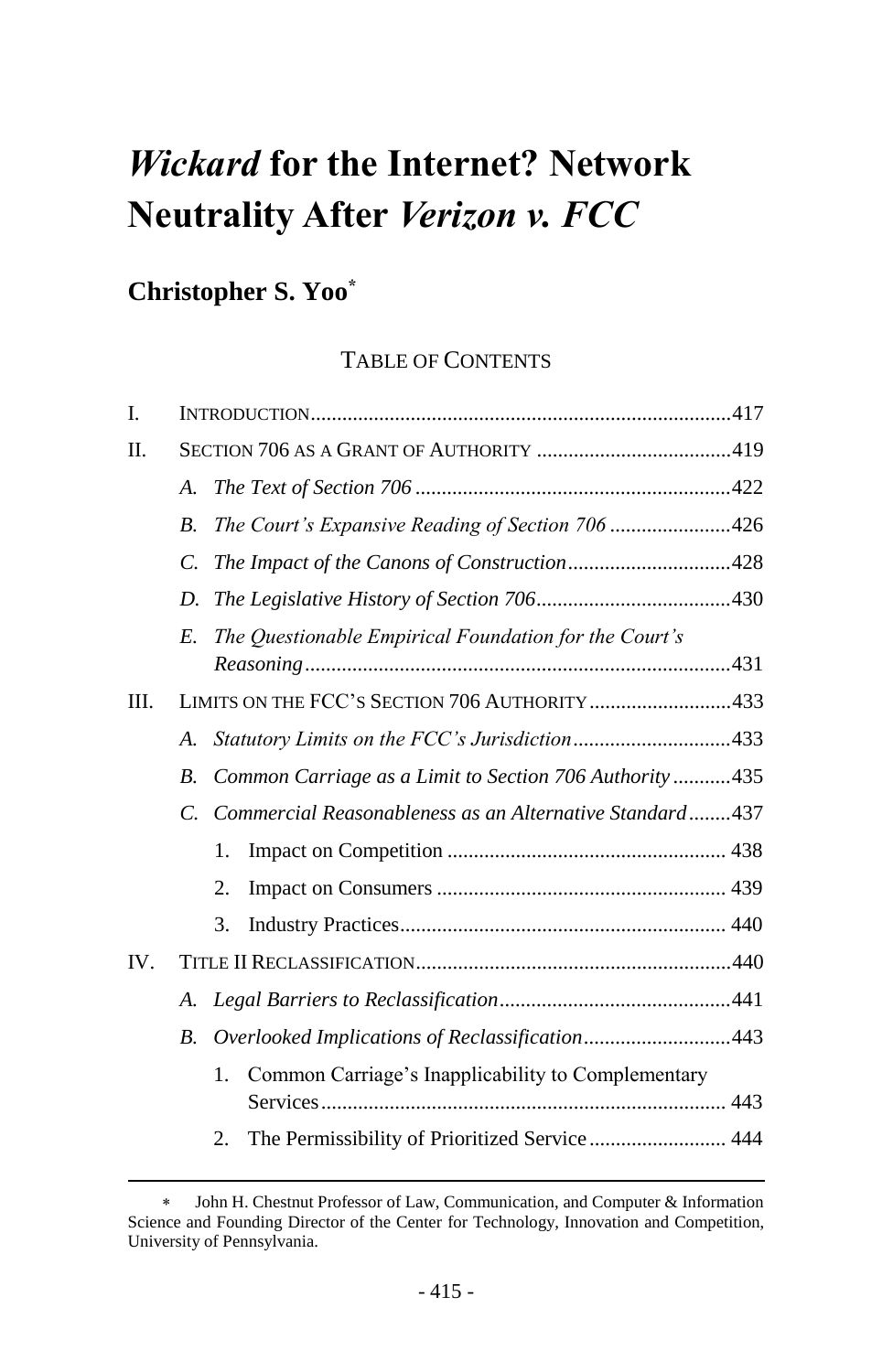# *Wickard* **for the Internet? Network Neutrality After** *Verizon v. FCC*

# **Christopher S. Yoo\***

l

# TABLE OF CONTENTS

| I.   |                                               |                                                          |  |  |  |
|------|-----------------------------------------------|----------------------------------------------------------|--|--|--|
| Π.   |                                               |                                                          |  |  |  |
|      | A.                                            |                                                          |  |  |  |
|      | <i>B</i> .                                    | The Court's Expansive Reading of Section 706 426         |  |  |  |
|      | $\mathcal{C}$ .                               | The Impact of the Canons of Construction428              |  |  |  |
|      | D.                                            |                                                          |  |  |  |
|      | E.                                            | The Questionable Empirical Foundation for the Court's    |  |  |  |
| III. | LIMITS ON THE FCC'S SECTION 706 AUTHORITY 433 |                                                          |  |  |  |
|      | $\mathcal{A}_{\cdot}$                         | Statutory Limits on the FCC's Jurisdiction433            |  |  |  |
|      | $B$ .                                         | Common Carriage as a Limit to Section 706 Authority435   |  |  |  |
|      | $\overline{C}$ .                              | Commercial Reasonableness as an Alternative Standard437  |  |  |  |
|      |                                               | 1.                                                       |  |  |  |
|      |                                               | 2.                                                       |  |  |  |
|      |                                               | 3.                                                       |  |  |  |
| IV.  |                                               |                                                          |  |  |  |
|      | A.                                            |                                                          |  |  |  |
|      | <i>B</i> .                                    | Overlooked Implications of Reclassification443           |  |  |  |
|      |                                               | Common Carriage's Inapplicability to Complementary<br>1. |  |  |  |
|      |                                               | 2.                                                       |  |  |  |
|      |                                               |                                                          |  |  |  |

John H. Chestnut Professor of Law, Communication, and Computer & Information Science and Founding Director of the Center for Technology, Innovation and Competition, University of Pennsylvania.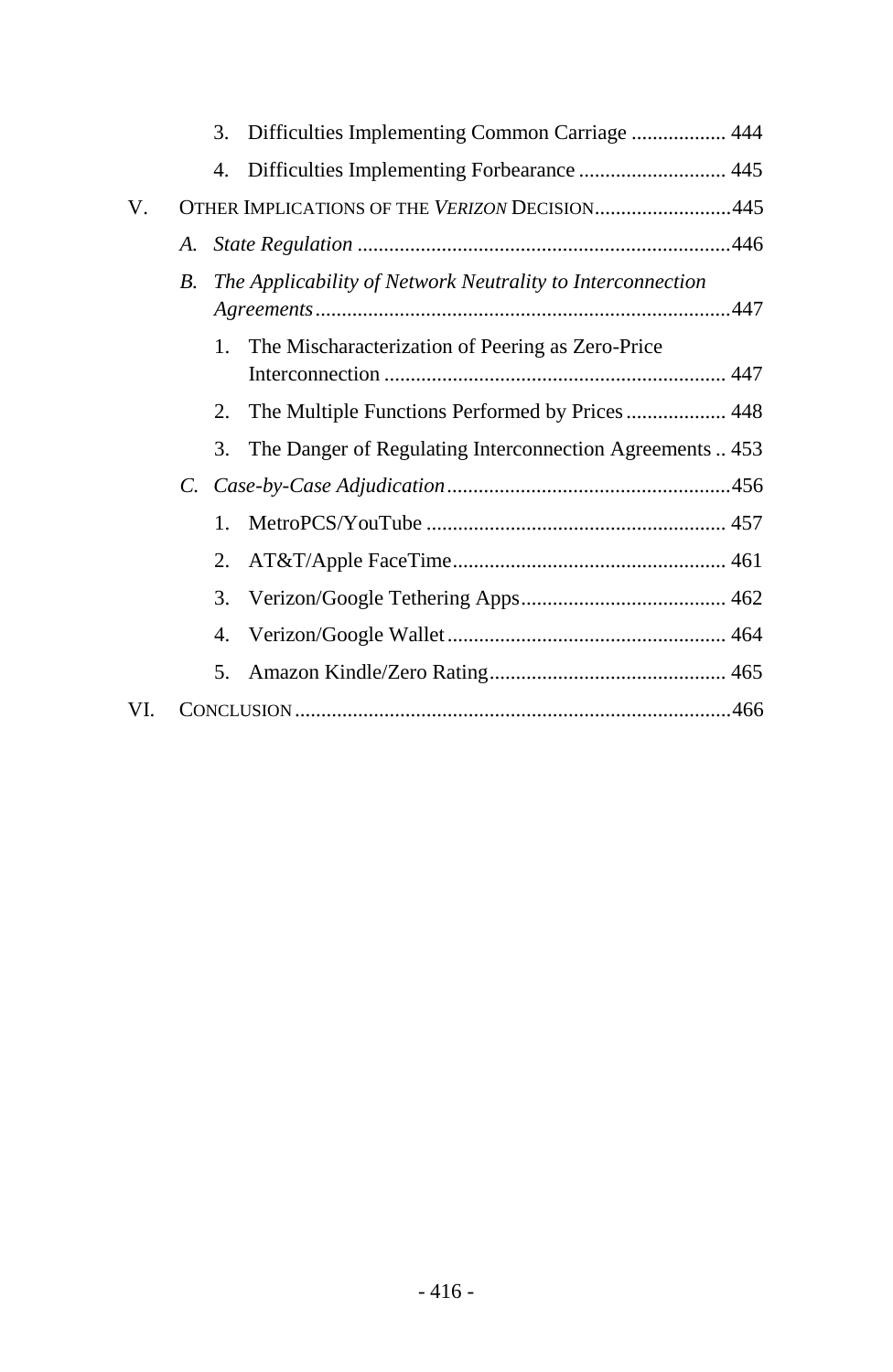|     |                                               |         | 3. Difficulties Implementing Common Carriage  444          |  |  |
|-----|-----------------------------------------------|---------|------------------------------------------------------------|--|--|
|     |                                               | 4.      |                                                            |  |  |
| V.  | OTHER IMPLICATIONS OF THE VERIZON DECISION445 |         |                                                            |  |  |
|     | А.                                            |         |                                                            |  |  |
|     | В.                                            |         | The Applicability of Network Neutrality to Interconnection |  |  |
|     |                                               | 1.      | The Mischaracterization of Peering as Zero-Price           |  |  |
|     |                                               | 2.      | The Multiple Functions Performed by Prices  448            |  |  |
|     |                                               | 3.      | The Danger of Regulating Interconnection Agreements  453   |  |  |
|     | C.                                            |         |                                                            |  |  |
|     |                                               | $1_{-}$ |                                                            |  |  |
|     |                                               | $2_{-}$ |                                                            |  |  |
|     |                                               | 3.      |                                                            |  |  |
|     |                                               | 4.      |                                                            |  |  |
|     |                                               | 5.      |                                                            |  |  |
| VI. |                                               |         |                                                            |  |  |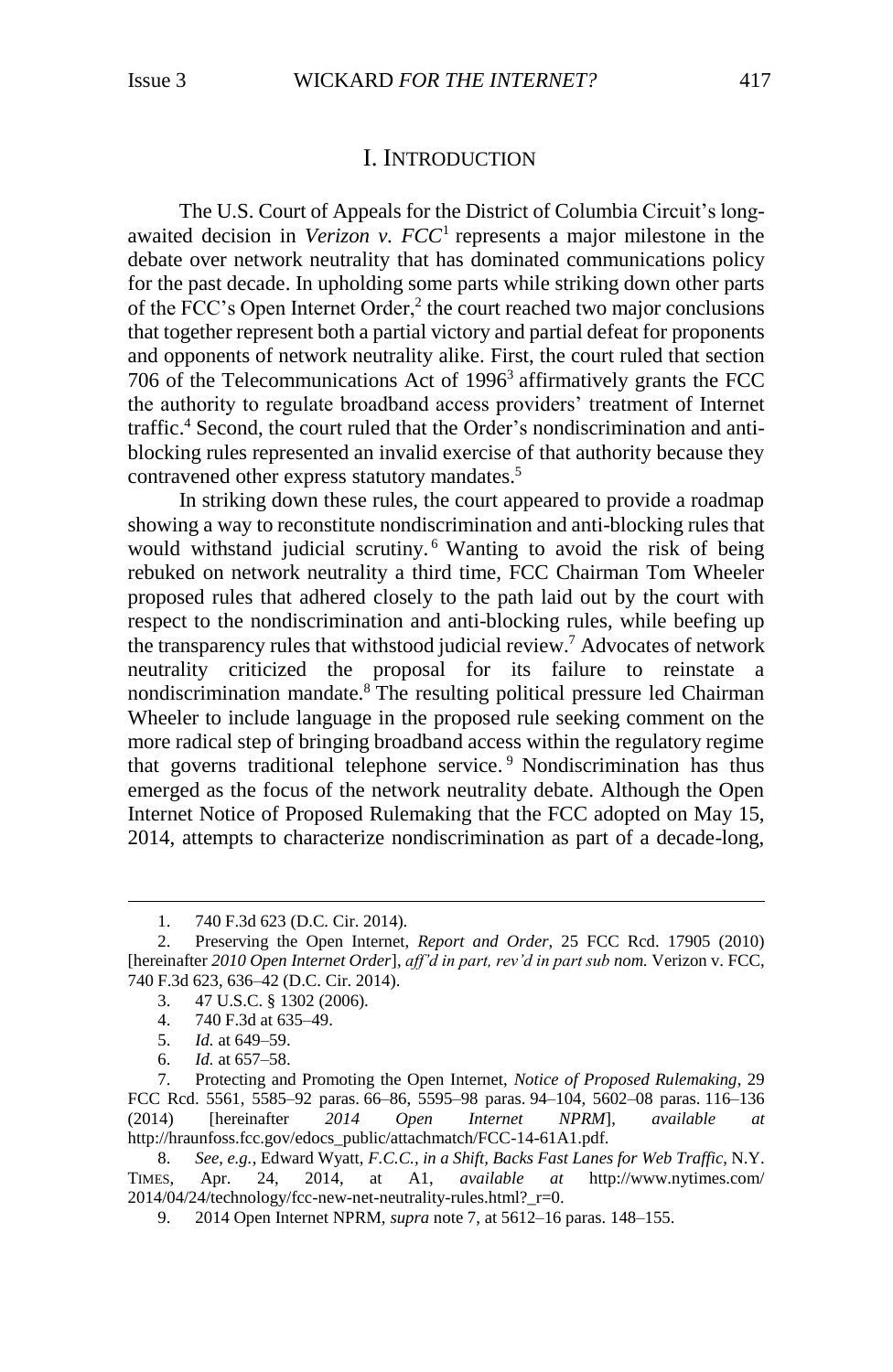# <span id="page-2-3"></span><span id="page-2-2"></span>I. INTRODUCTION

<span id="page-2-0"></span>The U.S. Court of Appeals for the District of Columbia Circuit's longawaited decision in *Verizon v. FCC*<sup>1</sup> represents a major milestone in the debate over network neutrality that has dominated communications policy for the past decade. In upholding some parts while striking down other parts of the FCC's Open Internet Order,<sup>2</sup> the court reached two major conclusions that together represent both a partial victory and partial defeat for proponents and opponents of network neutrality alike. First, the court ruled that section 706 of the Telecommunications Act of 1996<sup>3</sup> affirmatively grants the FCC the authority to regulate broadband access providers' treatment of Internet traffic. <sup>4</sup> Second, the court ruled that the Order's nondiscrimination and antiblocking rules represented an invalid exercise of that authority because they contravened other express statutory mandates.<sup>5</sup>

<span id="page-2-1"></span>In striking down these rules, the court appeared to provide a roadmap showing a way to reconstitute nondiscrimination and anti-blocking rules that would withstand judicial scrutiny.<sup>6</sup> Wanting to avoid the risk of being rebuked on network neutrality a third time, FCC Chairman Tom Wheeler proposed rules that adhered closely to the path laid out by the court with respect to the nondiscrimination and anti-blocking rules, while beefing up the transparency rules that withstood judicial review.<sup>7</sup> Advocates of network neutrality criticized the proposal for its failure to reinstate a nondiscrimination mandate.<sup>8</sup> The resulting political pressure led Chairman Wheeler to include language in the proposed rule seeking comment on the more radical step of bringing broadband access within the regulatory regime that governs traditional telephone service. <sup>9</sup> Nondiscrimination has thus emerged as the focus of the network neutrality debate. Although the Open Internet Notice of Proposed Rulemaking that the FCC adopted on May 15, 2014, attempts to characterize nondiscrimination as part of a decade-long,

<sup>1.</sup> 740 F.3d 623 (D.C. Cir. 2014).

<sup>2.</sup> Preserving the Open Internet, *Report and Order*, 25 FCC Rcd. 17905 (2010) [hereinafter *2010 Open Internet Order*], *aff'd in part, rev'd in part sub nom.* Verizon v. FCC, 740 F.3d 623, 636–42 (D.C. Cir. 2014).

<sup>3.</sup> 47 U.S.C. § 1302 (2006).

<sup>4.</sup> 740 F.3d at 635–49.

<sup>5.</sup> *Id.* at 649–59.

<sup>6.</sup> *Id.* at 657–58.

<sup>7.</sup> Protecting and Promoting the Open Internet, *Notice of Proposed Rulemaking*, 29 FCC Rcd. 5561, 5585–92 paras. 66–86, 5595–98 paras. 94–104, 5602–08 paras. 116–136 (2014) [hereinafter *2014 Open Internet NPRM*], *available* http://hraunfoss.fcc.gov/edocs\_public/attachmatch/FCC-14-61A1.pdf.

<sup>8.</sup> *See, e.g.*, Edward Wyatt, *F.C.C., in a Shift, Backs Fast Lanes for Web Traffic*, N.Y. TIMES, Apr. 24, 2014, at A1, *available at* [http://www.nytimes.com/](http://www.nytimes.com/2014/04/24/technology/fcc-new-net-neutrality-rules.html?_r=0) [2014/04/24/technology/fcc-new-net-neutrality-rules.html?\\_r=0.](http://www.nytimes.com/2014/04/24/technology/fcc-new-net-neutrality-rules.html?_r=0)

<sup>9.</sup> 2014 Open Internet NPRM, *supra* not[e 7,](#page-2-1) at 5612–16 paras. 148–155.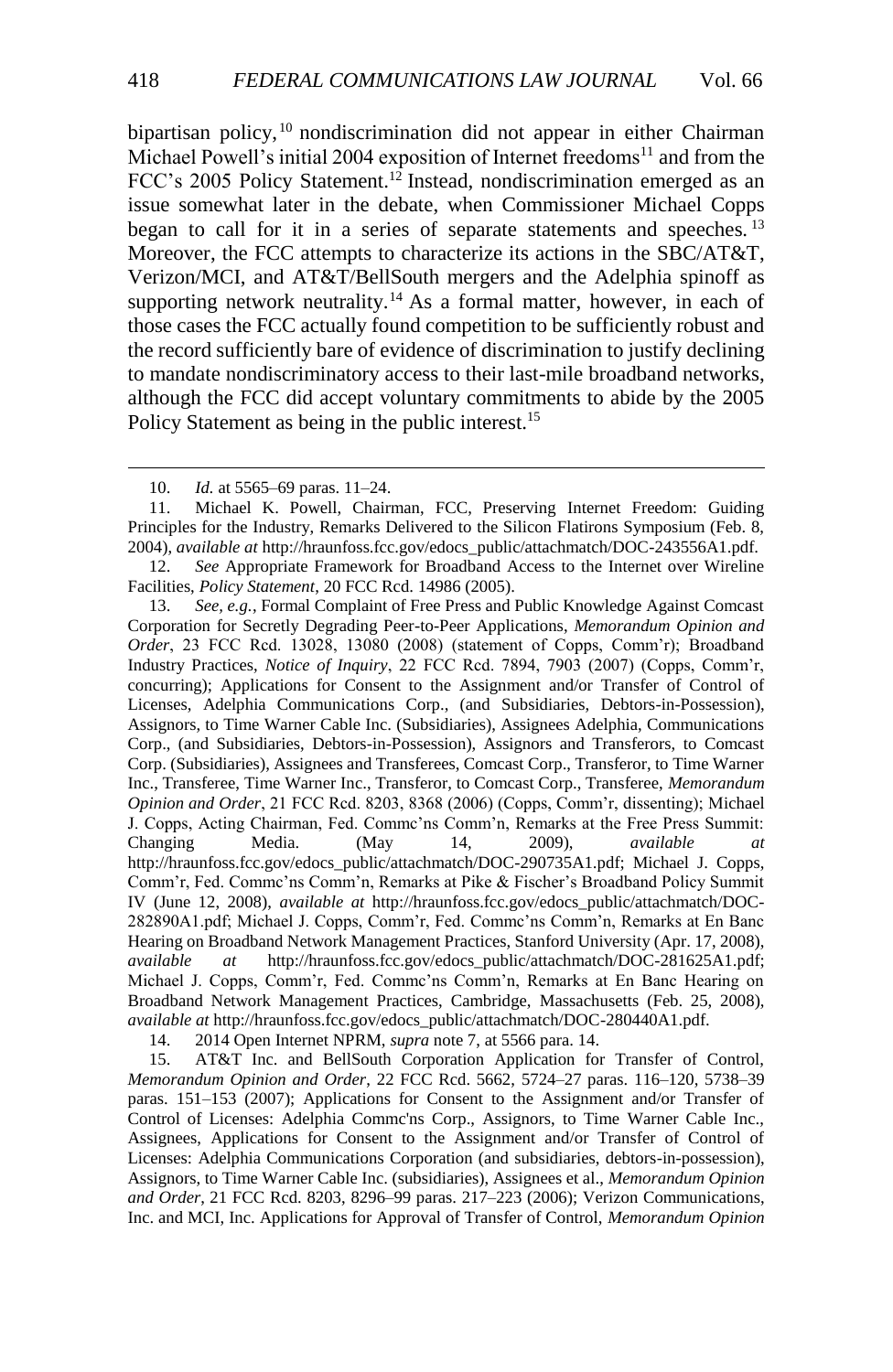bipartisan policy, <sup>10</sup> nondiscrimination did not appear in either Chairman Michael Powell's initial 2004 exposition of Internet freedoms<sup>11</sup> and from the FCC's 2005 Policy Statement.<sup>12</sup> Instead, nondiscrimination emerged as an issue somewhat later in the debate, when Commissioner Michael Copps began to call for it in a series of separate statements and speeches.<sup>13</sup> Moreover, the FCC attempts to characterize its actions in the SBC/AT&T, Verizon/MCI, and AT&T/BellSouth mergers and the Adelphia spinoff as supporting network neutrality.<sup>14</sup> As a formal matter, however, in each of those cases the FCC actually found competition to be sufficiently robust and the record sufficiently bare of evidence of discrimination to justify declining to mandate nondiscriminatory access to their last-mile broadband networks, although the FCC did accept voluntary commitments to abide by the 2005 Policy Statement as being in the public interest.<sup>15</sup>

14. 2014 Open Internet NPRM, *supra* not[e 7,](#page-2-1) at 5566 para. 14.

<sup>10.</sup> *Id.* at 5565–69 paras. 11–24.

<sup>11.</sup> Michael K. Powell, Chairman, FCC, Preserving Internet Freedom: Guiding Principles for the Industry, Remarks Delivered to the Silicon Flatirons Symposium (Feb. 8, 2004), *available at* http://hraunfoss.fcc.gov/edocs\_public/attachmatch/DOC-243556A1.pdf.

<sup>12.</sup> *See* Appropriate Framework for Broadband Access to the Internet over Wireline Facilities, *Policy Statement*, 20 FCC Rcd. 14986 (2005).

<sup>13.</sup> *See, e.g.*, Formal Complaint of Free Press and Public Knowledge Against Comcast Corporation for Secretly Degrading Peer-to-Peer Applications, *Memorandum Opinion and Order*, 23 FCC Rcd. 13028, 13080 (2008) (statement of Copps, Comm'r); Broadband Industry Practices, *Notice of Inquiry*, 22 FCC Rcd. 7894, 7903 (2007) (Copps, Comm'r, concurring); Applications for Consent to the Assignment and/or Transfer of Control of Licenses, Adelphia Communications Corp., (and Subsidiaries, Debtors-in-Possession), Assignors, to Time Warner Cable Inc. (Subsidiaries), Assignees Adelphia, Communications Corp., (and Subsidiaries, Debtors-in-Possession), Assignors and Transferors, to Comcast Corp. (Subsidiaries), Assignees and Transferees, Comcast Corp., Transferor, to Time Warner Inc., Transferee, Time Warner Inc., Transferor, to Comcast Corp., Transferee, *Memorandum Opinion and Order*, 21 FCC Rcd. 8203, 8368 (2006) (Copps, Comm'r, dissenting); Michael J. Copps, Acting Chairman, Fed. Commc'ns Comm'n, Remarks at the Free Press Summit: Changing Media. (May 14, 2009), *available at* http://hraunfoss.fcc.gov/edocs\_public/attachmatch/DOC-290735A1.pdf; Michael J. Copps, Comm'r, Fed. Commc'ns Comm'n, Remarks at Pike & Fischer's Broadband Policy Summit IV (June 12, 2008), *available at* http://hraunfoss.fcc.gov/edocs\_public/attachmatch/DOC-282890A1.pdf; Michael J. Copps, Comm'r, Fed. Commc'ns Comm'n, Remarks at En Banc Hearing on Broadband Network Management Practices, Stanford University (Apr. 17, 2008), *available at* http://hraunfoss.fcc.gov/edocs\_public/attachmatch/DOC-281625A1.pdf; Michael J. Copps, Comm'r, Fed. Commc'ns Comm'n, Remarks at En Banc Hearing on Broadband Network Management Practices, Cambridge, Massachusetts (Feb. 25, 2008), *available at* http://hraunfoss.fcc.gov/edocs\_public/attachmatch/DOC-280440A1.pdf.

<sup>15.</sup> AT&T Inc. and BellSouth Corporation Application for Transfer of Control, *Memorandum Opinion and Order*, 22 FCC Rcd. 5662, 5724–27 paras. 116–120, 5738–39 paras. 151–153 (2007); Applications for Consent to the Assignment and/or Transfer of Control of Licenses: Adelphia Commc'ns Corp., Assignors, to Time Warner Cable Inc., Assignees, Applications for Consent to the Assignment and/or Transfer of Control of Licenses: Adelphia Communications Corporation (and subsidiaries, debtors-in-possession), Assignors, to Time Warner Cable Inc. (subsidiaries), Assignees et al., *Memorandum Opinion and Order*, 21 FCC Rcd. 8203, 8296–99 paras. 217–223 (2006); Verizon Communications, Inc. and MCI, Inc. Applications for Approval of Transfer of Control, *Memorandum Opinion*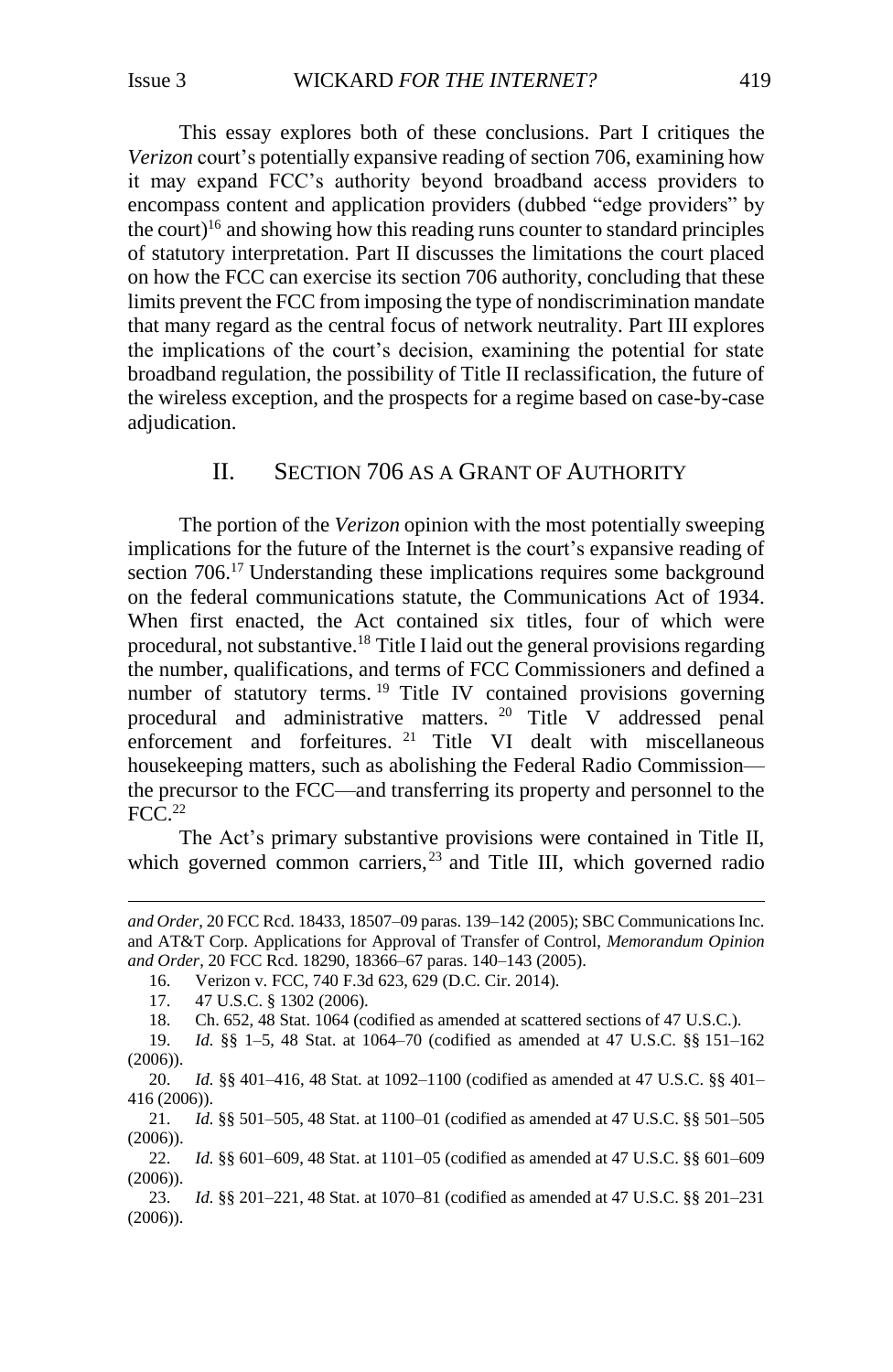This essay explores both of these conclusions. Part I critiques the *Verizon* court's potentially expansive reading of section 706, examining how it may expand FCC's authority beyond broadband access providers to encompass content and application providers (dubbed "edge providers" by the court)<sup>16</sup> and showing how this reading runs counter to standard principles of statutory interpretation. Part II discusses the limitations the court placed on how the FCC can exercise its section 706 authority, concluding that these limits prevent the FCC from imposing the type of nondiscrimination mandate that many regard as the central focus of network neutrality. Part III explores the implications of the court's decision, examining the potential for state broadband regulation, the possibility of Title II reclassification, the future of the wireless exception, and the prospects for a regime based on case-by-case adjudication.

# II. SECTION 706 AS A GRANT OF AUTHORITY

<span id="page-4-0"></span>The portion of the *Verizon* opinion with the most potentially sweeping implications for the future of the Internet is the court's expansive reading of section 706.<sup>17</sup> Understanding these implications requires some background on the federal communications statute, the Communications Act of 1934. When first enacted, the Act contained six titles, four of which were procedural, not substantive.<sup>18</sup> Title I laid out the general provisions regarding the number, qualifications, and terms of FCC Commissioners and defined a number of statutory terms. <sup>19</sup> Title IV contained provisions governing procedural and administrative matters. <sup>20</sup> Title V addressed penal enforcement and forfeitures. <sup>21</sup> Title VI dealt with miscellaneous housekeeping matters, such as abolishing the Federal Radio Commission the precursor to the FCC—and transferring its property and personnel to the  $FCC.<sup>22</sup>$ 

The Act's primary substantive provisions were contained in Title II, which governed common carriers,<sup>23</sup> and Title III, which governed radio

l

19. *Id.* §§ 1–5, 48 Stat. at 1064–70 (codified as amended at 47 U.S.C. §§ 151–162  $(2006)$ ).

20. *Id.* §§ 401–416, 48 Stat. at 1092–1100 (codified as amended at 47 U.S.C. §§ 401– 416 (2006)).

21. *Id.* §§ 501–505, 48 Stat. at 1100–01 (codified as amended at 47 U.S.C. §§ 501–505  $(2006)$ ).

22. *Id.* §§ 601–609, 48 Stat. at 1101–05 (codified as amended at 47 U.S.C. §§ 601–609 (2006)).

23. *Id.* §§ 201–221, 48 Stat. at 1070–81 (codified as amended at 47 U.S.C. §§ 201–231 (2006)).

*and Order*, 20 FCC Rcd. 18433, 18507–09 paras. 139–142 (2005); SBC Communications Inc. and AT&T Corp. Applications for Approval of Transfer of Control, *Memorandum Opinion and Order*, 20 FCC Rcd. 18290, 18366–67 paras. 140–143 (2005).

<sup>16.</sup> Verizon v. FCC, 740 F.3d 623, 629 (D.C. Cir. 2014).

<sup>17.</sup> 47 U.S.C. § 1302 (2006).

<sup>18.</sup> Ch. 652, 48 Stat. 1064 (codified as amended at scattered sections of 47 U.S.C.).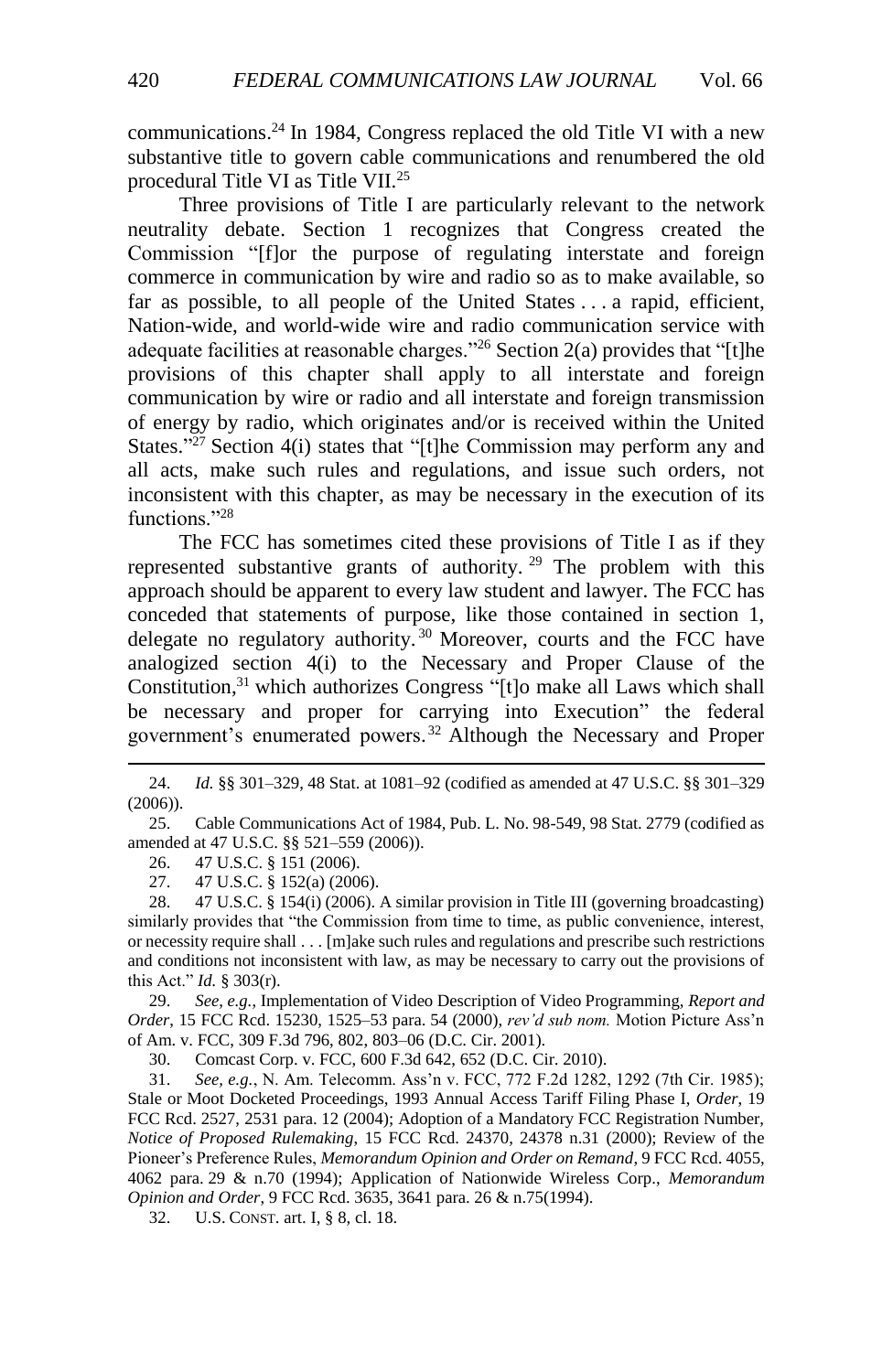communications. <sup>24</sup> In 1984, Congress replaced the old Title VI with a new substantive title to govern cable communications and renumbered the old procedural Title VI as Title VII. 25

Three provisions of Title I are particularly relevant to the network neutrality debate. Section 1 recognizes that Congress created the Commission "[f]or the purpose of regulating interstate and foreign commerce in communication by wire and radio so as to make available, so far as possible, to all people of the United States . . . a rapid, efficient, Nation-wide, and world-wide wire and radio communication service with adequate facilities at reasonable charges."<sup>26</sup> Section 2(a) provides that "[t]he provisions of this chapter shall apply to all interstate and foreign communication by wire or radio and all interstate and foreign transmission of energy by radio, which originates and/or is received within the United States."<sup>27</sup> Section 4(i) states that "[t]he Commission may perform any and all acts, make such rules and regulations, and issue such orders, not inconsistent with this chapter, as may be necessary in the execution of its functions."28

The FCC has sometimes cited these provisions of Title I as if they represented substantive grants of authority.  $29$  The problem with this approach should be apparent to every law student and lawyer. The FCC has conceded that statements of purpose, like those contained in section 1, delegate no regulatory authority.<sup>30</sup> Moreover, courts and the FCC have analogized section 4(i) to the Necessary and Proper Clause of the Constitution, <sup>31</sup> which authorizes Congress "[t]o make all Laws which shall be necessary and proper for carrying into Execution" the federal government's enumerated powers. <sup>32</sup> Although the Necessary and Proper

26. 47 U.S.C. § 151 (2006).

l

27. 47 U.S.C. § 152(a) (2006).

28. 47 U.S.C. § 154(i) (2006). A similar provision in Title III (governing broadcasting) similarly provides that "the Commission from time to time, as public convenience, interest, or necessity require shall . . . [m]ake such rules and regulations and prescribe such restrictions and conditions not inconsistent with law, as may be necessary to carry out the provisions of this Act." *Id.* § 303(r).

29. *See, e.g.*, Implementation of Video Description of Video Programming, *Report and Order*, 15 FCC Rcd. 15230, 1525–53 para. 54 (2000), *rev'd sub nom.* Motion Picture Ass'n of Am. v. FCC, 309 F.3d 796, 802, 803–06 (D.C. Cir. 2001).

30. Comcast Corp. v. FCC, 600 F.3d 642, 652 (D.C. Cir. 2010).

31. *See, e.g.*, N. Am. Telecomm. Ass'n v. FCC, 772 F.2d 1282, 1292 (7th Cir. 1985); Stale or Moot Docketed Proceedings, 1993 Annual Access Tariff Filing Phase I, *Order*, 19 FCC Rcd. 2527, 2531 para. 12 (2004); Adoption of a Mandatory FCC Registration Number, *Notice of Proposed Rulemaking*, 15 FCC Rcd. 24370, 24378 n.31 (2000); Review of the Pioneer's Preference Rules, *Memorandum Opinion and Order on Remand*, 9 FCC Rcd. 4055, 4062 para. 29 & n.70 (1994); Application of Nationwide Wireless Corp., *Memorandum Opinion and Order*, 9 FCC Rcd. 3635, 3641 para. 26 & n.75(1994).

32. U.S. CONST. art. I, § 8, cl. 18.

<sup>24.</sup> *Id.* §§ 301–329, 48 Stat. at 1081–92 (codified as amended at 47 U.S.C. §§ 301–329 (2006)).

<sup>25.</sup> Cable Communications Act of 1984, Pub. L. No. 98-549, 98 Stat. 2779 (codified as amended at 47 U.S.C. §§ 521–559 (2006)).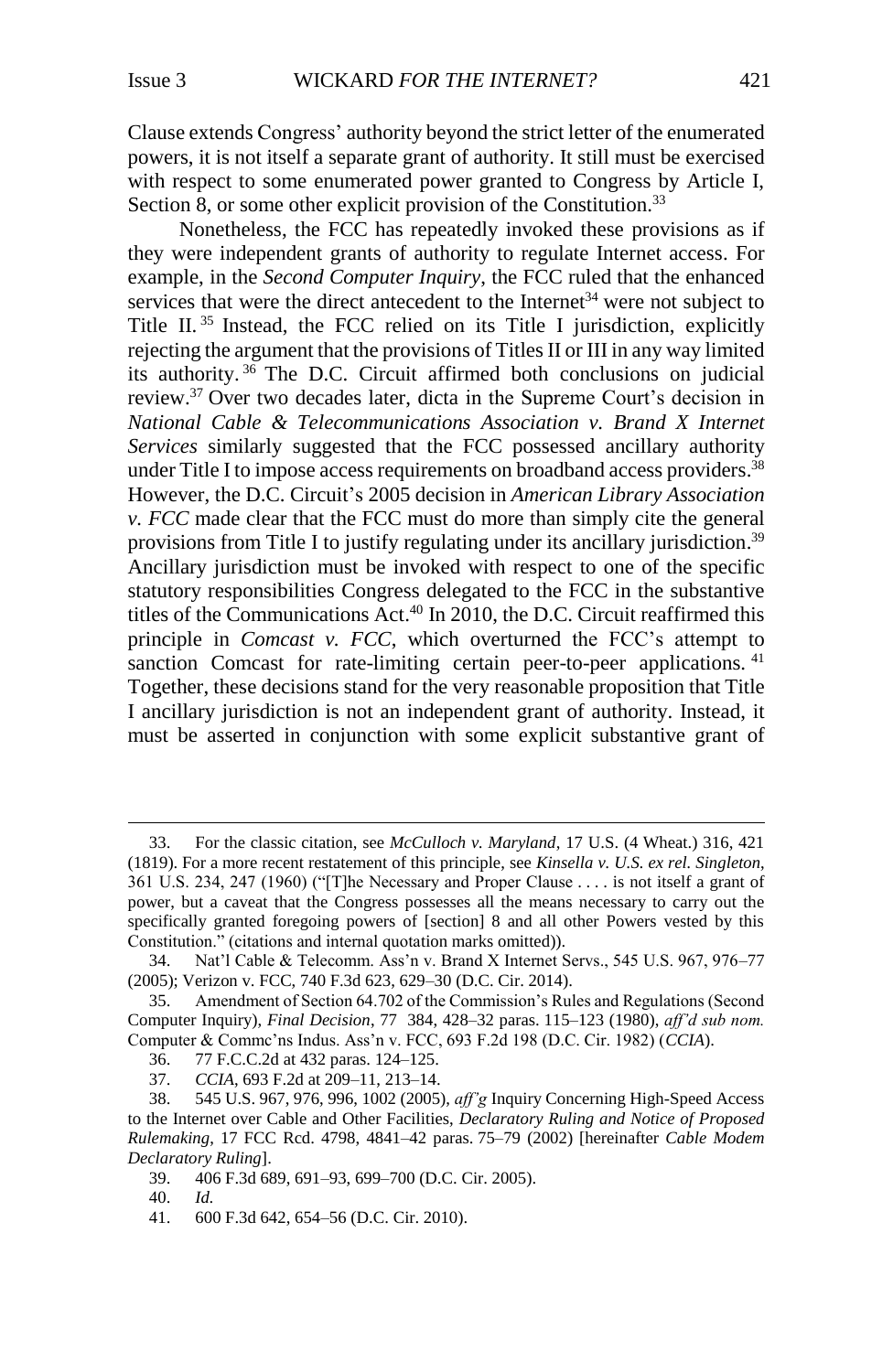Clause extends Congress' authority beyond the strict letter of the enumerated powers, it is not itself a separate grant of authority. It still must be exercised with respect to some enumerated power granted to Congress by Article I, Section 8, or some other explicit provision of the Constitution.<sup>33</sup>

<span id="page-6-0"></span>Nonetheless, the FCC has repeatedly invoked these provisions as if they were independent grants of authority to regulate Internet access. For example, in the *Second Computer Inquiry*, the FCC ruled that the enhanced services that were the direct antecedent to the Internet<sup>34</sup> were not subject to Title II. <sup>35</sup> Instead, the FCC relied on its Title I jurisdiction, explicitly rejecting the argument that the provisions of Titles II or III in any way limited its authority. <sup>36</sup> The D.C. Circuit affirmed both conclusions on judicial review.<sup>37</sup> Over two decades later, dicta in the Supreme Court's decision in *National Cable & Telecommunications Association v. Brand X Internet Services* similarly suggested that the FCC possessed ancillary authority under Title I to impose access requirements on broadband access providers.<sup>38</sup> However, the D.C. Circuit's 2005 decision in *American Library Association v. FCC* made clear that the FCC must do more than simply cite the general provisions from Title I to justify regulating under its ancillary jurisdiction.<sup>39</sup> Ancillary jurisdiction must be invoked with respect to one of the specific statutory responsibilities Congress delegated to the FCC in the substantive titles of the Communications Act. <sup>40</sup> In 2010, the D.C. Circuit reaffirmed this principle in *Comcast v. FCC*, which overturned the FCC's attempt to sanction Comcast for rate-limiting certain peer-to-peer applications.<sup>41</sup> Together, these decisions stand for the very reasonable proposition that Title I ancillary jurisdiction is not an independent grant of authority. Instead, it must be asserted in conjunction with some explicit substantive grant of

<sup>33.</sup> For the classic citation, see *McCulloch v. Maryland*, 17 U.S. (4 Wheat.) 316, 421 (1819). For a more recent restatement of this principle, see *Kinsella v. U.S. ex rel. Singleton*, 361 U.S. 234, 247 (1960) ("[T]he Necessary and Proper Clause . . . . is not itself a grant of power, but a caveat that the Congress possesses all the means necessary to carry out the specifically granted foregoing powers of [section] 8 and all other Powers vested by this Constitution." (citations and internal quotation marks omitted)).

<sup>34.</sup> Nat'l Cable & Telecomm. Ass'n v. Brand X Internet Servs., 545 U.S. 967, 976–77 (2005); Verizon v. FCC, 740 F.3d 623, 629–30 (D.C. Cir. 2014).

<sup>35.</sup> Amendment of Section 64.702 of the Commission's Rules and Regulations (Second Computer Inquiry), *Final Decision*, 77 384, 428–32 paras. 115–123 (1980), *aff'd sub nom.* Computer & Commc'ns Indus. Ass'n v. FCC, 693 F.2d 198 (D.C. Cir. 1982) (*CCIA*).

<sup>36.</sup> 77 F.C.C.2d at 432 paras. 124–125.

<sup>37.</sup> *CCIA*, 693 F.2d at 209–11, 213–14.

<sup>38.</sup> 545 U.S. 967, 976, 996, 1002 (2005), *aff'g* Inquiry Concerning High-Speed Access to the Internet over Cable and Other Facilities, *Declaratory Ruling and Notice of Proposed Rulemaking*, 17 FCC Rcd. 4798, 4841–42 paras. 75–79 (2002) [hereinafter *Cable Modem Declaratory Ruling*].

<sup>39.</sup> 406 F.3d 689, 691–93, 699–700 (D.C. Cir. 2005).

<sup>40.</sup> *Id.*

<sup>41.</sup> 600 F.3d 642, 654–56 (D.C. Cir. 2010).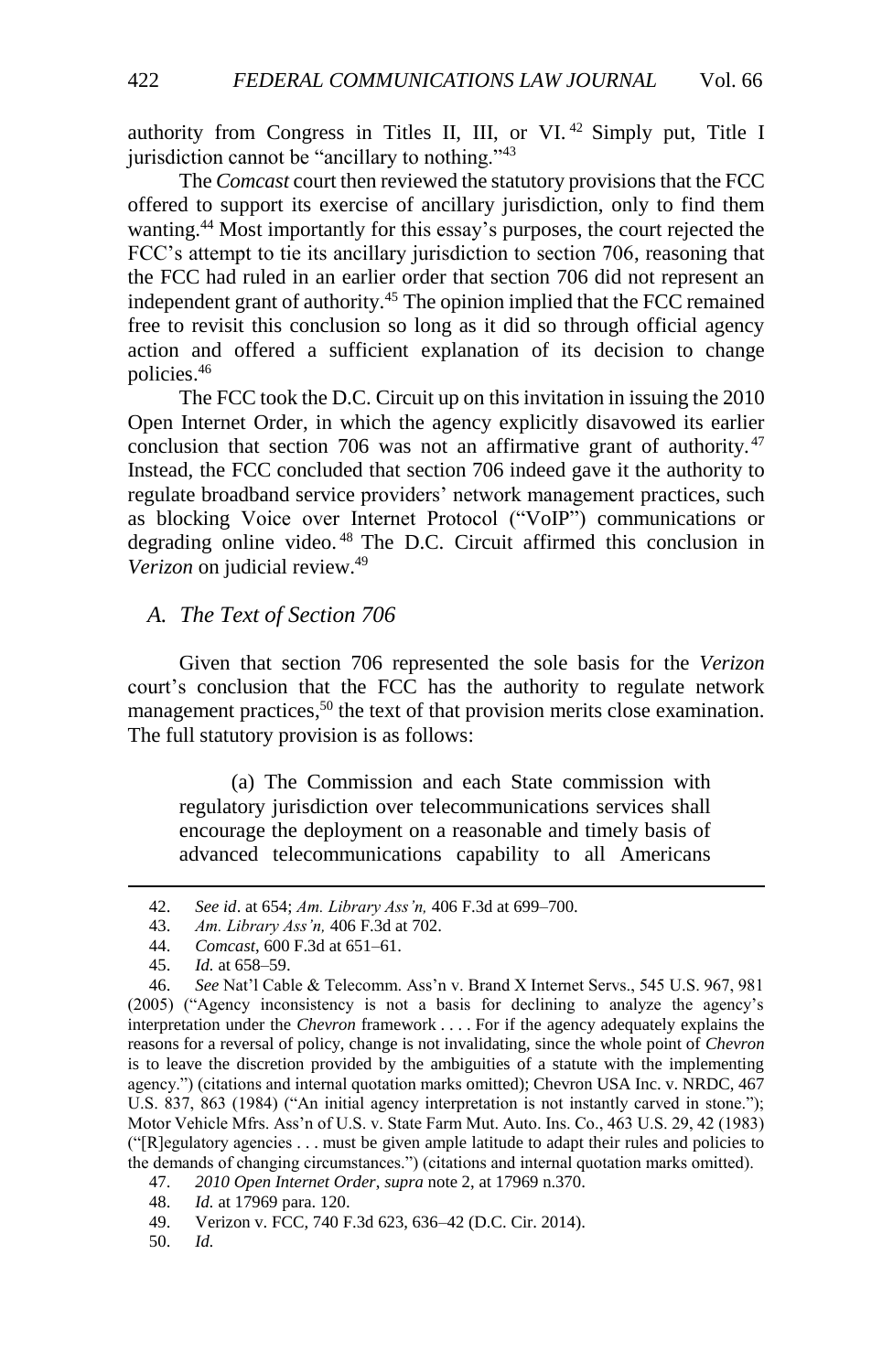authority from Congress in Titles II, III, or VI.<sup>42</sup> Simply put, Title I jurisdiction cannot be "ancillary to nothing."<sup>43</sup>

The *Comcast* court then reviewed the statutory provisions that the FCC offered to support its exercise of ancillary jurisdiction, only to find them wanting.<sup>44</sup> Most importantly for this essay's purposes, the court rejected the FCC's attempt to tie its ancillary jurisdiction to section 706, reasoning that the FCC had ruled in an earlier order that section 706 did not represent an independent grant of authority.<sup>45</sup> The opinion implied that the FCC remained free to revisit this conclusion so long as it did so through official agency action and offered a sufficient explanation of its decision to change policies.<sup>46</sup>

The FCC took the D.C. Circuit up on this invitation in issuing the 2010 Open Internet Order, in which the agency explicitly disavowed its earlier conclusion that section 706 was not an affirmative grant of authority.  $47$ Instead, the FCC concluded that section 706 indeed gave it the authority to regulate broadband service providers' network management practices, such as blocking Voice over Internet Protocol ("VoIP") communications or degrading online video. <sup>48</sup> The D.C. Circuit affirmed this conclusion in *Verizon* on judicial review.<sup>49</sup>

### <span id="page-7-0"></span>*A. The Text of Section 706*

Given that section 706 represented the sole basis for the *Verizon*  court's conclusion that the FCC has the authority to regulate network management practices,<sup>50</sup> the text of that provision merits close examination. The full statutory provision is as follows:

(a) The Commission and each State commission with regulatory jurisdiction over telecommunications services shall encourage the deployment on a reasonable and timely basis of advanced telecommunications capability to all Americans

l

50. *Id.*

<sup>42.</sup> *See id*. at 654; *Am. Library Ass'n,* 406 F.3d at 699–700.

<sup>43.</sup> *Am. Library Ass'n,* 406 F.3d at 702.

<sup>44.</sup> *Comcast*, 600 F.3d at 651–61.

<sup>45.</sup> *Id.* at 658–59.

<sup>46.</sup> *See* Nat'l Cable & Telecomm. Ass'n v. Brand X Internet Servs., 545 U.S. 967, 981 (2005) ("Agency inconsistency is not a basis for declining to analyze the agency's interpretation under the *Chevron* framework . . . . For if the agency adequately explains the reasons for a reversal of policy, change is not invalidating, since the whole point of *Chevron* is to leave the discretion provided by the ambiguities of a statute with the implementing agency.") (citations and internal quotation marks omitted); Chevron USA Inc. v. NRDC, 467 U.S. 837, 863 (1984) ("An initial agency interpretation is not instantly carved in stone."); Motor Vehicle Mfrs. Ass'n of U.S. v. State Farm Mut. Auto. Ins. Co., 463 U.S. 29, 42 (1983) ("[R]egulatory agencies . . . must be given ample latitude to adapt their rules and policies to the demands of changing circumstances.") (citations and internal quotation marks omitted).

<sup>47.</sup> *2010 Open Internet Order*, *supra* not[e 2,](#page-2-2) at 17969 n.370.

<sup>48.</sup> *Id.* at 17969 para. 120.

<sup>49.</sup> Verizon v. FCC, 740 F.3d 623, 636–42 (D.C. Cir. 2014).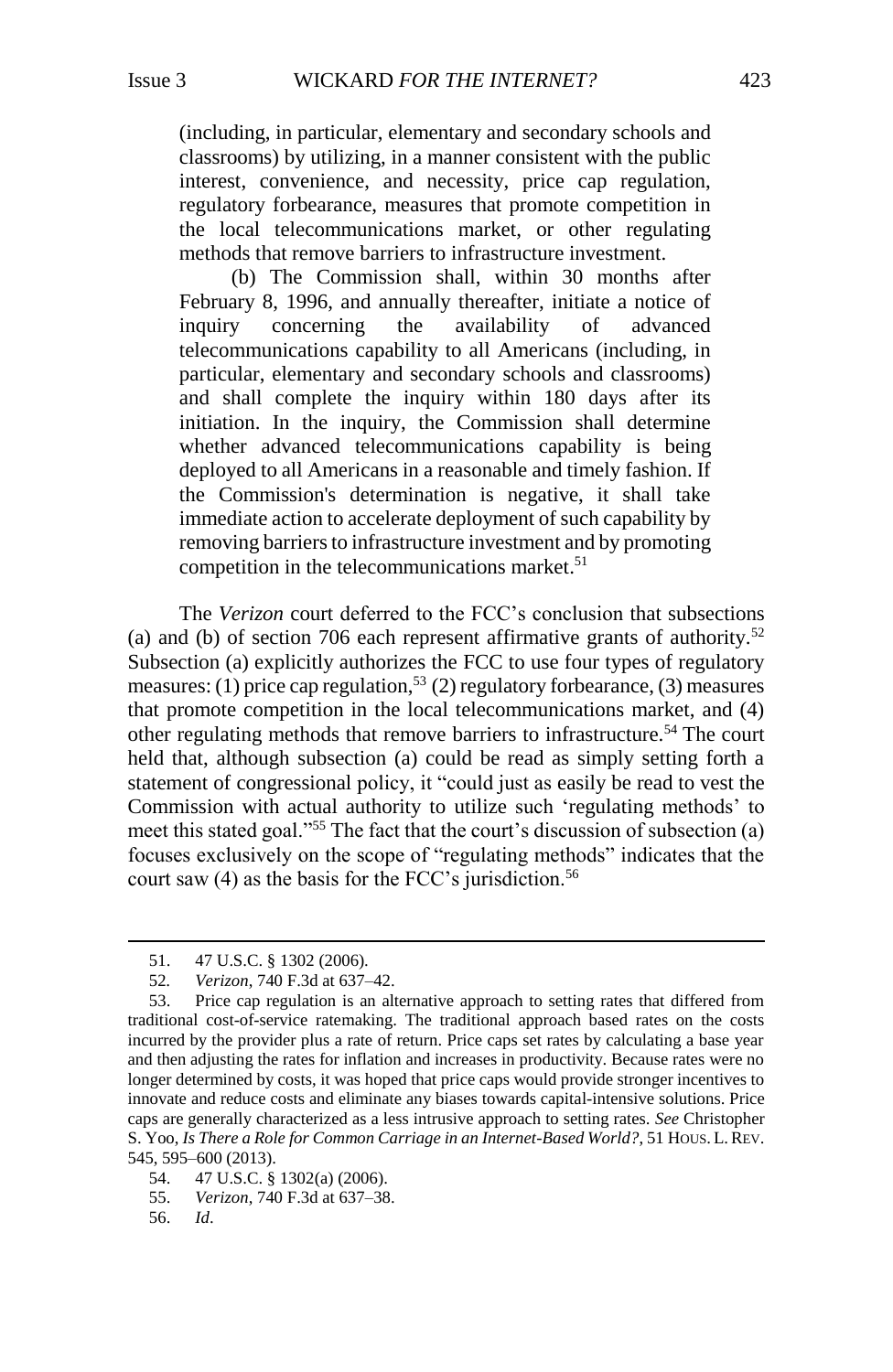(including, in particular, elementary and secondary schools and classrooms) by utilizing, in a manner consistent with the public interest, convenience, and necessity, price cap regulation, regulatory forbearance, measures that promote competition in the local telecommunications market, or other regulating methods that remove barriers to infrastructure investment.

(b) The Commission shall, within 30 months after February 8, 1996, and annually thereafter, initiate a notice of inquiry concerning the availability of advanced telecommunications capability to all Americans (including, in particular, elementary and secondary schools and classrooms) and shall complete the inquiry within 180 days after its initiation. In the inquiry, the Commission shall determine whether advanced telecommunications capability is being deployed to all Americans in a reasonable and timely fashion. If the Commission's determination is negative, it shall take immediate action to accelerate deployment of such capability by removing barriers to infrastructure investment and by promoting competition in the telecommunications market. 51

<span id="page-8-0"></span>The *Verizon* court deferred to the FCC's conclusion that subsections (a) and (b) of section 706 each represent affirmative grants of authority.<sup>52</sup> Subsection (a) explicitly authorizes the FCC to use four types of regulatory measures: (1) price cap regulation,<sup>53</sup> (2) regulatory for bearance, (3) measures that promote competition in the local telecommunications market, and (4) other regulating methods that remove barriers to infrastructure.<sup>54</sup> The court held that, although subsection (a) could be read as simply setting forth a statement of congressional policy, it "could just as easily be read to vest the Commission with actual authority to utilize such 'regulating methods' to meet this stated goal."<sup>55</sup> The fact that the court's discussion of subsection (a) focuses exclusively on the scope of "regulating methods" indicates that the court saw  $(4)$  as the basis for the FCC's jurisdiction.<sup>56</sup>

56. *Id*.

<sup>51.</sup> 47 U.S.C. § 1302 (2006).

<sup>52</sup>*. Verizon*, 740 F.3d at 637–42.

<sup>53.</sup> Price cap regulation is an alternative approach to setting rates that differed from traditional cost-of-service ratemaking. The traditional approach based rates on the costs incurred by the provider plus a rate of return. Price caps set rates by calculating a base year and then adjusting the rates for inflation and increases in productivity. Because rates were no longer determined by costs, it was hoped that price caps would provide stronger incentives to innovate and reduce costs and eliminate any biases towards capital-intensive solutions. Price caps are generally characterized as a less intrusive approach to setting rates. *See* Christopher S. Yoo, *Is There a Role for Common Carriage in an Internet-Based World?*, 51 HOUS. L.REV. 545, 595–600 (2013).

<sup>54.</sup> 47 U.S.C. § 1302(a) (2006).

<sup>55.</sup> *Verizon*, 740 F.3d at 637–38.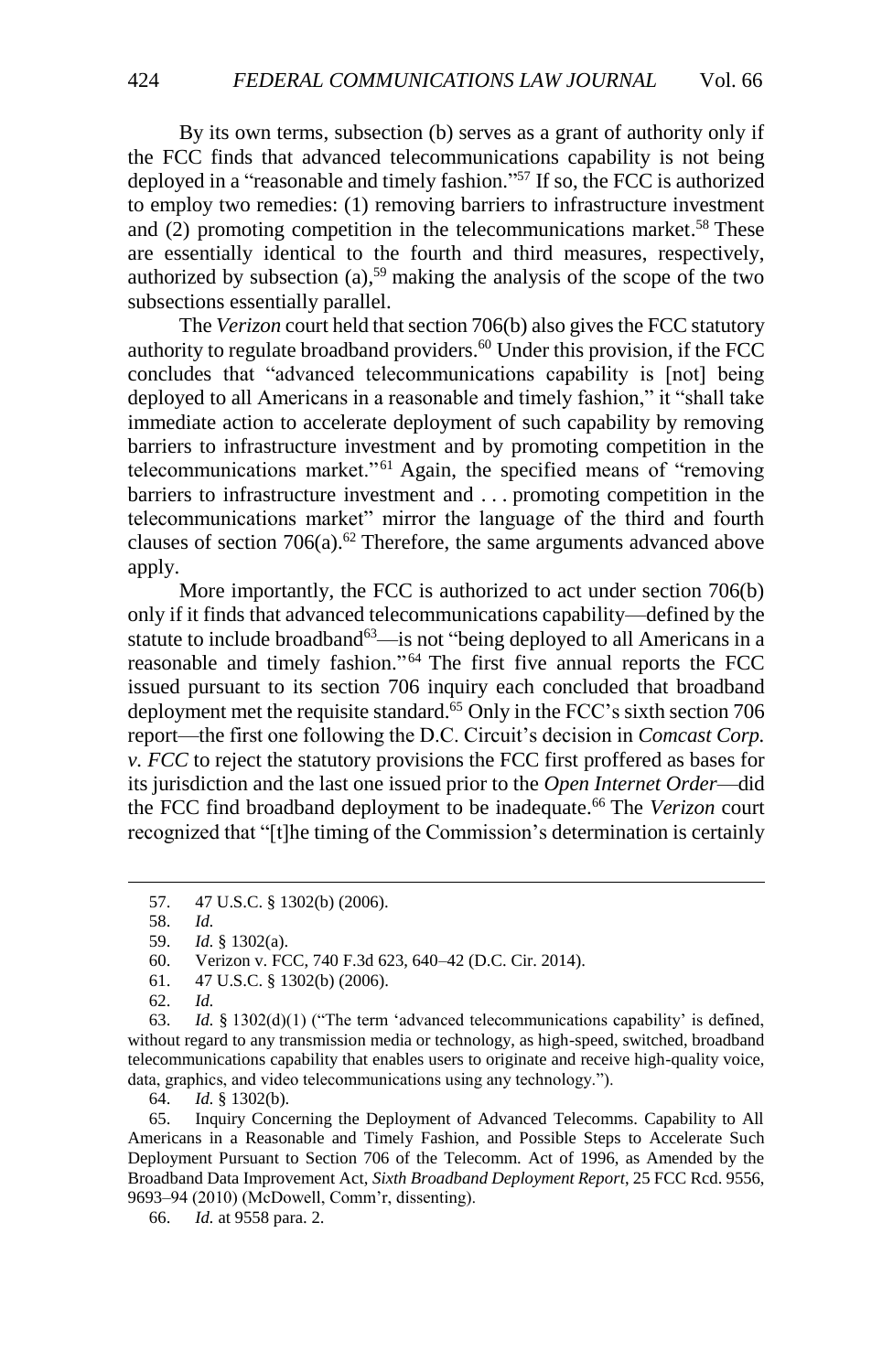By its own terms, subsection (b) serves as a grant of authority only if the FCC finds that advanced telecommunications capability is not being deployed in a "reasonable and timely fashion." <sup>57</sup> If so, the FCC is authorized to employ two remedies: (1) removing barriers to infrastructure investment and (2) promoting competition in the telecommunications market. <sup>58</sup> These are essentially identical to the fourth and third measures, respectively, authorized by subsection  $(a)$ ,<sup>59</sup> making the analysis of the scope of the two subsections essentially parallel.

The *Verizon* court held that section 706(b) also gives the FCC statutory authority to regulate broadband providers.<sup>60</sup> Under this provision, if the FCC concludes that "advanced telecommunications capability is [not] being deployed to all Americans in a reasonable and timely fashion," it "shall take immediate action to accelerate deployment of such capability by removing barriers to infrastructure investment and by promoting competition in the telecommunications market."<sup>61</sup> Again, the specified means of "removing barriers to infrastructure investment and . . . promoting competition in the telecommunications market" mirror the language of the third and fourth clauses of section  $706(a)$ .<sup>62</sup> Therefore, the same arguments advanced above apply.

More importantly, the FCC is authorized to act under section 706(b) only if it finds that advanced telecommunications capability—defined by the statute to include broadband<sup>63</sup>—is not "being deployed to all Americans in a reasonable and timely fashion." <sup>64</sup> The first five annual reports the FCC issued pursuant to its section 706 inquiry each concluded that broadband deployment met the requisite standard.<sup>65</sup> Only in the FCC's sixth section 706 report—the first one following the D.C. Circuit's decision in *Comcast Corp. v. FCC* to reject the statutory provisions the FCC first proffered as bases for its jurisdiction and the last one issued prior to the *Open Internet Order*—did the FCC find broadband deployment to be inadequate.<sup>66</sup> The *Verizon* court recognized that "[t]he timing of the Commission's determination is certainly

<sup>57.</sup> 47 U.S.C. § 1302(b) (2006).

<sup>58.</sup> *Id.*

<sup>59.</sup> *Id.* § 1302(a).

<sup>60.</sup> Verizon v. FCC, 740 F.3d 623, 640–42 (D.C. Cir. 2014).

<sup>61.</sup> 47 U.S.C. § 1302(b) (2006).

<sup>62.</sup> *Id.*

<sup>63.</sup> *Id.* § 1302(d)(1) ("The term 'advanced telecommunications capability' is defined, without regard to any transmission media or technology, as high-speed, switched, broadband telecommunications capability that enables users to originate and receive high-quality voice, data, graphics, and video telecommunications using any technology.").

<sup>64.</sup> *Id.* § 1302(b).

<sup>65.</sup> Inquiry Concerning the Deployment of Advanced Telecomms. Capability to All Americans in a Reasonable and Timely Fashion, and Possible Steps to Accelerate Such Deployment Pursuant to Section 706 of the Telecomm. Act of 1996, as Amended by the Broadband Data Improvement Act, *Sixth Broadband Deployment Report*, 25 FCC Rcd. 9556, 9693–94 (2010) (McDowell, Comm'r, dissenting).

<sup>66.</sup> *Id.* at 9558 para. 2.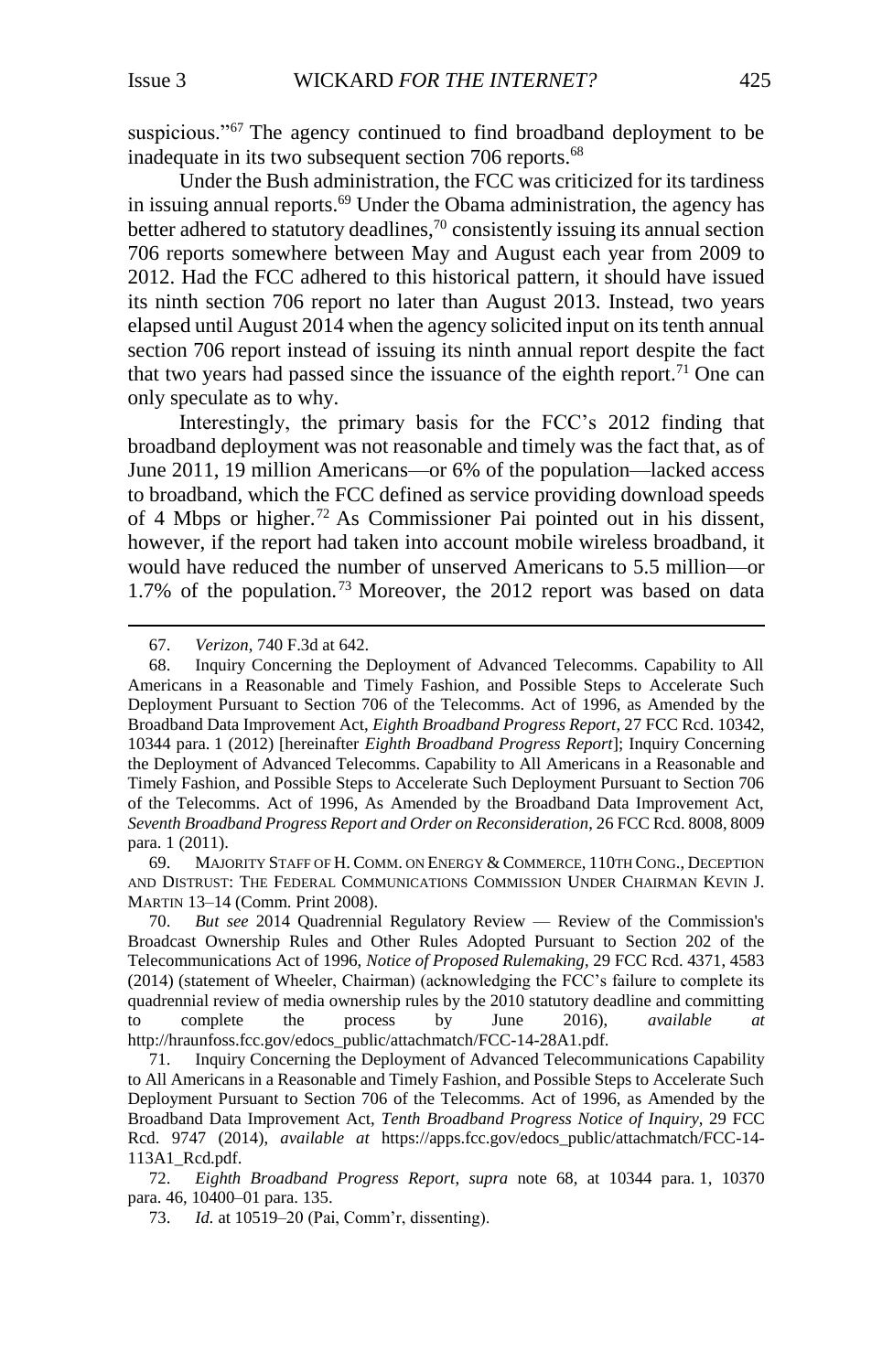suspicious."<sup>67</sup> The agency continued to find broadband deployment to be inadequate in its two subsequent section 706 reports.<sup>68</sup>

<span id="page-10-0"></span>Under the Bush administration, the FCC was criticized for its tardiness in issuing annual reports.<sup>69</sup> Under the Obama administration, the agency has better adhered to statutory deadlines,<sup>70</sup> consistently issuing its annual section 706 reports somewhere between May and August each year from 2009 to 2012. Had the FCC adhered to this historical pattern, it should have issued its ninth section 706 report no later than August 2013. Instead, two years elapsed until August 2014 when the agency solicited input on its tenth annual section 706 report instead of issuing its ninth annual report despite the fact that two years had passed since the issuance of the eighth report.<sup>71</sup> One can only speculate as to why.

Interestingly, the primary basis for the FCC's 2012 finding that broadband deployment was not reasonable and timely was the fact that, as of June 2011, 19 million Americans—or 6% of the population—lacked access to broadband, which the FCC defined as service providing download speeds of 4 Mbps or higher. <sup>72</sup> As Commissioner Pai pointed out in his dissent, however, if the report had taken into account mobile wireless broadband, it would have reduced the number of unserved Americans to 5.5 million—or 1.7% of the population.<sup>73</sup> Moreover, the 2012 report was based on data

67. *Verizon*, 740 F.3d at 642.

 $\overline{a}$ 

69. MAJORITY STAFF OF H. COMM. ON ENERGY & COMMERCE, 110TH CONG., DECEPTION AND DISTRUST: THE FEDERAL COMMUNICATIONS COMMISSION UNDER CHAIRMAN KEVIN J. MARTIN 13–14 (Comm. Print 2008).

70. *But see* 2014 Quadrennial Regulatory Review — Review of the Commission's Broadcast Ownership Rules and Other Rules Adopted Pursuant to Section 202 of the Telecommunications Act of 1996, *Notice of Proposed Rulemaking*, 29 FCC Rcd. 4371, 4583 (2014) (statement of Wheeler, Chairman) (acknowledging the FCC's failure to complete its quadrennial review of media ownership rules by the 2010 statutory deadline and committing to complete the process by June 2016), *available at* http://hraunfoss.fcc.gov/edocs\_public/attachmatch/FCC-14-28A1.pdf.

71. Inquiry Concerning the Deployment of Advanced Telecommunications Capability to All Americans in a Reasonable and Timely Fashion, and Possible Steps to Accelerate Such Deployment Pursuant to Section 706 of the Telecomms. Act of 1996, as Amended by the Broadband Data Improvement Act, *Tenth Broadband Progress Notice of Inquiry*, 29 FCC Rcd. 9747 (2014), *available at* https://apps.fcc.gov/edocs\_public/attachmatch/FCC-14- 113A1\_Rcd.pdf.

72. *Eighth Broadband Progress Report*, *supra* note [68,](#page-10-0) at 10344 para. 1, 10370 para. 46, 10400–01 para. 135.

73. *Id.* at 10519–20 (Pai, Comm'r, dissenting).

<sup>68.</sup> Inquiry Concerning the Deployment of Advanced Telecomms. Capability to All Americans in a Reasonable and Timely Fashion, and Possible Steps to Accelerate Such Deployment Pursuant to Section 706 of the Telecomms. Act of 1996, as Amended by the Broadband Data Improvement Act, *Eighth Broadband Progress Report*, 27 FCC Rcd. 10342, 10344 para. 1 (2012) [hereinafter *Eighth Broadband Progress Report*]; Inquiry Concerning the Deployment of Advanced Telecomms. Capability to All Americans in a Reasonable and Timely Fashion, and Possible Steps to Accelerate Such Deployment Pursuant to Section 706 of the Telecomms. Act of 1996, As Amended by the Broadband Data Improvement Act, *Seventh Broadband Progress Report and Order on Reconsideration*, 26 FCC Rcd. 8008, 8009 para. 1 (2011).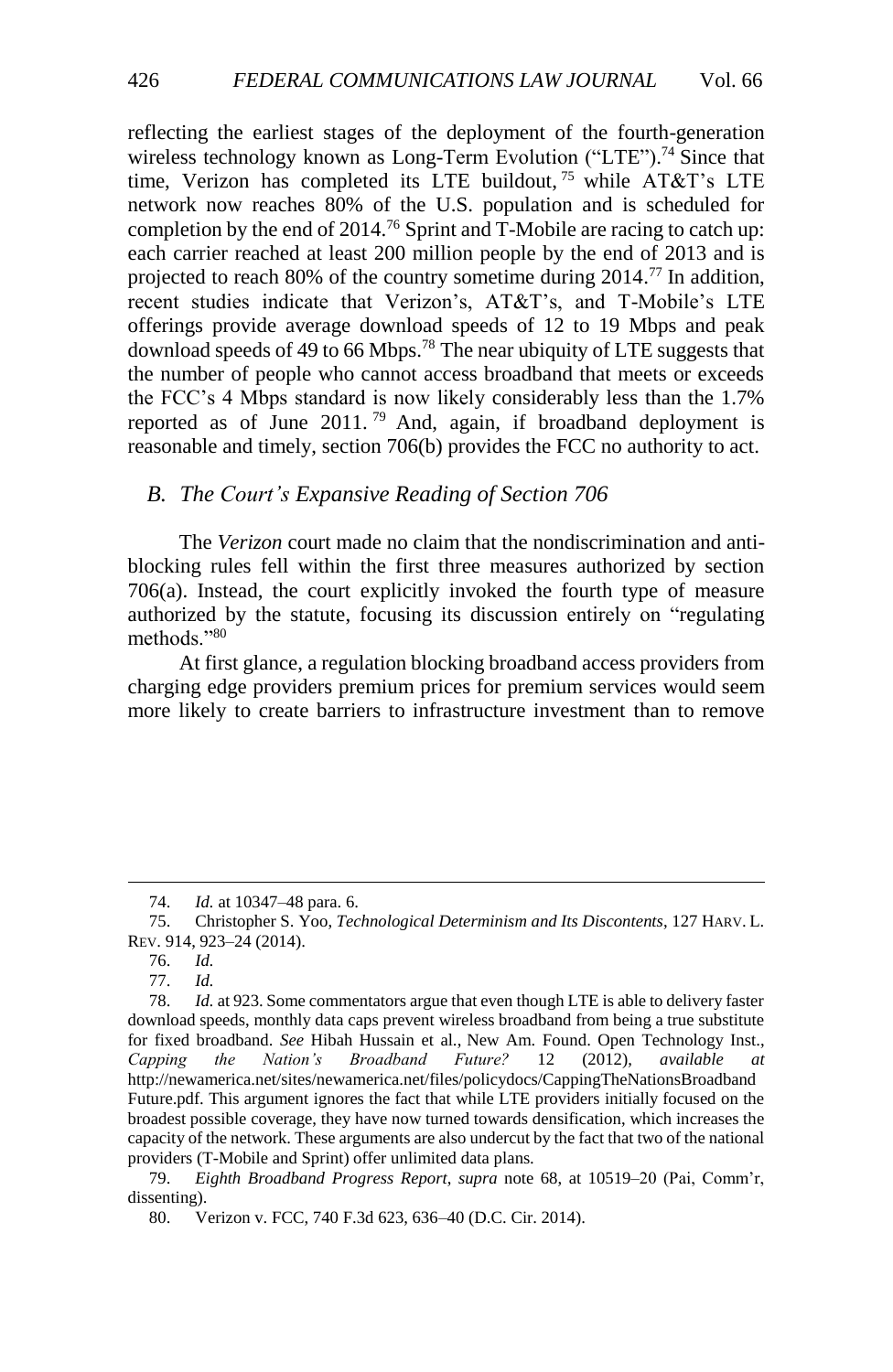<span id="page-11-1"></span>reflecting the earliest stages of the deployment of the fourth-generation wireless technology known as Long-Term Evolution ("LTE").<sup>74</sup> Since that time, Verizon has completed its LTE buildout, <sup>75</sup> while AT&T's LTE network now reaches 80% of the U.S. population and is scheduled for completion by the end of 2014.<sup>76</sup> Sprint and T-Mobile are racing to catch up: each carrier reached at least 200 million people by the end of 2013 and is projected to reach 80% of the country sometime during  $2014$ .<sup>77</sup> In addition, recent studies indicate that Verizon's, AT&T's, and T-Mobile's LTE offerings provide average download speeds of 12 to 19 Mbps and peak download speeds of 49 to 66 Mbps.<sup>78</sup> The near ubiquity of LTE suggests that the number of people who cannot access broadband that meets or exceeds the FCC's 4 Mbps standard is now likely considerably less than the 1.7% reported as of June 2011. <sup>79</sup> And, again, if broadband deployment is reasonable and timely, section 706(b) provides the FCC no authority to act.

### <span id="page-11-0"></span>*B. The Court's Expansive Reading of Section 706*

The *Verizon* court made no claim that the nondiscrimination and antiblocking rules fell within the first three measures authorized by section 706(a). Instead, the court explicitly invoked the fourth type of measure authorized by the statute, focusing its discussion entirely on "regulating methods."<sup>80</sup>

At first glance, a regulation blocking broadband access providers from charging edge providers premium prices for premium services would seem more likely to create barriers to infrastructure investment than to remove

<sup>74.</sup> *Id.* at 10347–48 para. 6.

<sup>75.</sup> Christopher S. Yoo, *Technological Determinism and Its Discontents*, 127 HARV. L. REV. 914, 923–24 (2014).

<sup>76.</sup> *Id.*

<sup>77.</sup> *Id.*

<sup>78.</sup> *Id.* at 923. Some commentators argue that even though LTE is able to delivery faster download speeds, monthly data caps prevent wireless broadband from being a true substitute for fixed broadband. *See* Hibah Hussain et al., New Am. Found. Open Technology Inst., *Capping the Nation's Broadband Future?* 12 (2012), *available at* http://newamerica.net/sites/newamerica.net/files/policydocs/CappingTheNationsBroadband Future.pdf. This argument ignores the fact that while LTE providers initially focused on the broadest possible coverage, they have now turned towards densification, which increases the capacity of the network. These arguments are also undercut by the fact that two of the national providers (T-Mobile and Sprint) offer unlimited data plans.

<sup>79.</sup> *Eighth Broadband Progress Report*, *supra* note [68,](#page-10-0) at 10519–20 (Pai, Comm'r, dissenting).

<sup>80.</sup> Verizon v. FCC, 740 F.3d 623, 636–40 (D.C. Cir. 2014).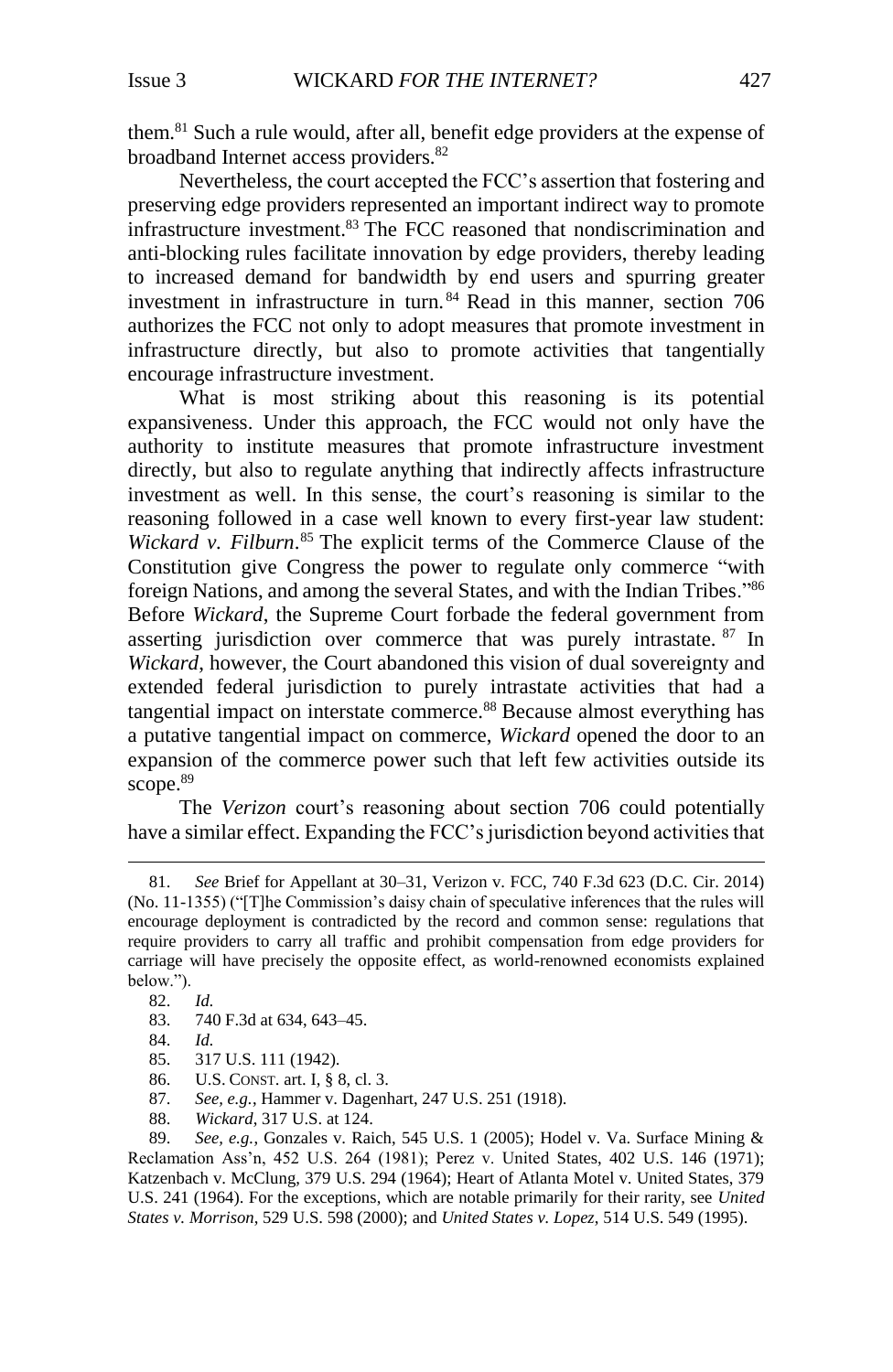them. <sup>81</sup> Such a rule would, after all, benefit edge providers at the expense of broadband Internet access providers.<sup>82</sup>

Nevertheless, the court accepted the FCC's assertion that fostering and preserving edge providers represented an important indirect way to promote infrastructure investment. <sup>83</sup> The FCC reasoned that nondiscrimination and anti-blocking rules facilitate innovation by edge providers, thereby leading to increased demand for bandwidth by end users and spurring greater investment in infrastructure in turn. <sup>84</sup> Read in this manner, section 706 authorizes the FCC not only to adopt measures that promote investment in infrastructure directly, but also to promote activities that tangentially encourage infrastructure investment.

What is most striking about this reasoning is its potential expansiveness. Under this approach, the FCC would not only have the authority to institute measures that promote infrastructure investment directly, but also to regulate anything that indirectly affects infrastructure investment as well. In this sense, the court's reasoning is similar to the reasoning followed in a case well known to every first-year law student: *Wickard v. Filburn*. <sup>85</sup> The explicit terms of the Commerce Clause of the Constitution give Congress the power to regulate only commerce "with foreign Nations, and among the several States, and with the Indian Tribes."<sup>86</sup> Before *Wickard*, the Supreme Court forbade the federal government from asserting jurisdiction over commerce that was purely intrastate. <sup>87</sup> In *Wickard*, however, the Court abandoned this vision of dual sovereignty and extended federal jurisdiction to purely intrastate activities that had a tangential impact on interstate commerce.<sup>88</sup> Because almost everything has a putative tangential impact on commerce, *Wickard* opened the door to an expansion of the commerce power such that left few activities outside its scope. 89

The *Verizon* court's reasoning about section 706 could potentially have a similar effect. Expanding the FCC's jurisdiction beyond activities that

l

- U.S. CONST. art. I, § 8, cl. 3.
- 87. *See, e.g.*, Hammer v. Dagenhart, 247 U.S. 251 (1918).
- 88. *Wickard*, 317 U.S. at 124.

89. *See, e.g.*, Gonzales v. Raich, 545 U.S. 1 (2005); Hodel v. Va. Surface Mining & Reclamation Ass'n, 452 U.S. 264 (1981); Perez v. United States, 402 U.S. 146 (1971); Katzenbach v. McClung, 379 U.S. 294 (1964); Heart of Atlanta Motel v. United States, 379 U.S. 241 (1964). For the exceptions, which are notable primarily for their rarity, see *United States v. Morrison*, 529 U.S. 598 (2000); and *United States v. Lopez*, 514 U.S. 549 (1995).

<sup>81.</sup> *See* Brief for Appellant at 30–31, Verizon v. FCC, 740 F.3d 623 (D.C. Cir. 2014) (No. 11-1355) ("[T]he Commission's daisy chain of speculative inferences that the rules will encourage deployment is contradicted by the record and common sense: regulations that require providers to carry all traffic and prohibit compensation from edge providers for carriage will have precisely the opposite effect, as world-renowned economists explained below.").

<sup>82.</sup> *Id.*

<sup>83.</sup> 740 F.3d at 634, 643–45.

<sup>84.</sup> *Id.*

<sup>85. 317</sup> U.S. 111 (1942).<br>86. U.S. CONST. art. I. 8 8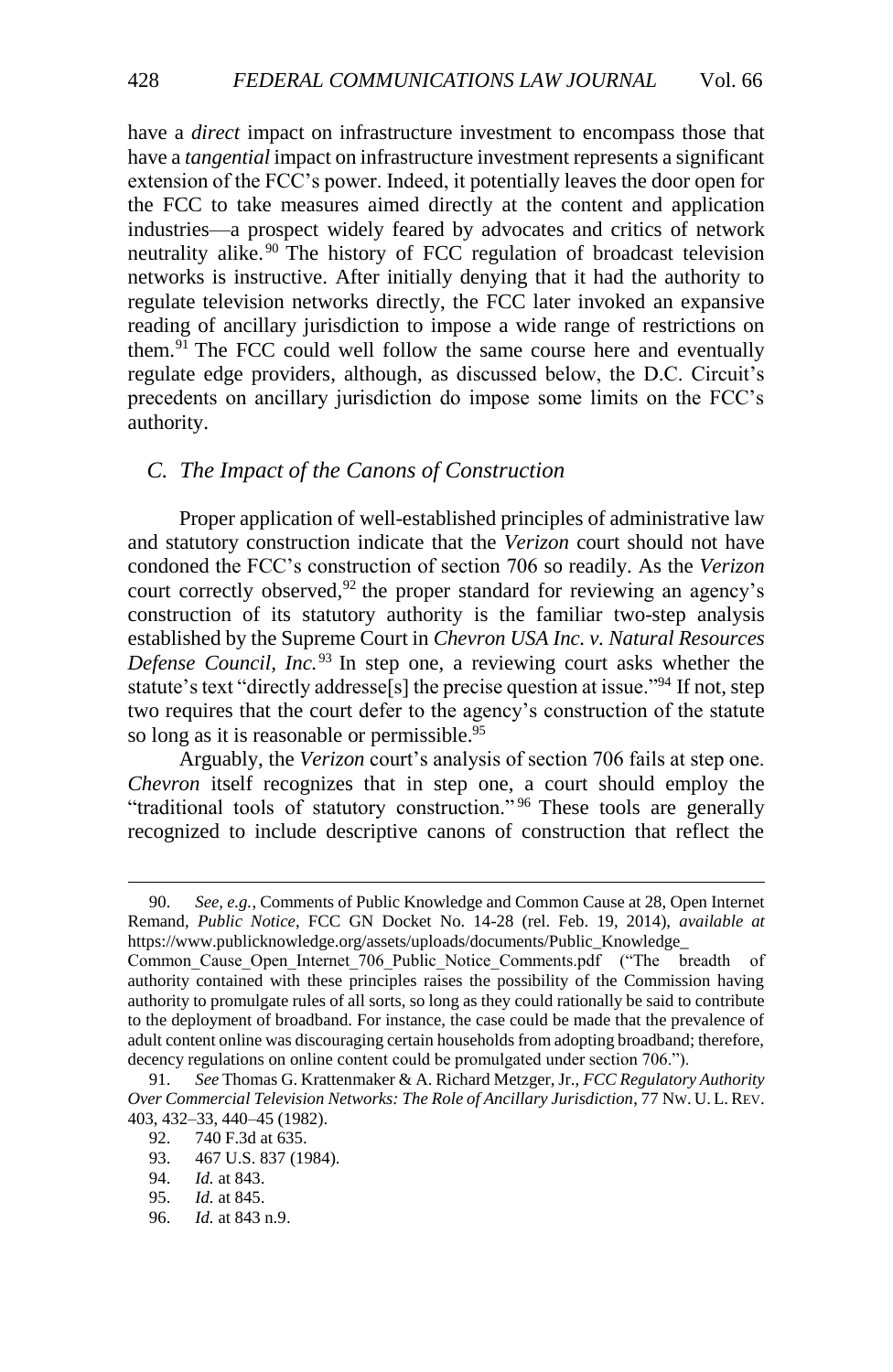have a *direct* impact on infrastructure investment to encompass those that have a *tangential* impact on infrastructure investment represents a significant extension of the FCC's power. Indeed, it potentially leaves the door open for the FCC to take measures aimed directly at the content and application industries—a prospect widely feared by advocates and critics of network neutrality alike. <sup>90</sup> The history of FCC regulation of broadcast television networks is instructive. After initially denying that it had the authority to regulate television networks directly, the FCC later invoked an expansive reading of ancillary jurisdiction to impose a wide range of restrictions on them.<sup>91</sup> The FCC could well follow the same course here and eventually regulate edge providers, although, as discussed below, the D.C. Circuit's precedents on ancillary jurisdiction do impose some limits on the FCC's authority.

### <span id="page-13-0"></span>*C. The Impact of the Canons of Construction*

Proper application of well-established principles of administrative law and statutory construction indicate that the *Verizon* court should not have condoned the FCC's construction of section 706 so readily. As the *Verizon* court correctly observed,<sup>92</sup> the proper standard for reviewing an agency's construction of its statutory authority is the familiar two-step analysis established by the Supreme Court in *Chevron USA Inc. v. Natural Resources Defense Council, Inc.*<sup>93</sup> In step one, a reviewing court asks whether the statute's text "directly addresse[s] the precise question at issue."<sup>94</sup> If not, step two requires that the court defer to the agency's construction of the statute so long as it is reasonable or permissible.<sup>95</sup>

Arguably, the *Verizon* court's analysis of section 706 fails at step one. *Chevron* itself recognizes that in step one, a court should employ the "traditional tools of statutory construction." <sup>96</sup> These tools are generally recognized to include descriptive canons of construction that reflect the

<sup>90.</sup> *See, e.g.*, Comments of Public Knowledge and Common Cause at 28, Open Internet Remand, *Public Notice*, FCC GN Docket No. 14-28 (rel. Feb. 19, 2014), *available at* https://www.publicknowledge.org/assets/uploads/documents/Public\_Knowledge\_

Common\_Cause\_Open\_Internet\_706\_Public\_Notice\_Comments.pdf ("The breadth of authority contained with these principles raises the possibility of the Commission having authority to promulgate rules of all sorts, so long as they could rationally be said to contribute to the deployment of broadband. For instance, the case could be made that the prevalence of adult content online was discouraging certain households from adopting broadband; therefore, decency regulations on online content could be promulgated under section 706.").

<sup>91.</sup> *See* Thomas G. Krattenmaker & A. Richard Metzger, Jr., *FCC Regulatory Authority Over Commercial Television Networks: The Role of Ancillary Jurisdiction*, 77 NW. U. L. REV. 403, 432–33, 440–45 (1982).

<sup>92.</sup> 740 F.3d at 635.

<sup>93.</sup> 467 U.S. 837 (1984).

<sup>94.</sup> *Id.* at 843.

<sup>95.</sup> *Id.* at 845.

<sup>96.</sup> *Id.* at 843 n.9.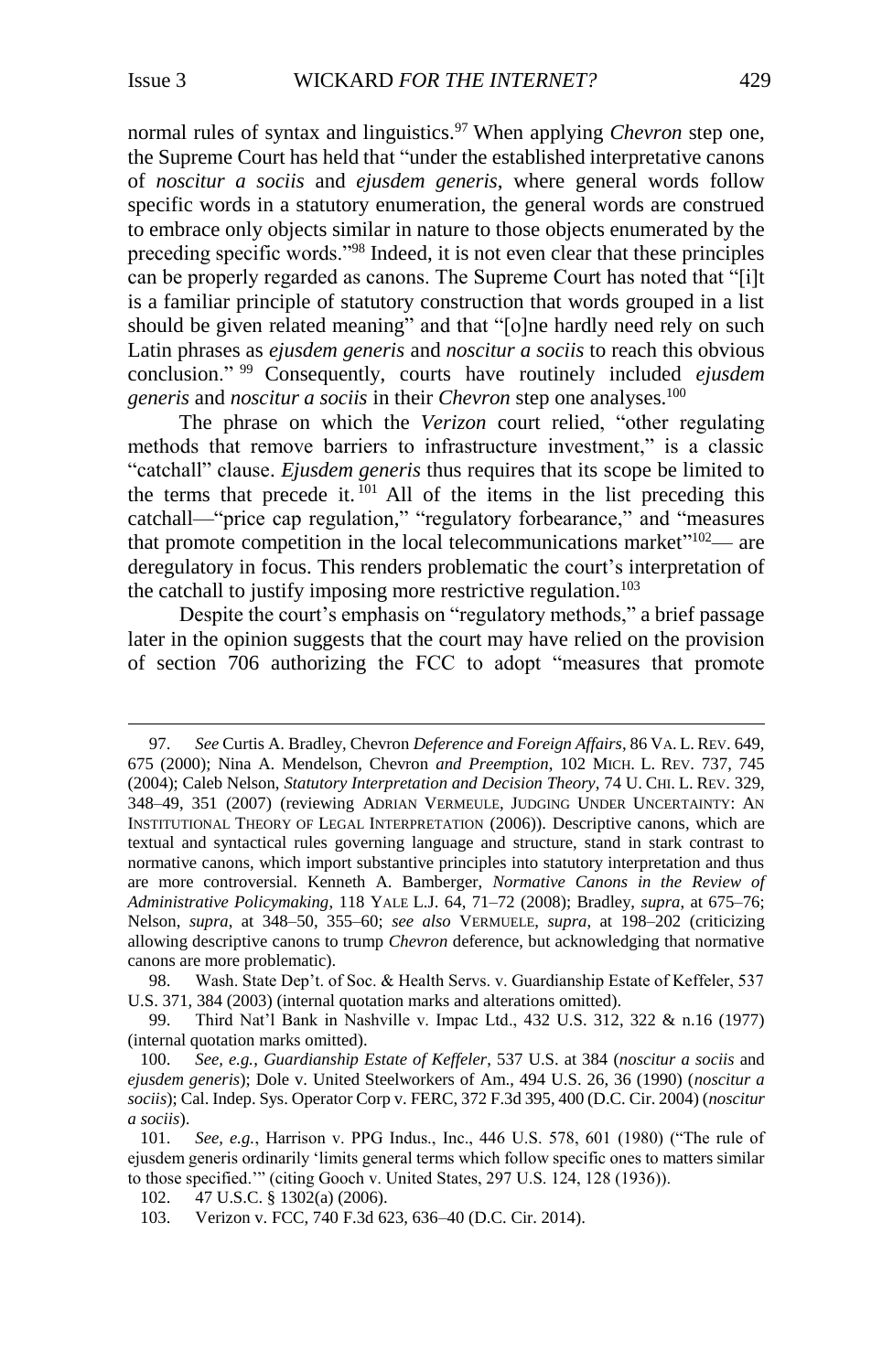$\overline{a}$ 

normal rules of syntax and linguistics.<sup>97</sup> When applying *Chevron* step one, the Supreme Court has held that "under the established interpretative canons of *noscitur a sociis* and *ejusdem generis*, where general words follow specific words in a statutory enumeration, the general words are construed to embrace only objects similar in nature to those objects enumerated by the preceding specific words."<sup>98</sup> Indeed, it is not even clear that these principles can be properly regarded as canons. The Supreme Court has noted that "[i]t is a familiar principle of statutory construction that words grouped in a list should be given related meaning" and that "[o]ne hardly need rely on such Latin phrases as *ejusdem generis* and *noscitur a sociis* to reach this obvious conclusion." <sup>99</sup> Consequently, courts have routinely included *ejusdem generis* and *noscitur a sociis* in their *Chevron* step one analyses.<sup>100</sup>

The phrase on which the *Verizon* court relied, "other regulating methods that remove barriers to infrastructure investment," is a classic "catchall" clause. *Ejusdem generis* thus requires that its scope be limited to the terms that precede it.  $^{101}$  All of the items in the list preceding this catchall—"price cap regulation," "regulatory forbearance," and "measures that promote competition in the local telecommunications market"<sup>102</sup>— are deregulatory in focus. This renders problematic the court's interpretation of the catchall to justify imposing more restrictive regulation.<sup>103</sup>

Despite the court's emphasis on "regulatory methods," a brief passage later in the opinion suggests that the court may have relied on the provision of section 706 authorizing the FCC to adopt "measures that promote

<sup>97.</sup> *See* Curtis A. Bradley, Chevron *Deference and Foreign Affairs*, 86 VA. L. REV. 649, 675 (2000); Nina A. Mendelson, Chevron *and Preemption*, 102 MICH. L. REV. 737, 745 (2004); Caleb Nelson, *Statutory Interpretation and Decision Theory*, 74 U. CHI. L. REV. 329, 348–49, 351 (2007) (reviewing ADRIAN VERMEULE, JUDGING UNDER UNCERTAINTY: AN INSTITUTIONAL THEORY OF LEGAL INTERPRETATION (2006)). Descriptive canons, which are textual and syntactical rules governing language and structure, stand in stark contrast to normative canons, which import substantive principles into statutory interpretation and thus are more controversial. Kenneth A. Bamberger, *Normative Canons in the Review of Administrative Policymaking*, 118 YALE L.J. 64, 71–72 (2008); Bradley, *supra*, at 675–76; Nelson, *supra*, at 348–50, 355–60; *see also* VERMUELE, *supra*, at 198–202 (criticizing allowing descriptive canons to trump *Chevron* deference, but acknowledging that normative canons are more problematic).

<sup>98.</sup> Wash. State Dep't. of Soc. & Health Servs. v. Guardianship Estate of Keffeler, 537 U.S. 371, 384 (2003) (internal quotation marks and alterations omitted).

<sup>99.</sup> Third Nat'l Bank in Nashville v. Impac Ltd., 432 U.S. 312, 322 & n.16 (1977) (internal quotation marks omitted).

<sup>100.</sup> *See, e.g.*, *Guardianship Estate of Keffeler*, 537 U.S. at 384 (*noscitur a sociis* and *ejusdem generis*); Dole v. United Steelworkers of Am., 494 U.S. 26, 36 (1990) (*noscitur a sociis*); Cal. Indep. Sys. Operator Corp v. FERC, 372 F.3d 395, 400 (D.C. Cir. 2004) (*noscitur a sociis*).

<sup>101.</sup> *See, e.g.*, Harrison v. PPG Indus., Inc., 446 U.S. 578, 601 (1980) ("The rule of ejusdem generis ordinarily 'limits general terms which follow specific ones to matters similar to those specified.'" (citing Gooch v. United States, 297 U.S. 124, 128 (1936)).

<sup>102.</sup> 47 U.S.C. § 1302(a) (2006).

<sup>103.</sup> Verizon v. FCC, 740 F.3d 623, 636–40 (D.C. Cir. 2014).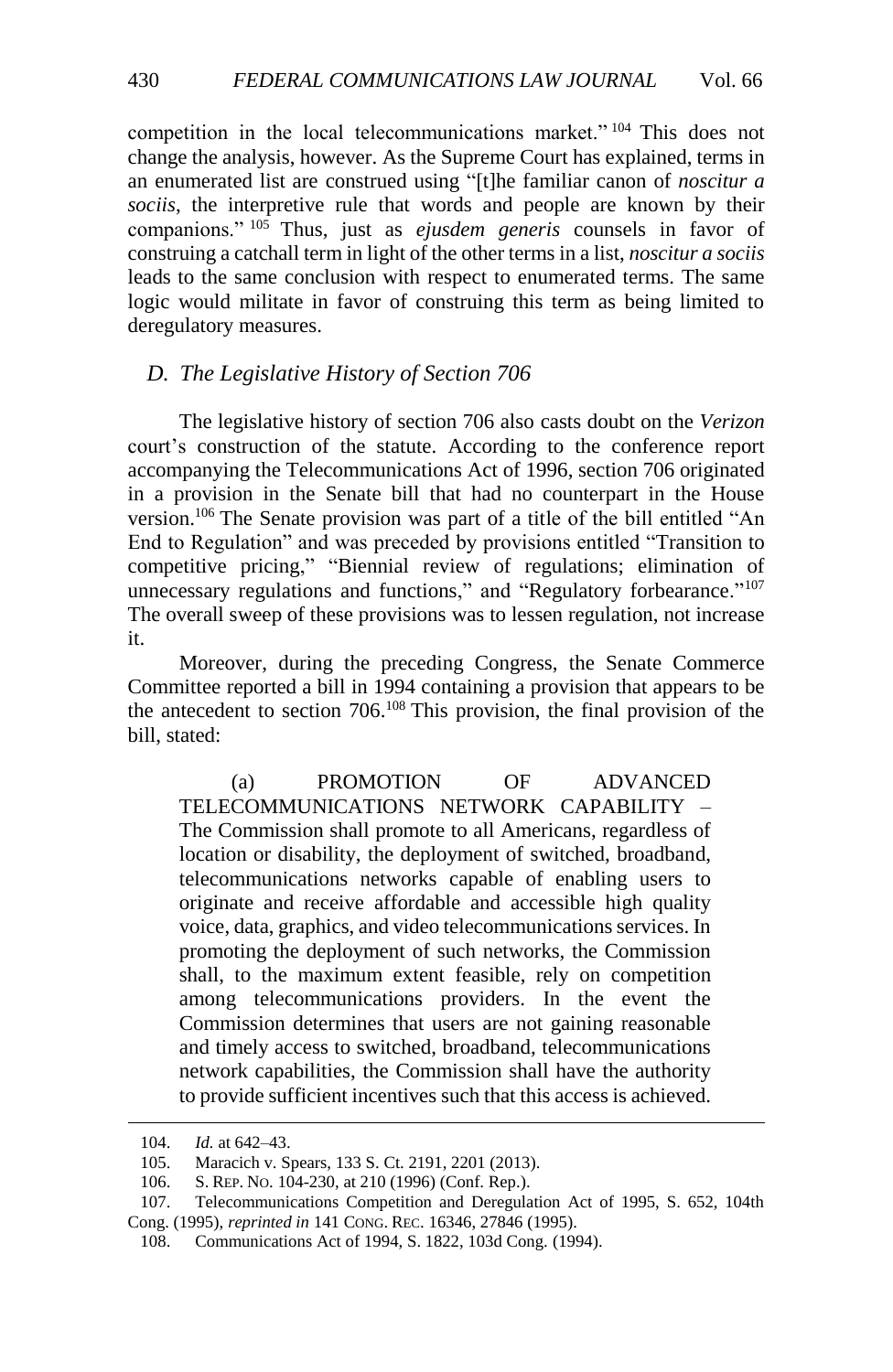competition in the local telecommunications market." <sup>104</sup> This does not change the analysis, however. As the Supreme Court has explained, terms in an enumerated list are construed using "[t]he familiar canon of *noscitur a sociis*, the interpretive rule that words and people are known by their companions." <sup>105</sup> Thus, just as *ejusdem generis* counsels in favor of construing a catchall term in light of the other terms in a list, *noscitur a sociis* leads to the same conclusion with respect to enumerated terms. The same logic would militate in favor of construing this term as being limited to deregulatory measures.

### <span id="page-15-0"></span>*D. The Legislative History of Section 706*

The legislative history of section 706 also casts doubt on the *Verizon* court's construction of the statute. According to the conference report accompanying the Telecommunications Act of 1996, section 706 originated in a provision in the Senate bill that had no counterpart in the House version.<sup>106</sup> The Senate provision was part of a title of the bill entitled "An End to Regulation" and was preceded by provisions entitled "Transition to competitive pricing," "Biennial review of regulations; elimination of unnecessary regulations and functions," and "Regulatory forbearance."<sup>107</sup> The overall sweep of these provisions was to lessen regulation, not increase it.

Moreover, during the preceding Congress, the Senate Commerce Committee reported a bill in 1994 containing a provision that appears to be the antecedent to section 706. <sup>108</sup> This provision, the final provision of the bill, stated:

(a) PROMOTION OF ADVANCED TELECOMMUNICATIONS NETWORK CAPABILITY – The Commission shall promote to all Americans, regardless of location or disability, the deployment of switched, broadband, telecommunications networks capable of enabling users to originate and receive affordable and accessible high quality voice, data, graphics, and video telecommunications services. In promoting the deployment of such networks, the Commission shall, to the maximum extent feasible, rely on competition among telecommunications providers. In the event the Commission determines that users are not gaining reasonable and timely access to switched, broadband, telecommunications network capabilities, the Commission shall have the authority to provide sufficient incentives such that this access is achieved.

<sup>104.</sup> *Id.* at 642–43.

<sup>105.</sup> Maracich v. Spears, 133 S. Ct. 2191, 2201 (2013).

<sup>106.</sup> S. REP. NO. 104-230, at 210 (1996) (Conf. Rep.).

<sup>107.</sup> Telecommunications Competition and Deregulation Act of 1995, S. 652, 104th Cong. (1995), *reprinted in* 141 CONG. REC. 16346, 27846 (1995).

<sup>108.</sup> Communications Act of 1994, S. 1822, 103d Cong. (1994).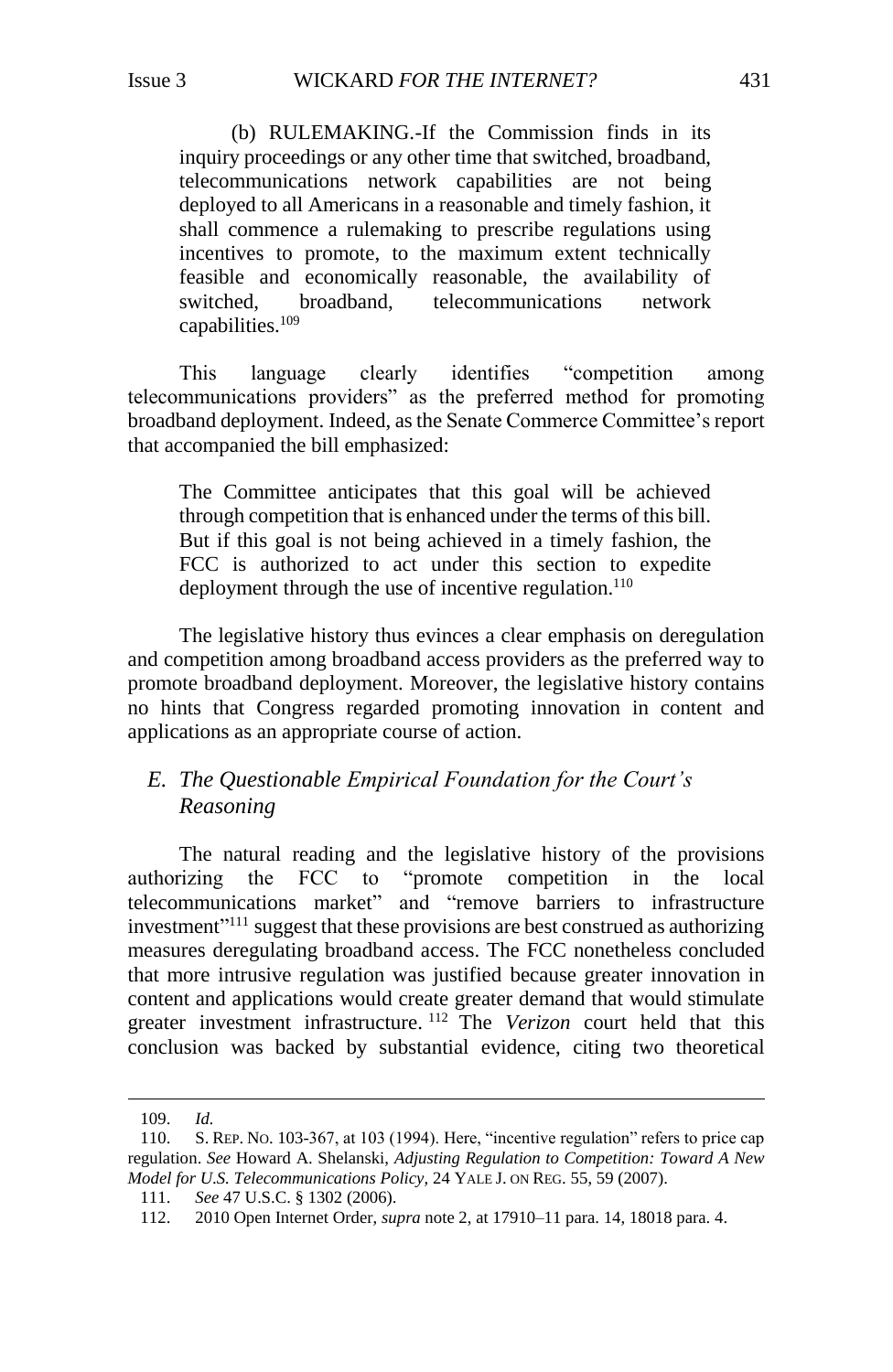(b) RULEMAKING.-If the Commission finds in its inquiry proceedings or any other time that switched, broadband, telecommunications network capabilities are not being deployed to all Americans in a reasonable and timely fashion, it shall commence a rulemaking to prescribe regulations using incentives to promote, to the maximum extent technically feasible and economically reasonable, the availability of switched, broadband, telecommunications network capabilities.<sup>109</sup>

This language clearly identifies "competition among telecommunications providers" as the preferred method for promoting broadband deployment. Indeed, as the Senate Commerce Committee's report that accompanied the bill emphasized:

The Committee anticipates that this goal will be achieved through competition that is enhanced under the terms of this bill. But if this goal is not being achieved in a timely fashion, the FCC is authorized to act under this section to expedite deployment through the use of incentive regulation.<sup>110</sup>

The legislative history thus evinces a clear emphasis on deregulation and competition among broadband access providers as the preferred way to promote broadband deployment. Moreover, the legislative history contains no hints that Congress regarded promoting innovation in content and applications as an appropriate course of action.

# <span id="page-16-0"></span>*E. The Questionable Empirical Foundation for the Court's Reasoning*

The natural reading and the legislative history of the provisions authorizing the FCC to "promote competition in the local telecommunications market" and "remove barriers to infrastructure investment"<sup>111</sup> suggest that these provisions are best construed as authorizing measures deregulating broadband access. The FCC nonetheless concluded that more intrusive regulation was justified because greater innovation in content and applications would create greater demand that would stimulate greater investment infrastructure. <sup>112</sup> The *Verizon* court held that this conclusion was backed by substantial evidence, citing two theoretical

<sup>109.</sup> *Id.*

<sup>110.</sup> S. REP. NO. 103-367, at 103 (1994). Here, "incentive regulation" refers to price cap regulation. *See* Howard A. Shelanski, *Adjusting Regulation to Competition: Toward A New Model for U.S. Telecommunications Policy*, 24 YALE J. ON REG. 55, 59 (2007).

<sup>111.</sup> *See* 47 U.S.C. § 1302 (2006).

<sup>112.</sup> 2010 Open Internet Order, *supra* not[e 2,](#page-2-2) at 17910–11 para. 14, 18018 para. 4.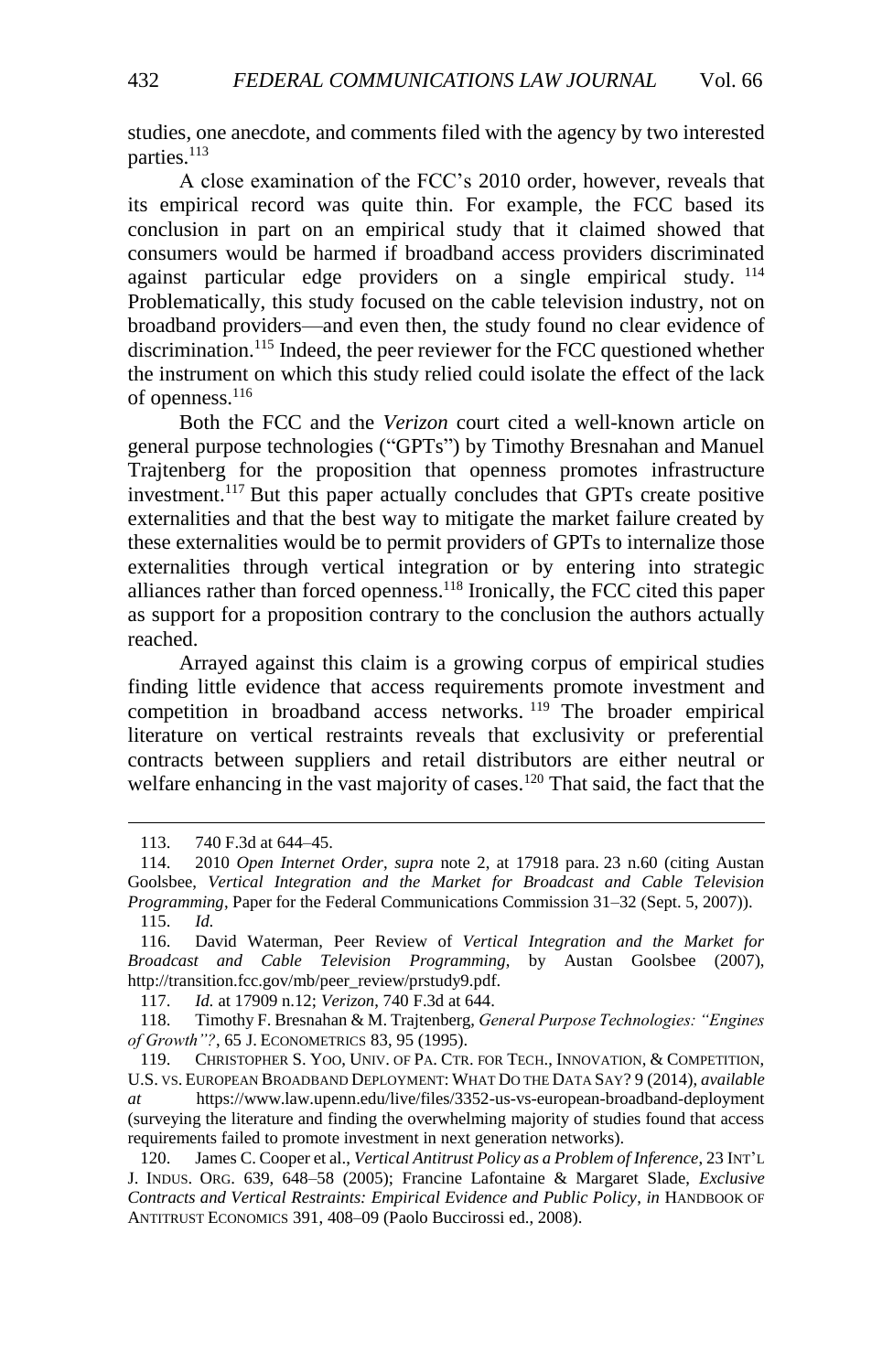studies, one anecdote, and comments filed with the agency by two interested parties.<sup>113</sup>

A close examination of the FCC's 2010 order, however, reveals that its empirical record was quite thin. For example, the FCC based its conclusion in part on an empirical study that it claimed showed that consumers would be harmed if broadband access providers discriminated against particular edge providers on a single empirical study.  $^{114}$ Problematically, this study focused on the cable television industry, not on broadband providers—and even then, the study found no clear evidence of discrimination.<sup>115</sup> Indeed, the peer reviewer for the FCC questioned whether the instrument on which this study relied could isolate the effect of the lack of openness.<sup>116</sup>

Both the FCC and the *Verizon* court cited a well-known article on general purpose technologies ("GPTs") by Timothy Bresnahan and Manuel Trajtenberg for the proposition that openness promotes infrastructure investment.<sup>117</sup> But this paper actually concludes that GPTs create positive externalities and that the best way to mitigate the market failure created by these externalities would be to permit providers of GPTs to internalize those externalities through vertical integration or by entering into strategic alliances rather than forced openness. <sup>118</sup> Ironically, the FCC cited this paper as support for a proposition contrary to the conclusion the authors actually reached.

<span id="page-17-0"></span>Arrayed against this claim is a growing corpus of empirical studies finding little evidence that access requirements promote investment and competition in broadband access networks. <sup>119</sup> The broader empirical literature on vertical restraints reveals that exclusivity or preferential contracts between suppliers and retail distributors are either neutral or welfare enhancing in the vast majority of cases.<sup>120</sup> That said, the fact that the

<span id="page-17-1"></span><sup>113.</sup> 740 F.3d at 644–45.

<sup>114.</sup> 2010 *Open Internet Order*, *supra* note [2,](#page-2-2) at 17918 para. 23 n.60 (citing Austan Goolsbee, *Vertical Integration and the Market for Broadcast and Cable Television Programming*, Paper for the Federal Communications Commission 31–32 (Sept. 5, 2007)). 115. *Id.*

<sup>116.</sup> David Waterman, Peer Review of *Vertical Integration and the Market for Broadcast and Cable Television Programming*, by Austan Goolsbee (2007), http://transition.fcc.gov/mb/peer\_review/prstudy9.pdf.

<sup>117.</sup> *Id.* at 17909 n.12; *Verizon*, 740 F.3d at 644.

<sup>118.</sup> Timothy F. Bresnahan & M. Trajtenberg, *General Purpose Technologies: "Engines of Growth"?*, 65 J. ECONOMETRICS 83, 95 (1995).

<sup>119.</sup> CHRISTOPHER S. YOO, UNIV. OF PA. CTR. FOR TECH., INNOVATION, & COMPETITION, U.S. VS. EUROPEAN BROADBAND DEPLOYMENT: WHAT DO THE DATA SAY? 9 (2014), *available at* https://www.law.upenn.edu/live/files/3352-us-vs-european-broadband-deployment (surveying the literature and finding the overwhelming majority of studies found that access requirements failed to promote investment in next generation networks).

<sup>120.</sup> James C. Cooper et al., *Vertical Antitrust Policy as a Problem of Inference*, 23 INT'L J. INDUS. ORG. 639, 648–58 (2005); Francine Lafontaine & Margaret Slade, *Exclusive Contracts and Vertical Restraints: Empirical Evidence and Public Policy*, *in* HANDBOOK OF ANTITRUST ECONOMICS 391, 408–09 (Paolo Buccirossi ed., 2008).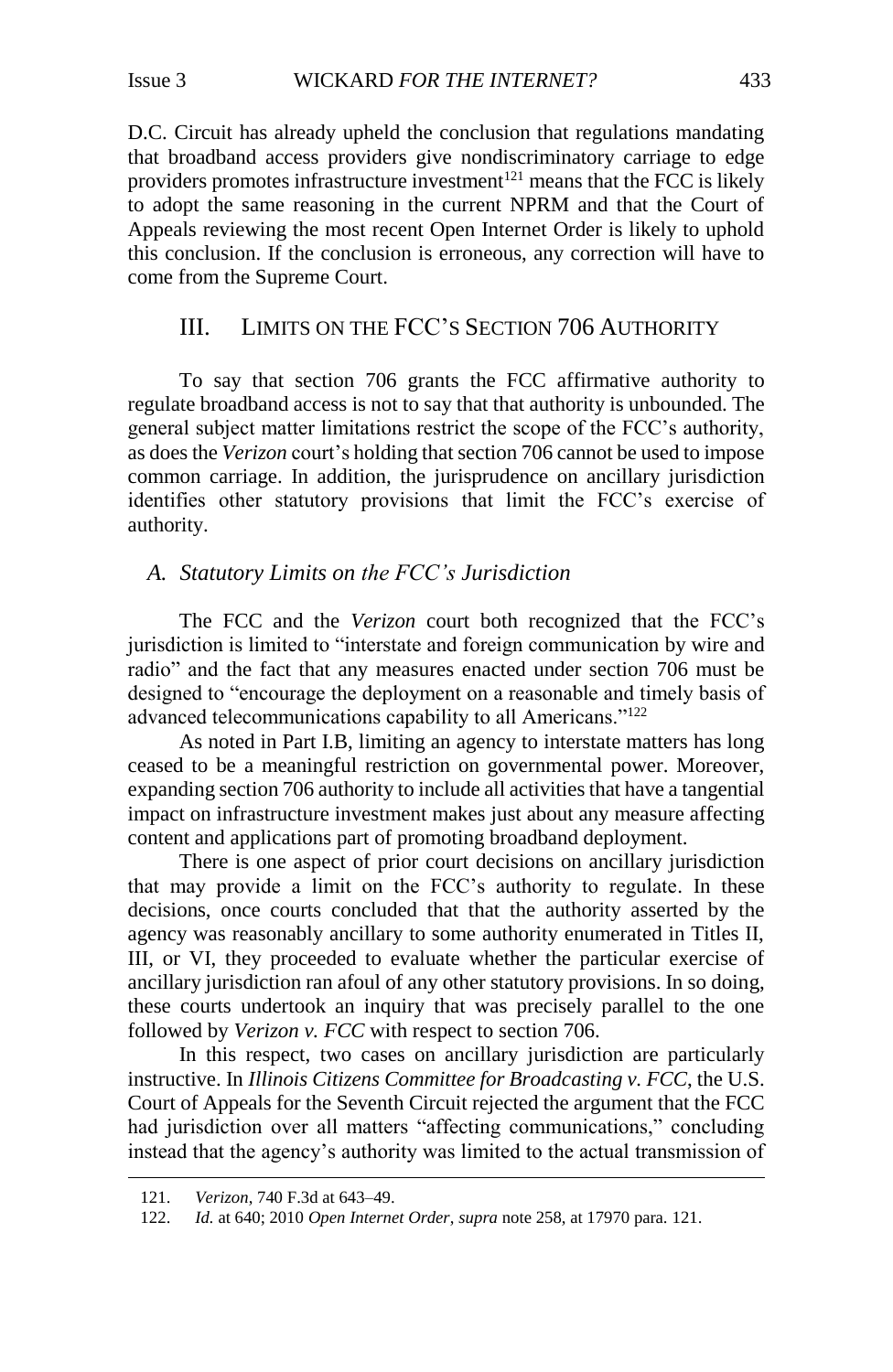D.C. Circuit has already upheld the conclusion that regulations mandating that broadband access providers give nondiscriminatory carriage to edge providers promotes infrastructure investment<sup>121</sup> means that the FCC is likely to adopt the same reasoning in the current NPRM and that the Court of Appeals reviewing the most recent Open Internet Order is likely to uphold this conclusion. If the conclusion is erroneous, any correction will have to come from the Supreme Court.

# <span id="page-18-0"></span>III. LIMITS ON THE FCC'S SECTION 706 AUTHORITY

To say that section 706 grants the FCC affirmative authority to regulate broadband access is not to say that that authority is unbounded. The general subject matter limitations restrict the scope of the FCC's authority, as does the *Verizon* court's holding that section 706 cannot be used to impose common carriage. In addition, the jurisprudence on ancillary jurisdiction identifies other statutory provisions that limit the FCC's exercise of authority.

# <span id="page-18-1"></span>*A. Statutory Limits on the FCC's Jurisdiction*

The FCC and the *Verizon* court both recognized that the FCC's jurisdiction is limited to "interstate and foreign communication by wire and radio" and the fact that any measures enacted under section 706 must be designed to "encourage the deployment on a reasonable and timely basis of advanced telecommunications capability to all Americans."<sup>122</sup>

As noted in Part I.B, limiting an agency to interstate matters has long ceased to be a meaningful restriction on governmental power. Moreover, expanding section 706 authority to include all activities that have a tangential impact on infrastructure investment makes just about any measure affecting content and applications part of promoting broadband deployment.

There is one aspect of prior court decisions on ancillary jurisdiction that may provide a limit on the FCC's authority to regulate. In these decisions, once courts concluded that that the authority asserted by the agency was reasonably ancillary to some authority enumerated in Titles II, III, or VI, they proceeded to evaluate whether the particular exercise of ancillary jurisdiction ran afoul of any other statutory provisions. In so doing, these courts undertook an inquiry that was precisely parallel to the one followed by *Verizon v. FCC* with respect to section 706.

In this respect, two cases on ancillary jurisdiction are particularly instructive. In *Illinois Citizens Committee for Broadcasting v. FCC*, the U.S. Court of Appeals for the Seventh Circuit rejected the argument that the FCC had jurisdiction over all matters "affecting communications," concluding instead that the agency's authority was limited to the actual transmission of

<sup>121.</sup> *Verizon*, 740 F.3d at 643–49.

<sup>122.</sup> *Id.* at 640; 2010 *Open Internet Order*, *supra* note [25](#page-2-2)8, at 17970 para. 121.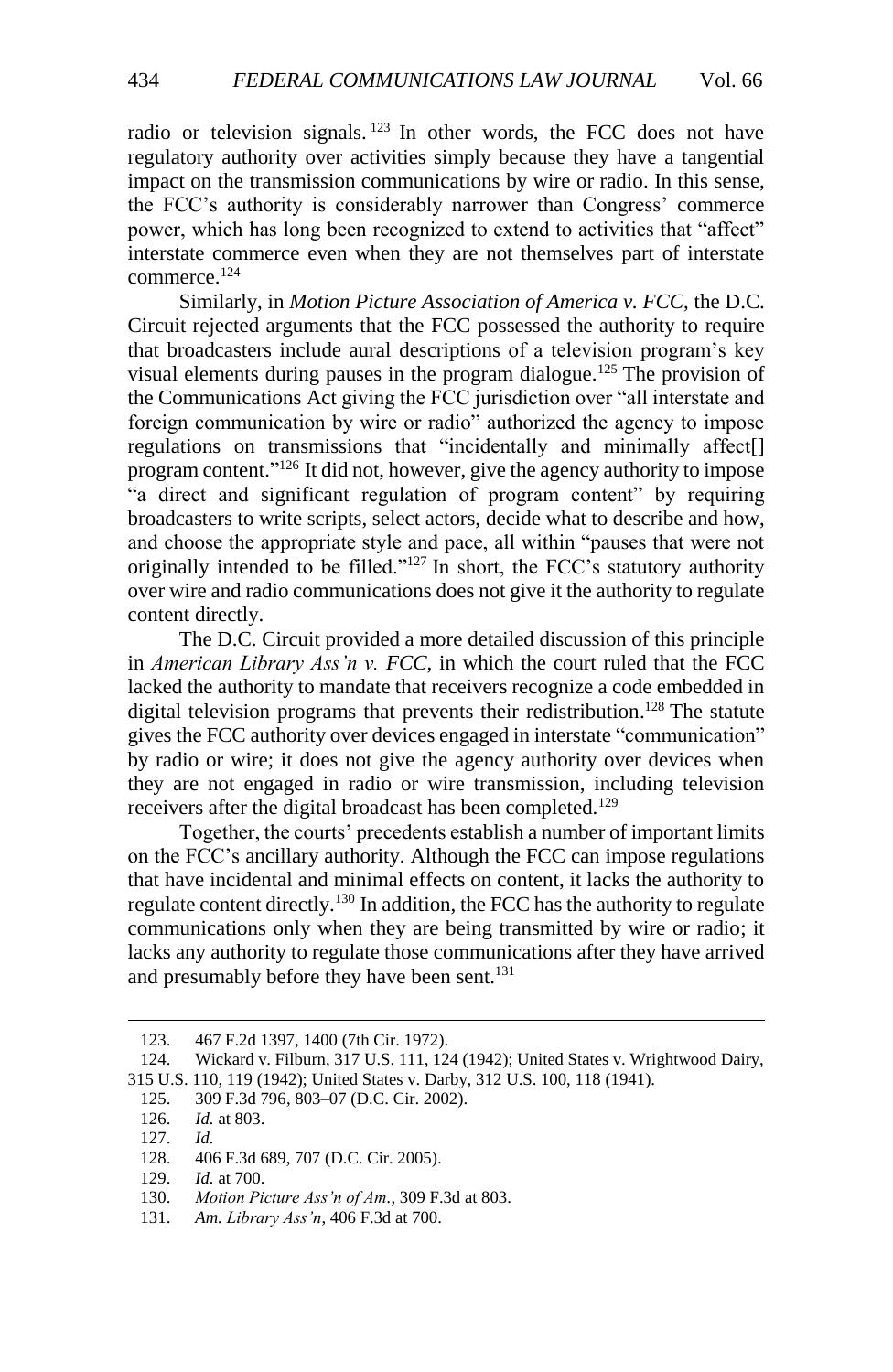radio or television signals.<sup>123</sup> In other words, the FCC does not have regulatory authority over activities simply because they have a tangential impact on the transmission communications by wire or radio. In this sense, the FCC's authority is considerably narrower than Congress' commerce power, which has long been recognized to extend to activities that "affect" interstate commerce even when they are not themselves part of interstate commerce.<sup>124</sup>

Similarly, in *Motion Picture Association of America v. FCC*, the D.C. Circuit rejected arguments that the FCC possessed the authority to require that broadcasters include aural descriptions of a television program's key visual elements during pauses in the program dialogue.<sup>125</sup> The provision of the Communications Act giving the FCC jurisdiction over "all interstate and foreign communication by wire or radio" authorized the agency to impose regulations on transmissions that "incidentally and minimally affect[] program content." <sup>126</sup> It did not, however, give the agency authority to impose "a direct and significant regulation of program content" by requiring broadcasters to write scripts, select actors, decide what to describe and how, and choose the appropriate style and pace, all within "pauses that were not originally intended to be filled."<sup>127</sup> In short, the FCC's statutory authority over wire and radio communications does not give it the authority to regulate content directly.

The D.C. Circuit provided a more detailed discussion of this principle in *American Library Ass'n v. FCC*, in which the court ruled that the FCC lacked the authority to mandate that receivers recognize a code embedded in digital television programs that prevents their redistribution. <sup>128</sup> The statute gives the FCC authority over devices engaged in interstate "communication" by radio or wire; it does not give the agency authority over devices when they are not engaged in radio or wire transmission, including television receivers after the digital broadcast has been completed.<sup>129</sup>

Together, the courts' precedents establish a number of important limits on the FCC's ancillary authority. Although the FCC can impose regulations that have incidental and minimal effects on content, it lacks the authority to regulate content directly.<sup>130</sup> In addition, the FCC has the authority to regulate communications only when they are being transmitted by wire or radio; it lacks any authority to regulate those communications after they have arrived and presumably before they have been sent.<sup>131</sup>

<sup>123.</sup> 467 F.2d 1397, 1400 (7th Cir. 1972).

<sup>124.</sup> Wickard v. Filburn, 317 U.S. 111, 124 (1942); United States v. Wrightwood Dairy, 315 U.S. 110, 119 (1942); United States v. Darby, 312 U.S. 100, 118 (1941).

<sup>125.</sup> 309 F.3d 796, 803–07 (D.C. Cir. 2002).

<sup>126.</sup> *Id.* at 803.

<sup>127.</sup> *Id.*

<sup>128.</sup> 406 F.3d 689, 707 (D.C. Cir. 2005).

<sup>129.</sup> *Id.* at 700.

<sup>130.</sup> *Motion Picture Ass'n of Am.*, 309 F.3d at 803.

<sup>131.</sup> *Am. Library Ass'n*, 406 F.3d at 700.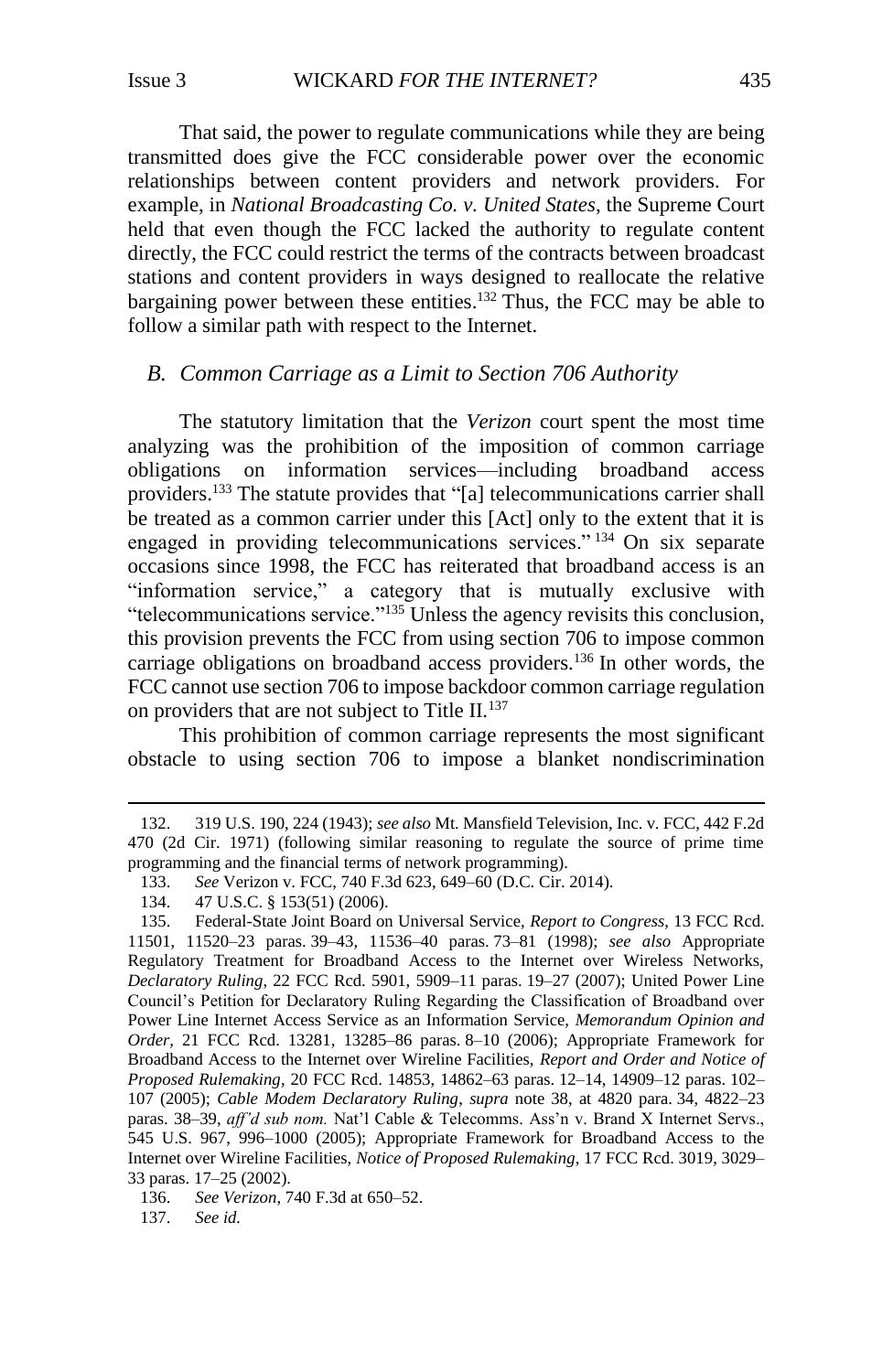That said, the power to regulate communications while they are being transmitted does give the FCC considerable power over the economic relationships between content providers and network providers. For example, in *National Broadcasting Co. v. United States*, the Supreme Court held that even though the FCC lacked the authority to regulate content directly, the FCC could restrict the terms of the contracts between broadcast stations and content providers in ways designed to reallocate the relative bargaining power between these entities.<sup>132</sup> Thus, the FCC may be able to follow a similar path with respect to the Internet.

## <span id="page-20-0"></span>*B. Common Carriage as a Limit to Section 706 Authority*

The statutory limitation that the *Verizon* court spent the most time analyzing was the prohibition of the imposition of common carriage obligations on information services—including broadband access providers. <sup>133</sup> The statute provides that "[a] telecommunications carrier shall be treated as a common carrier under this [Act] only to the extent that it is engaged in providing telecommunications services." <sup>134</sup> On six separate occasions since 1998, the FCC has reiterated that broadband access is an "information service," a category that is mutually exclusive with "telecommunications service."<sup>135</sup> Unless the agency revisits this conclusion, this provision prevents the FCC from using section 706 to impose common carriage obligations on broadband access providers.<sup>136</sup> In other words, the FCC cannot use section 706 to impose backdoor common carriage regulation on providers that are not subject to Title II.<sup>137</sup>

<span id="page-20-1"></span>This prohibition of common carriage represents the most significant obstacle to using section 706 to impose a blanket nondiscrimination

137. *See id.*

<sup>132.</sup> 319 U.S. 190, 224 (1943); *see also* Mt. Mansfield Television, Inc. v. FCC, 442 F.2d 470 (2d Cir. 1971) (following similar reasoning to regulate the source of prime time programming and the financial terms of network programming).

<sup>133.</sup> *See* Verizon v. FCC, 740 F.3d 623, 649–60 (D.C. Cir. 2014).

<sup>134.</sup> 47 U.S.C. § 153(51) (2006).

<sup>135.</sup> Federal-State Joint Board on Universal Service, *Report to Congress*, 13 FCC Rcd. 11501, 11520–23 paras. 39–43, 11536–40 paras. 73–81 (1998); *see also* Appropriate Regulatory Treatment for Broadband Access to the Internet over Wireless Networks, *Declaratory Ruling*, 22 FCC Rcd. 5901, 5909–11 paras. 19–27 (2007); United Power Line Council's Petition for Declaratory Ruling Regarding the Classification of Broadband over Power Line Internet Access Service as an Information Service, *Memorandum Opinion and Order*, 21 FCC Rcd. 13281, 13285–86 paras. 8–10 (2006); Appropriate Framework for Broadband Access to the Internet over Wireline Facilities, *Report and Order and Notice of Proposed Rulemaking*, 20 FCC Rcd. 14853, 14862–63 paras. 12–14, 14909–12 paras. 102– 107 (2005); *Cable Modem Declaratory Ruling*, *supra* note [38,](#page-6-0) at 4820 para. 34, 4822–23 paras. 38–39, *aff'd sub nom.* Nat'l Cable & Telecomms. Ass'n v. Brand X Internet Servs., 545 U.S. 967, 996–1000 (2005); Appropriate Framework for Broadband Access to the Internet over Wireline Facilities, *Notice of Proposed Rulemaking*, 17 FCC Rcd. 3019, 3029– 33 paras. 17–25 (2002).

<sup>136.</sup> *See Verizon*, 740 F.3d at 650–52.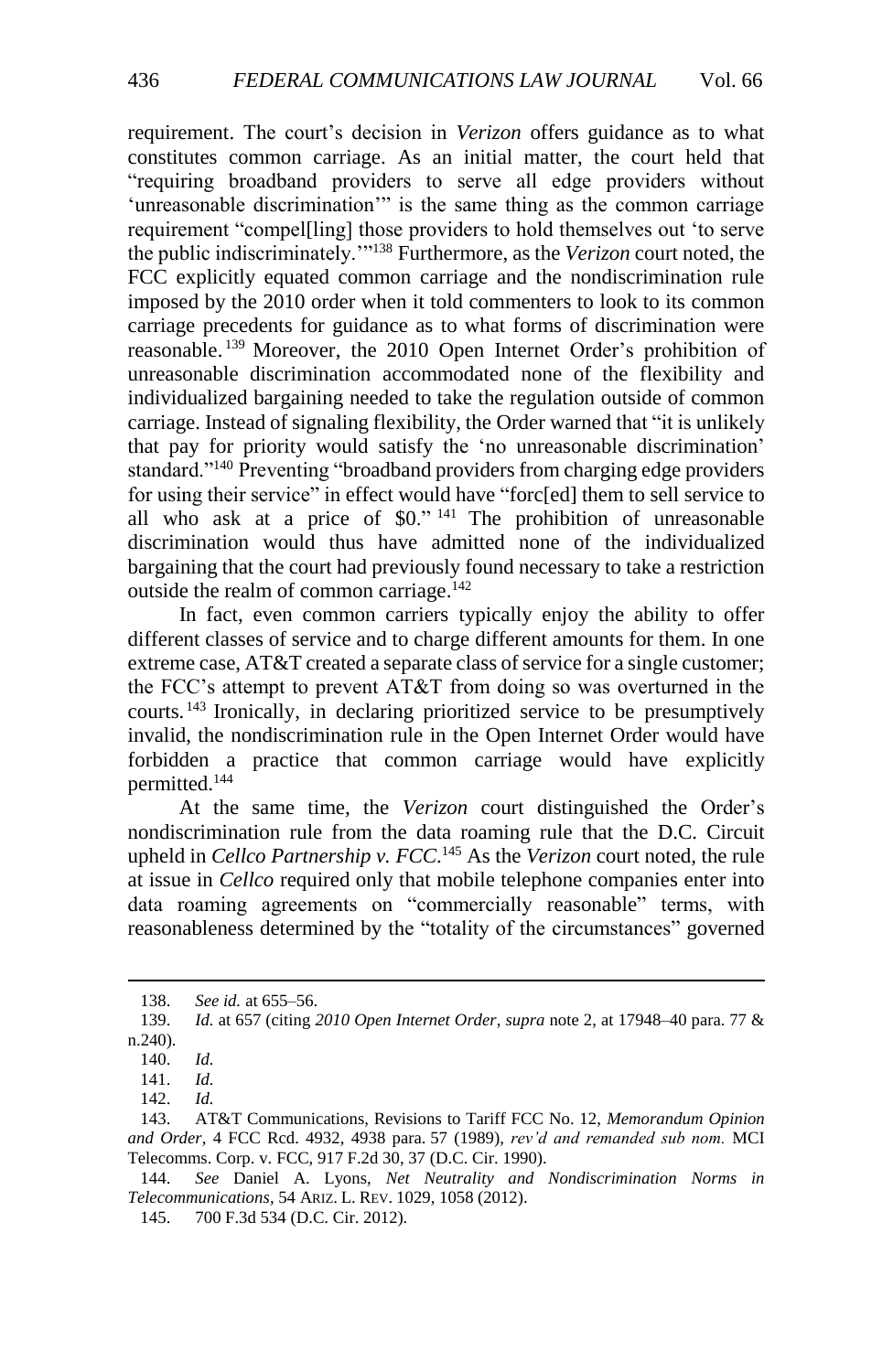requirement. The court's decision in *Verizon* offers guidance as to what constitutes common carriage. As an initial matter, the court held that "requiring broadband providers to serve all edge providers without 'unreasonable discrimination'" is the same thing as the common carriage requirement "compel[ling] those providers to hold themselves out 'to serve the public indiscriminately.'"<sup>138</sup> Furthermore, as the *Verizon* court noted, the FCC explicitly equated common carriage and the nondiscrimination rule imposed by the 2010 order when it told commenters to look to its common carriage precedents for guidance as to what forms of discrimination were reasonable.<sup>139</sup> Moreover, the 2010 Open Internet Order's prohibition of unreasonable discrimination accommodated none of the flexibility and individualized bargaining needed to take the regulation outside of common carriage. Instead of signaling flexibility, the Order warned that "it is unlikely that pay for priority would satisfy the 'no unreasonable discrimination' standard."<sup>140</sup> Preventing "broadband providers from charging edge providers for using their service" in effect would have "forc[ed] them to sell service to all who ask at a price of \$0." <sup>141</sup> The prohibition of unreasonable discrimination would thus have admitted none of the individualized bargaining that the court had previously found necessary to take a restriction outside the realm of common carriage.<sup>142</sup>

In fact, even common carriers typically enjoy the ability to offer different classes of service and to charge different amounts for them. In one extreme case, AT&T created a separate class of service for a single customer; the FCC's attempt to prevent AT&T from doing so was overturned in the courts. <sup>143</sup> Ironically, in declaring prioritized service to be presumptively invalid, the nondiscrimination rule in the Open Internet Order would have forbidden a practice that common carriage would have explicitly permitted.<sup>144</sup>

At the same time, the *Verizon* court distinguished the Order's nondiscrimination rule from the data roaming rule that the D.C. Circuit upheld in *Cellco Partnership v. FCC*. <sup>145</sup> As the *Verizon* court noted, the rule at issue in *Cellco* required only that mobile telephone companies enter into data roaming agreements on "commercially reasonable" terms, with reasonableness determined by the "totality of the circumstances" governed

<sup>138.</sup> *See id.* at 655–56.

<sup>139.</sup> *Id.* at 657 (citing *2010 Open Internet Order*, *supra* note [2,](#page-2-3) at 17948–40 para. 77 & n.240).

<sup>140.</sup> *Id.*

<sup>141.</sup> *Id.*

<sup>142.</sup> *Id.*

<sup>143.</sup> AT&T Communications, Revisions to Tariff FCC No. 12, *Memorandum Opinion and Order*, 4 FCC Rcd. 4932, 4938 para. 57 (1989), *rev'd and remanded sub nom.* MCI Telecomms. Corp. v. FCC, 917 F.2d 30, 37 (D.C. Cir. 1990).

<sup>144.</sup> *See* Daniel A. Lyons, *Net Neutrality and Nondiscrimination Norms in Telecommunications*, 54 ARIZ. L. REV. 1029, 1058 (2012).

<sup>145.</sup> 700 F.3d 534 (D.C. Cir. 2012).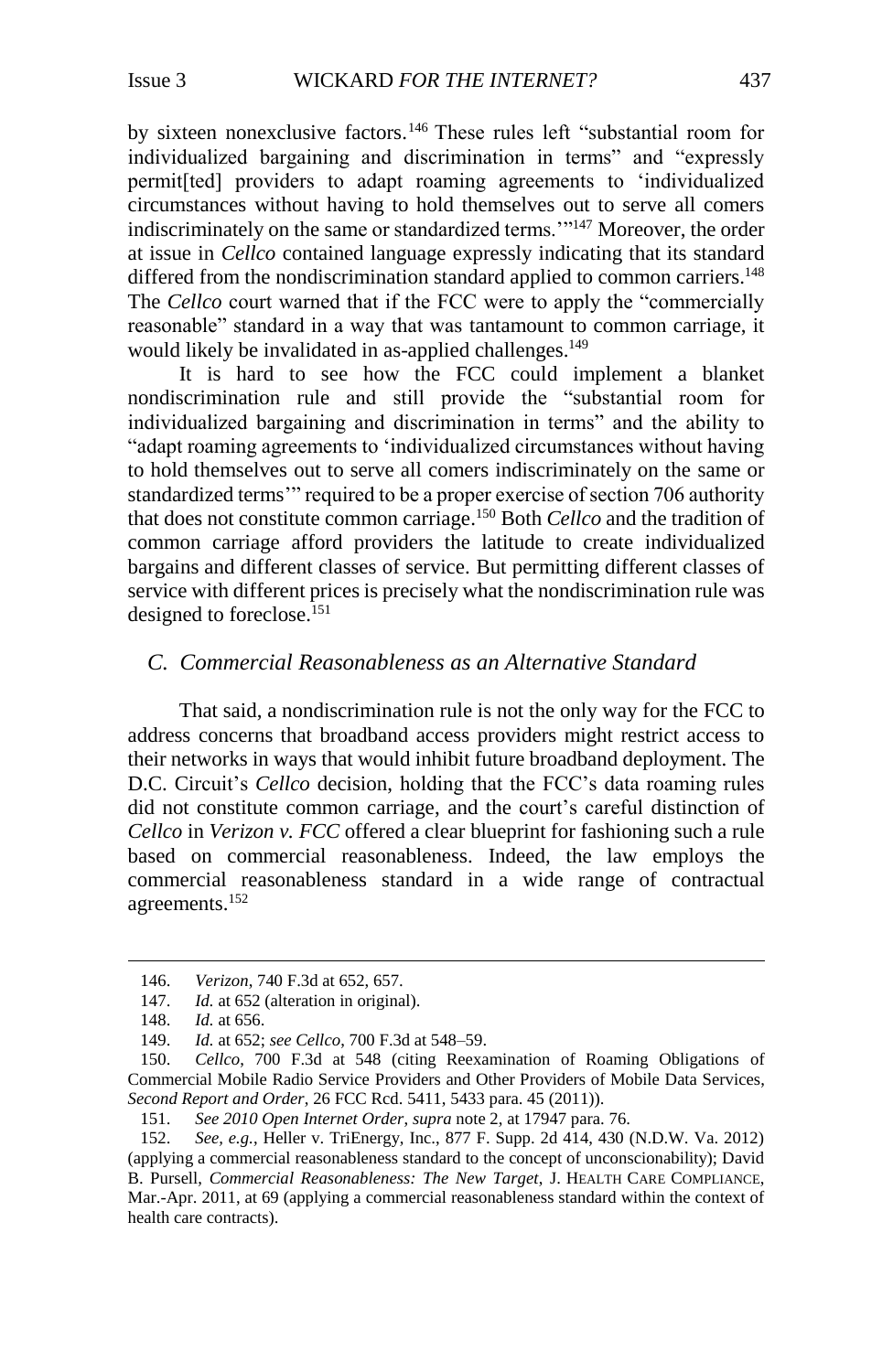by sixteen nonexclusive factors.<sup>146</sup> These rules left "substantial room for individualized bargaining and discrimination in terms" and "expressly permit[ted] providers to adapt roaming agreements to 'individualized circumstances without having to hold themselves out to serve all comers indiscriminately on the same or standardized terms.'"<sup>147</sup> Moreover, the order at issue in *Cellco* contained language expressly indicating that its standard differed from the nondiscrimination standard applied to common carriers.<sup>148</sup> The *Cellco* court warned that if the FCC were to apply the "commercially reasonable" standard in a way that was tantamount to common carriage, it would likely be invalidated in as-applied challenges. 149

It is hard to see how the FCC could implement a blanket nondiscrimination rule and still provide the "substantial room for individualized bargaining and discrimination in terms" and the ability to "adapt roaming agreements to 'individualized circumstances without having to hold themselves out to serve all comers indiscriminately on the same or standardized terms'" required to be a proper exercise of section 706 authority that does not constitute common carriage. <sup>150</sup> Both *Cellco* and the tradition of common carriage afford providers the latitude to create individualized bargains and different classes of service. But permitting different classes of service with different prices is precisely what the nondiscrimination rule was designed to foreclose.<sup>151</sup>

## <span id="page-22-0"></span>*C. Commercial Reasonableness as an Alternative Standard*

That said, a nondiscrimination rule is not the only way for the FCC to address concerns that broadband access providers might restrict access to their networks in ways that would inhibit future broadband deployment. The D.C. Circuit's *Cellco* decision, holding that the FCC's data roaming rules did not constitute common carriage, and the court's careful distinction of *Cellco* in *Verizon v. FCC* offered a clear blueprint for fashioning such a rule based on commercial reasonableness. Indeed, the law employs the commercial reasonableness standard in a wide range of contractual agreements.<sup>152</sup>

<sup>146.</sup> *Verizon*, 740 F.3d at 652, 657.

<sup>147.</sup> *Id.* at 652 (alteration in original).

<sup>148.</sup> *Id.* at 656.

<sup>149.</sup> *Id.* at 652; *see Cellco*, 700 F.3d at 548–59.

<sup>150.</sup> *Cellco*, 700 F.3d at 548 (citing Reexamination of Roaming Obligations of Commercial Mobile Radio Service Providers and Other Providers of Mobile Data Services, *Second Report and Order*, 26 FCC Rcd. 5411, 5433 para. 45 (2011)).

<sup>151.</sup> *See 2010 Open Internet Order*, *supra* note [2,](#page-2-2) at 17947 para. 76.

<sup>152.</sup> *See, e.g.*, Heller v. TriEnergy, Inc., 877 F. Supp. 2d 414, 430 (N.D.W. Va. 2012) (applying a commercial reasonableness standard to the concept of unconscionability); David B. Pursell, *Commercial Reasonableness: The New Target*, J. HEALTH CARE COMPLIANCE, Mar.-Apr. 2011, at 69 (applying a commercial reasonableness standard within the context of health care contracts).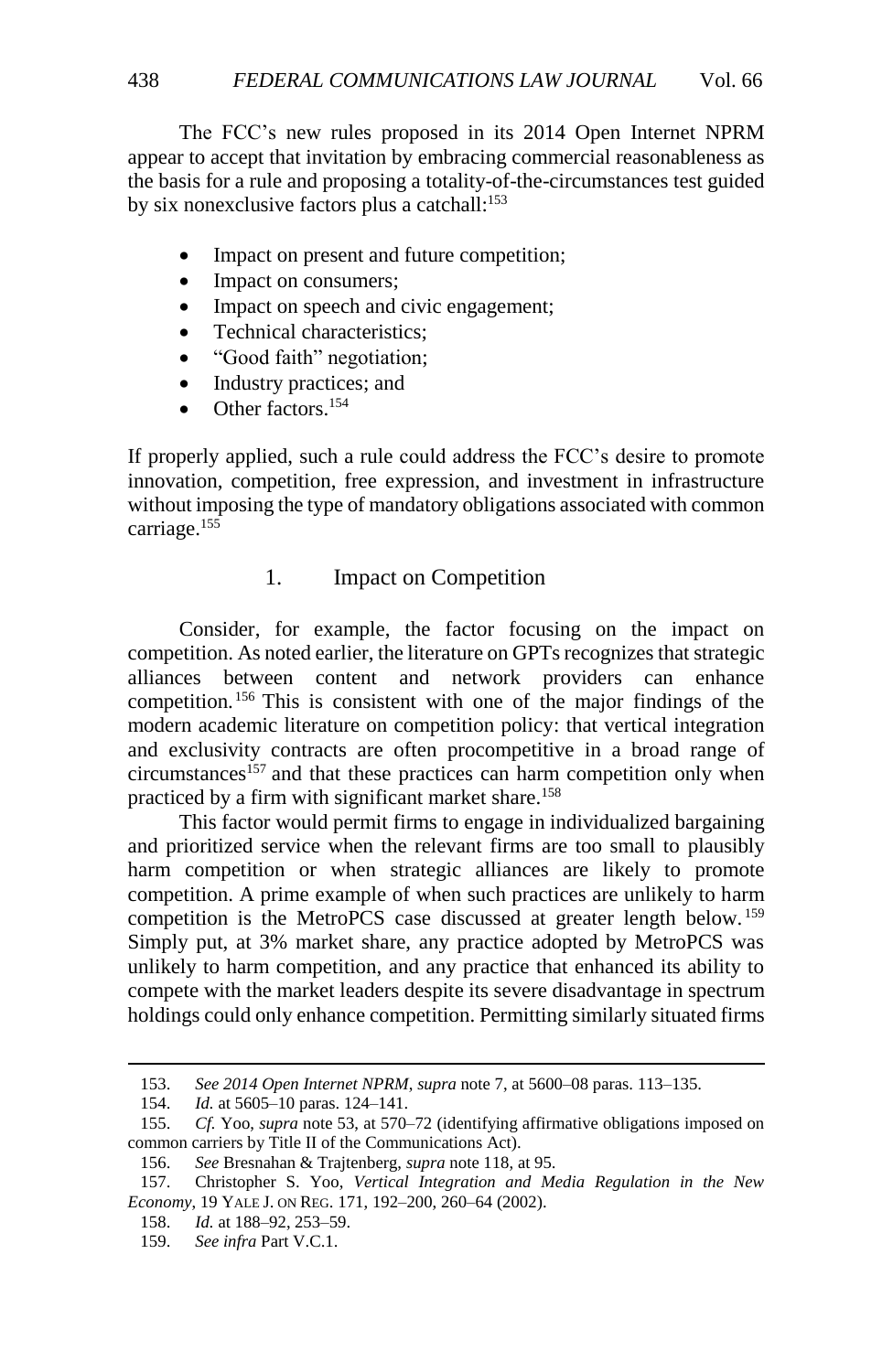The FCC's new rules proposed in its 2014 Open Internet NPRM appear to accept that invitation by embracing commercial reasonableness as the basis for a rule and proposing a totality-of-the-circumstances test guided by six nonexclusive factors plus a catchall:<sup>153</sup>

- Impact on present and future competition;
- Impact on consumers;
- Impact on speech and civic engagement;
- Technical characteristics:
- "Good faith" negotiation;
- Industry practices; and
- $\bullet$  Other factors.<sup>154</sup>

If properly applied, such a rule could address the FCC's desire to promote innovation, competition, free expression, and investment in infrastructure without imposing the type of mandatory obligations associated with common carriage.<sup>155</sup>

# 1. Impact on Competition

<span id="page-23-0"></span>Consider, for example, the factor focusing on the impact on competition. As noted earlier, the literature on GPTs recognizes that strategic alliances between content and network providers can enhance competition. <sup>156</sup> This is consistent with one of the major findings of the modern academic literature on competition policy: that vertical integration and exclusivity contracts are often procompetitive in a broad range of  $circ$  circumstances<sup>157</sup> and that these practices can harm competition only when practiced by a firm with significant market share.<sup>158</sup>

<span id="page-23-1"></span>This factor would permit firms to engage in individualized bargaining and prioritized service when the relevant firms are too small to plausibly harm competition or when strategic alliances are likely to promote competition. A prime example of when such practices are unlikely to harm competition is the MetroPCS case discussed at greater length below. <sup>159</sup> Simply put, at 3% market share, any practice adopted by MetroPCS was unlikely to harm competition, and any practice that enhanced its ability to compete with the market leaders despite its severe disadvantage in spectrum holdings could only enhance competition. Permitting similarly situated firms

156. *See* Bresnahan & Trajtenberg, *supra* not[e 118,](#page-17-0) at 95.

<sup>153.</sup> *See 2014 Open Internet NPRM*, *supra* not[e 7,](#page-2-1) at 5600–08 paras. 113–135.

<sup>154.</sup> *Id.* at 5605–10 paras. 124–141.

<sup>155.</sup> *Cf.* Yoo, *supra* note [53,](#page-8-0) at 570–72 (identifying affirmative obligations imposed on common carriers by Title II of the Communications Act).

<sup>157.</sup> Christopher S. Yoo, *Vertical Integration and Media Regulation in the New Economy*, 19 YALE J. ON REG. 171, 192–200, 260–64 (2002).

<sup>158.</sup> *Id.* at 188–92, 253–59.

<sup>159.</sup> *See infra* Part V.C.1.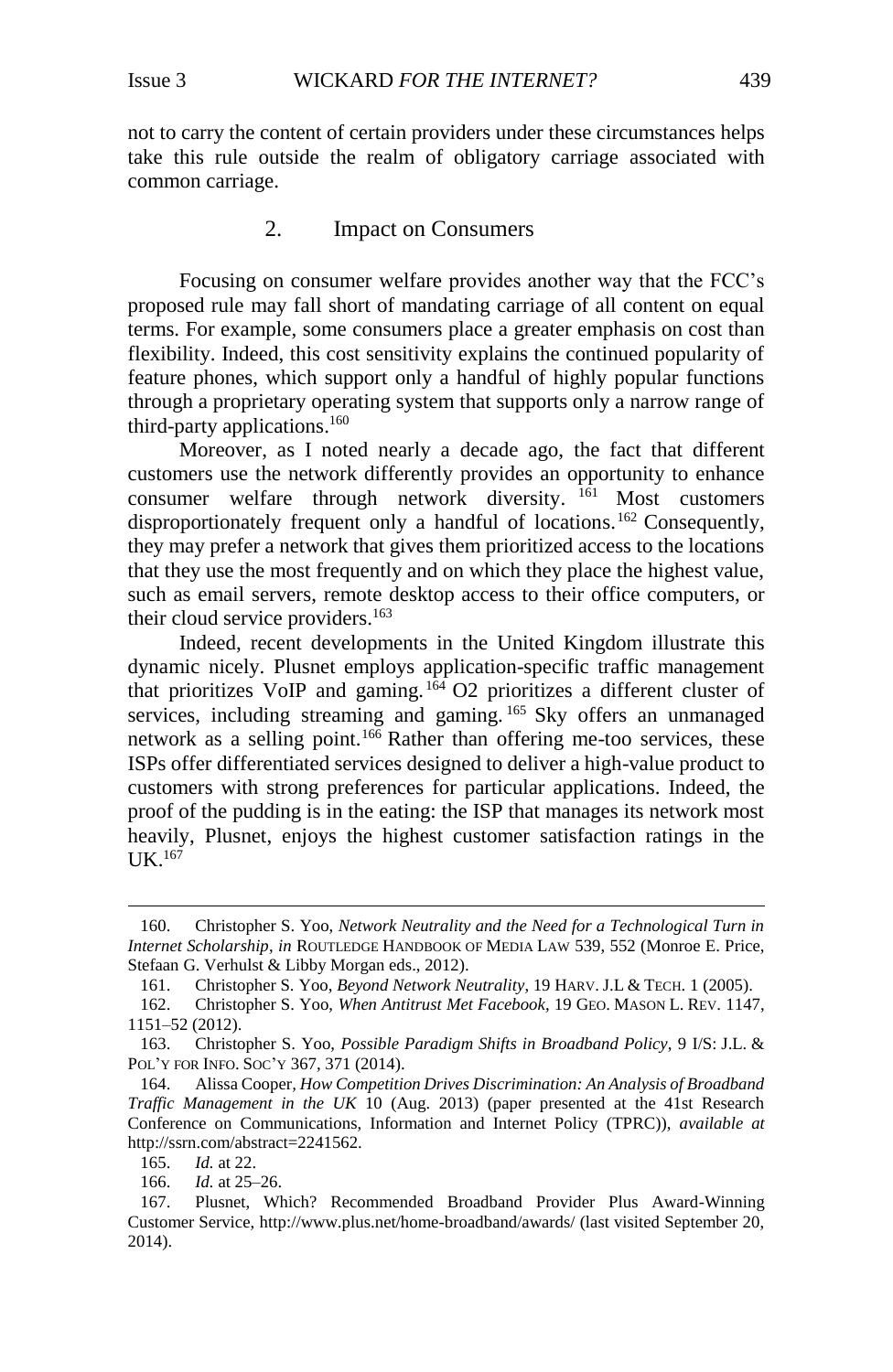not to carry the content of certain providers under these circumstances helps take this rule outside the realm of obligatory carriage associated with common carriage.

### <span id="page-24-1"></span>2. Impact on Consumers

<span id="page-24-0"></span>Focusing on consumer welfare provides another way that the FCC's proposed rule may fall short of mandating carriage of all content on equal terms. For example, some consumers place a greater emphasis on cost than flexibility. Indeed, this cost sensitivity explains the continued popularity of feature phones, which support only a handful of highly popular functions through a proprietary operating system that supports only a narrow range of third-party applications. 160

Moreover, as I noted nearly a decade ago, the fact that different customers use the network differently provides an opportunity to enhance consumer welfare through network diversity. <sup>161</sup> Most customers disproportionately frequent only a handful of locations.<sup>162</sup> Consequently, they may prefer a network that gives them prioritized access to the locations that they use the most frequently and on which they place the highest value, such as email servers, remote desktop access to their office computers, or their cloud service providers. 163

Indeed, recent developments in the United Kingdom illustrate this dynamic nicely. Plusnet employs application-specific traffic management that prioritizes VoIP and gaming.  $164$  O2 prioritizes a different cluster of services, including streaming and gaming.<sup>165</sup> Sky offers an unmanaged network as a selling point.<sup>166</sup> Rather than offering me-too services, these ISPs offer differentiated services designed to deliver a high-value product to customers with strong preferences for particular applications. Indeed, the proof of the pudding is in the eating: the ISP that manages its network most heavily, Plusnet, enjoys the highest customer satisfaction ratings in the  $I$ IK<sup>167</sup>

<sup>160.</sup> Christopher S. Yoo, *Network Neutrality and the Need for a Technological Turn in Internet Scholarship*, *in* ROUTLEDGE HANDBOOK OF MEDIA LAW 539, 552 (Monroe E. Price, Stefaan G. Verhulst & Libby Morgan eds., 2012).

<sup>161.</sup> Christopher S. Yoo, *Beyond Network Neutrality*, 19 HARV. J.L & TECH. 1 (2005).

<sup>162.</sup> Christopher S. Yoo, *When Antitrust Met Facebook*, 19 GEO. MASON L. REV. 1147, 1151–52 (2012).

<sup>163.</sup> Christopher S. Yoo, *Possible Paradigm Shifts in Broadband Policy*, 9 I/S: J.L. & POL'Y FOR INFO. SOC'Y 367, 371 (2014).

<sup>164.</sup> Alissa Cooper*, How Competition Drives Discrimination: An Analysis of Broadband Traffic Management in the UK* 10 (Aug. 2013) (paper presented at the 41st Research Conference on Communications, Information and Internet Policy (TPRC)), *available at* http://ssrn.com/abstract=2241562.

<sup>165.</sup> *Id.* at 22.

<sup>166.</sup> *Id.* at 25–26.

<sup>167.</sup> Plusnet, Which? Recommended Broadband Provider Plus Award-Winning Customer Service, http://www.plus.net/home-broadband/awards/ (last visited September 20, 2014).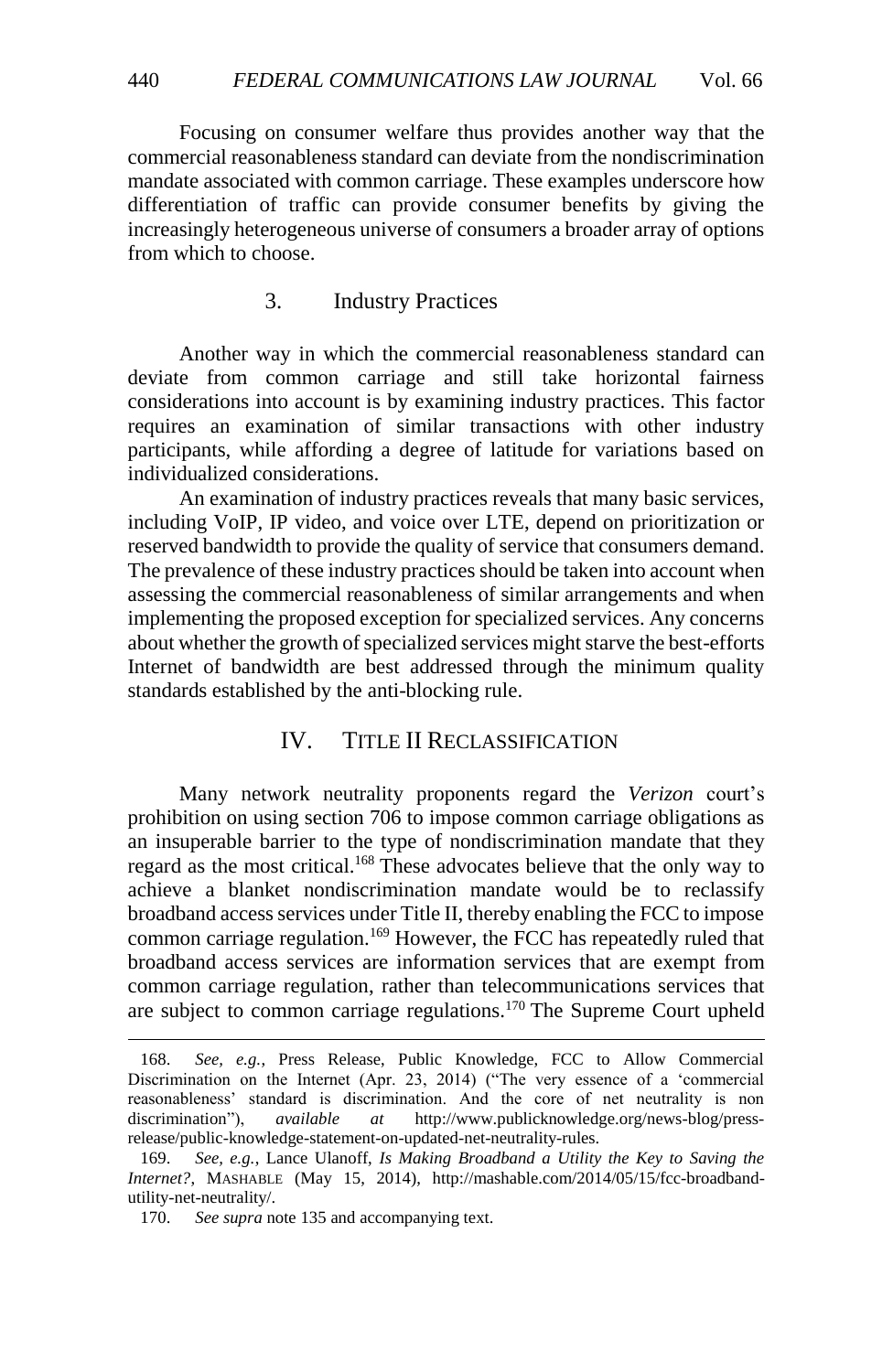Focusing on consumer welfare thus provides another way that the commercial reasonableness standard can deviate from the nondiscrimination mandate associated with common carriage. These examples underscore how differentiation of traffic can provide consumer benefits by giving the increasingly heterogeneous universe of consumers a broader array of options from which to choose.

# 3. Industry Practices

<span id="page-25-0"></span>Another way in which the commercial reasonableness standard can deviate from common carriage and still take horizontal fairness considerations into account is by examining industry practices. This factor requires an examination of similar transactions with other industry participants, while affording a degree of latitude for variations based on individualized considerations.

An examination of industry practices reveals that many basic services, including VoIP, IP video, and voice over LTE, depend on prioritization or reserved bandwidth to provide the quality of service that consumers demand. The prevalence of these industry practices should be taken into account when assessing the commercial reasonableness of similar arrangements and when implementing the proposed exception for specialized services. Any concerns about whether the growth of specialized services might starve the best-efforts Internet of bandwidth are best addressed through the minimum quality standards established by the anti-blocking rule.

# IV. TITLE II RECLASSIFICATION

<span id="page-25-1"></span>Many network neutrality proponents regard the *Verizon* court's prohibition on using section 706 to impose common carriage obligations as an insuperable barrier to the type of nondiscrimination mandate that they regard as the most critical.<sup>168</sup> These advocates believe that the only way to achieve a blanket nondiscrimination mandate would be to reclassify broadband access services under Title II, thereby enabling the FCC to impose common carriage regulation.<sup>169</sup> However, the FCC has repeatedly ruled that broadband access services are information services that are exempt from common carriage regulation, rather than telecommunications services that are subject to common carriage regulations.<sup>170</sup> The Supreme Court upheld

<sup>168.</sup> *See, e.g.*, Press Release, Public Knowledge, FCC to Allow Commercial Discrimination on the Internet (Apr. 23, 2014) ("The very essence of a 'commercial reasonableness' standard is discrimination. And the core of net neutrality is non discrimination"), *available at* http://www.publicknowledge.org/news-blog/pressrelease/public-knowledge-statement-on-updated-net-neutrality-rules.

<sup>169.</sup> *See, e.g.*, Lance Ulanoff, *Is Making Broadband a Utility the Key to Saving the Internet?*, MASHABLE (May 15, 2014), http://mashable.com/2014/05/15/fcc-broadbandutility-net-neutrality/.

<sup>170.</sup> *See supra* not[e 135](#page-20-1) and accompanying text.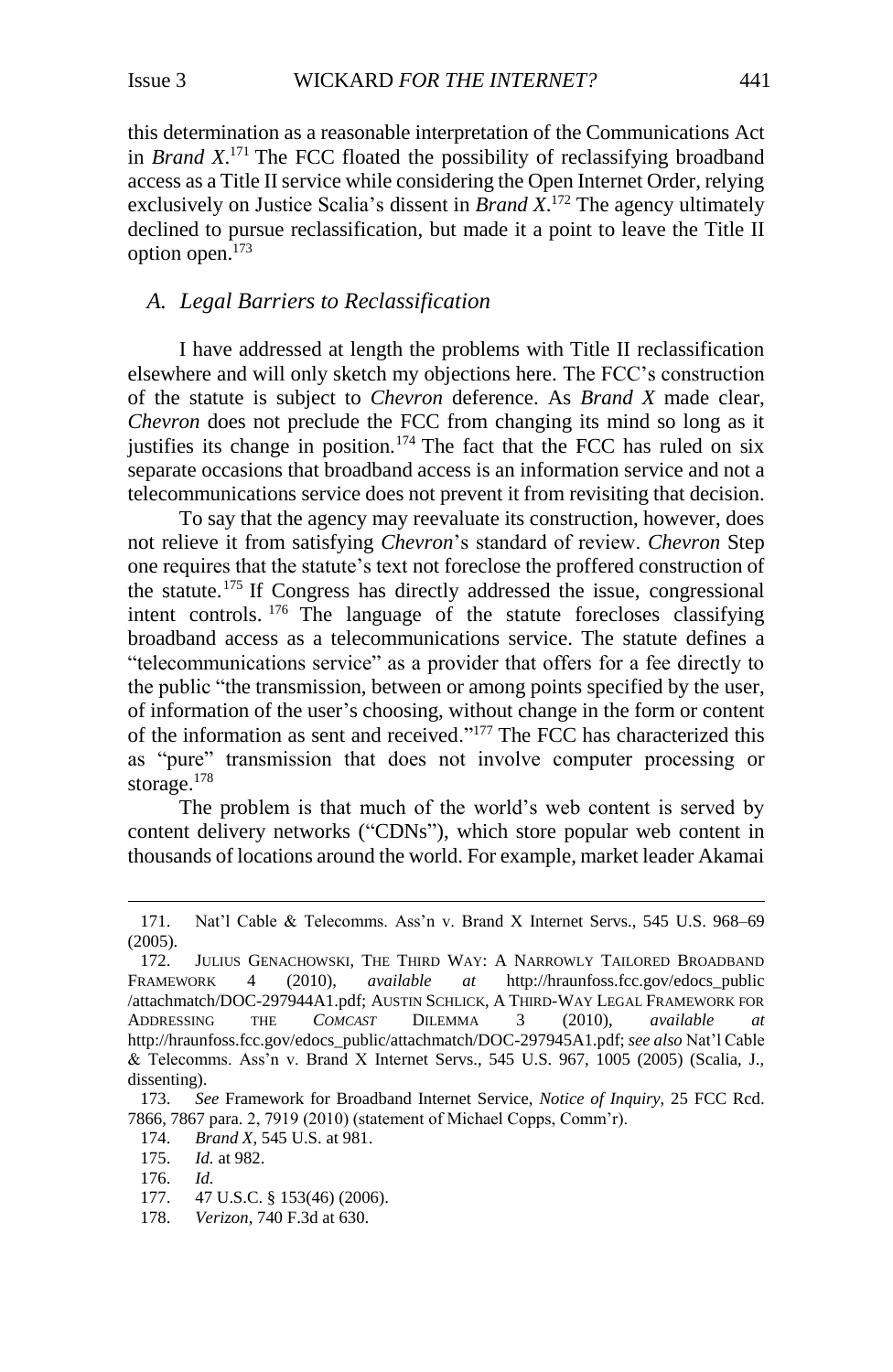this determination as a reasonable interpretation of the Communications Act in *Brand X*. <sup>171</sup> The FCC floated the possibility of reclassifying broadband access as a Title II service while considering the Open Internet Order, relying exclusively on Justice Scalia's dissent in *Brand X*. <sup>172</sup> The agency ultimately declined to pursue reclassification, but made it a point to leave the Title II option open.<sup>173</sup>

## <span id="page-26-0"></span>*A. Legal Barriers to Reclassification*

I have addressed at length the problems with Title II reclassification elsewhere and will only sketch my objections here. The FCC's construction of the statute is subject to *Chevron* deference. As *Brand X* made clear, *Chevron* does not preclude the FCC from changing its mind so long as it justifies its change in position.<sup>174</sup> The fact that the FCC has ruled on six separate occasions that broadband access is an information service and not a telecommunications service does not prevent it from revisiting that decision.

To say that the agency may reevaluate its construction, however, does not relieve it from satisfying *Chevron*'s standard of review. *Chevron* Step one requires that the statute's text not foreclose the proffered construction of the statute.<sup>175</sup> If Congress has directly addressed the issue, congressional intent controls. <sup>176</sup> The language of the statute forecloses classifying broadband access as a telecommunications service. The statute defines a "telecommunications service" as a provider that offers for a fee directly to the public "the transmission, between or among points specified by the user, of information of the user's choosing, without change in the form or content of the information as sent and received."<sup>177</sup> The FCC has characterized this as "pure" transmission that does not involve computer processing or storage.<sup>178</sup>

The problem is that much of the world's web content is served by content delivery networks ("CDNs"), which store popular web content in thousands of locations around the world. For example, market leader Akamai

<sup>171.</sup> Nat'l Cable & Telecomms. Ass'n v. Brand X Internet Servs., 545 U.S. 968–69 (2005).

<sup>172.</sup> JULIUS GENACHOWSKI, THE THIRD WAY: A NARROWLY TAILORED BROADBAND FRAMEWORK 4 (2010), *available at* [http://hraunfoss.fcc.gov/edocs\\_public](http://hraunfoss.fcc.gov/edocs_public) /attachmatch/DOC-297944A1.pdf; AUSTIN SCHLICK, A THIRD-WAY LEGAL FRAMEWORK FOR ADDRESSING THE *COMCAST* DILEMMA 3 (2010), *available at* http://hraunfoss.fcc.gov/edocs\_public/attachmatch/DOC-297945A1.pdf; *see also* Nat'l Cable & Telecomms. Ass'n v. Brand X Internet Servs., 545 U.S. 967, 1005 (2005) (Scalia, J., dissenting).

<sup>173.</sup> *See* Framework for Broadband Internet Service, *Notice of Inquiry*, 25 FCC Rcd. 7866, 7867 para. 2, 7919 (2010) (statement of Michael Copps, Comm'r).

<sup>174.</sup> *Brand X*, 545 U.S. at 981.

<sup>175.</sup> *Id.* at 982.

<sup>176.</sup> *Id.*

<sup>177.</sup> 47 U.S.C. § 153(46) (2006).

<sup>178.</sup> *Verizon*, 740 F.3d at 630.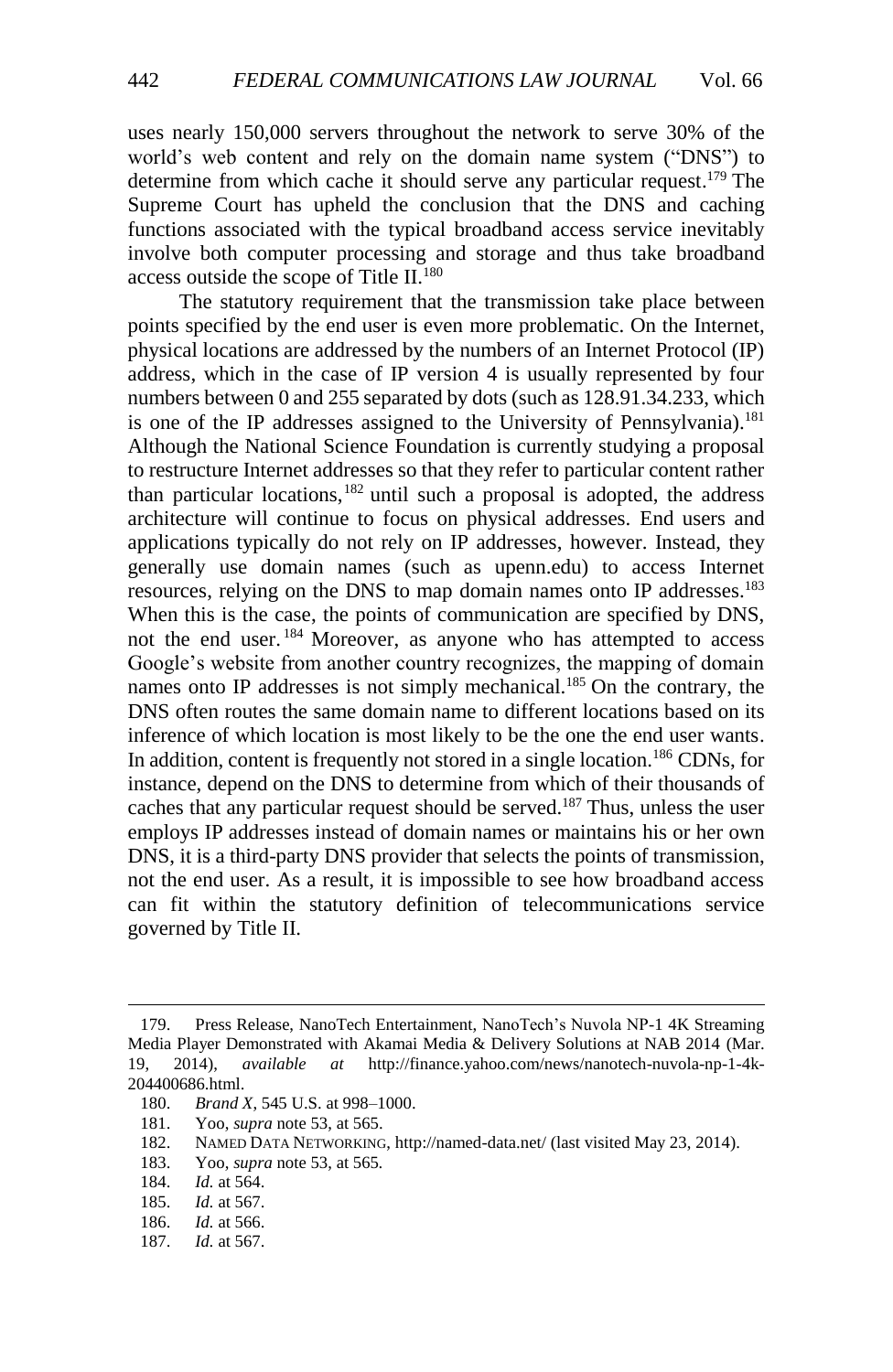uses nearly 150,000 servers throughout the network to serve 30% of the world's web content and rely on the domain name system ("DNS") to determine from which cache it should serve any particular request. <sup>179</sup> The Supreme Court has upheld the conclusion that the DNS and caching functions associated with the typical broadband access service inevitably involve both computer processing and storage and thus take broadband access outside the scope of Title II.<sup>180</sup>

The statutory requirement that the transmission take place between points specified by the end user is even more problematic. On the Internet, physical locations are addressed by the numbers of an Internet Protocol (IP) address, which in the case of IP version 4 is usually represented by four numbers between 0 and 255 separated by dots (such as 128.91.34.233, which is one of the IP addresses assigned to the University of Pennsylvania).<sup>181</sup> Although the National Science Foundation is currently studying a proposal to restructure Internet addresses so that they refer to particular content rather than particular locations,  $182$  until such a proposal is adopted, the address architecture will continue to focus on physical addresses. End users and applications typically do not rely on IP addresses, however. Instead, they generally use domain names (such as upenn.edu) to access Internet resources, relying on the DNS to map domain names onto IP addresses.<sup>183</sup> When this is the case, the points of communication are specified by DNS, not the end user.<sup>184</sup> Moreover, as anyone who has attempted to access Google's website from another country recognizes, the mapping of domain names onto IP addresses is not simply mechanical.<sup>185</sup> On the contrary, the DNS often routes the same domain name to different locations based on its inference of which location is most likely to be the one the end user wants. In addition, content is frequently not stored in a single location.<sup>186</sup> CDNs, for instance, depend on the DNS to determine from which of their thousands of caches that any particular request should be served.<sup>187</sup> Thus, unless the user employs IP addresses instead of domain names or maintains his or her own DNS, it is a third-party DNS provider that selects the points of transmission, not the end user. As a result, it is impossible to see how broadband access can fit within the statutory definition of telecommunications service governed by Title II.

- 182. NAMED DATA NETWORKING, http://named-data.net/ (last visited May 23, 2014).
- 183. Yoo, *supra* note [53,](#page-8-0) at 565*.*
- 184. *Id.* at 564.

- 185. *Id.* at 567.
- 186. *Id.* at 566.
- 187. *Id.* at 567.

<sup>179.</sup> Press Release, NanoTech Entertainment, NanoTech's Nuvola NP-1 4K Streaming Media Player Demonstrated with Akamai Media & Delivery Solutions at NAB 2014 (Mar. 19, 2014), *available at* http://finance.yahoo.com/news/nanotech-nuvola-np-1-4k-204400686.html.

<sup>180.</sup> *Brand X*, 545 U.S. at 998–1000.

<sup>181.</sup> Yoo, *supra* note [53,](#page-8-0) at 565.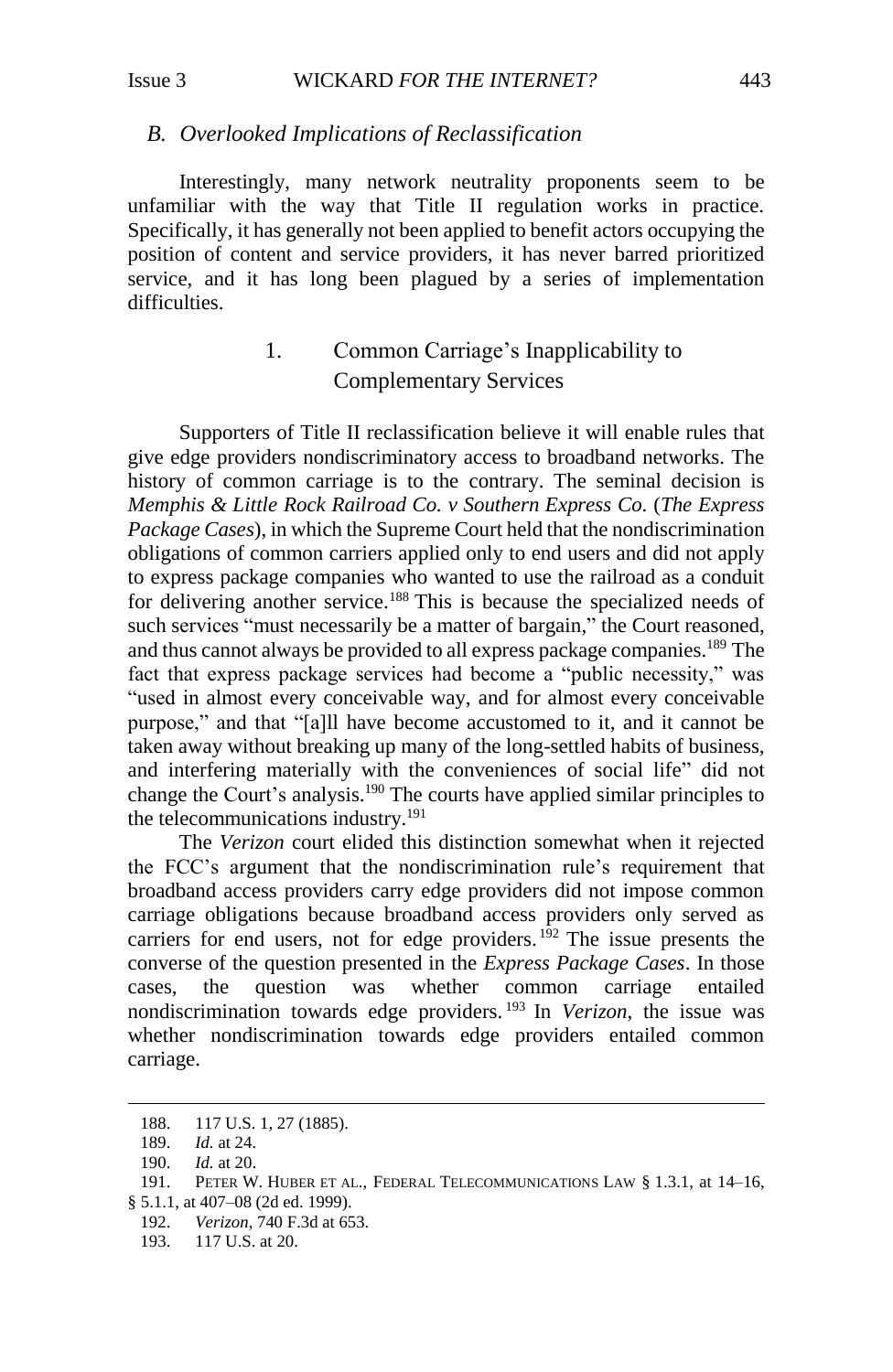#### <span id="page-28-0"></span>*B. Overlooked Implications of Reclassification*

Interestingly, many network neutrality proponents seem to be unfamiliar with the way that Title II regulation works in practice. Specifically, it has generally not been applied to benefit actors occupying the position of content and service providers, it has never barred prioritized service, and it has long been plagued by a series of implementation difficulties.

# 1. Common Carriage's Inapplicability to Complementary Services

<span id="page-28-1"></span>Supporters of Title II reclassification believe it will enable rules that give edge providers nondiscriminatory access to broadband networks. The history of common carriage is to the contrary. The seminal decision is *Memphis & Little Rock Railroad Co. v Southern Express Co.* (*The Express Package Cases*), in which the Supreme Court held that the nondiscrimination obligations of common carriers applied only to end users and did not apply to express package companies who wanted to use the railroad as a conduit for delivering another service.<sup>188</sup> This is because the specialized needs of such services "must necessarily be a matter of bargain," the Court reasoned, and thus cannot always be provided to all express package companies.<sup>189</sup> The fact that express package services had become a "public necessity," was "used in almost every conceivable way, and for almost every conceivable purpose," and that "[a]ll have become accustomed to it, and it cannot be taken away without breaking up many of the long-settled habits of business, and interfering materially with the conveniences of social life" did not change the Court's analysis.<sup>190</sup> The courts have applied similar principles to the telecommunications industry.<sup>191</sup>

The *Verizon* court elided this distinction somewhat when it rejected the FCC's argument that the nondiscrimination rule's requirement that broadband access providers carry edge providers did not impose common carriage obligations because broadband access providers only served as carriers for end users, not for edge providers. <sup>192</sup> The issue presents the converse of the question presented in the *Express Package Cases*. In those cases, the question was whether common carriage entailed nondiscrimination towards edge providers. <sup>193</sup> In *Verizon*, the issue was whether nondiscrimination towards edge providers entailed common carriage.

<sup>188.</sup> 117 U.S. 1, 27 (1885).

<sup>189.</sup> *Id.* at 24.

<sup>190.</sup> *Id.* at 20.

<sup>191.</sup> PETER W. HUBER ET AL., FEDERAL TELECOMMUNICATIONS LAW § 1.3.1, at 14–16, § 5.1.1, at 407–08 (2d ed. 1999).

<sup>192.</sup> *Verizon*, 740 F.3d at 653.

<sup>193. 117</sup> U.S. at 20.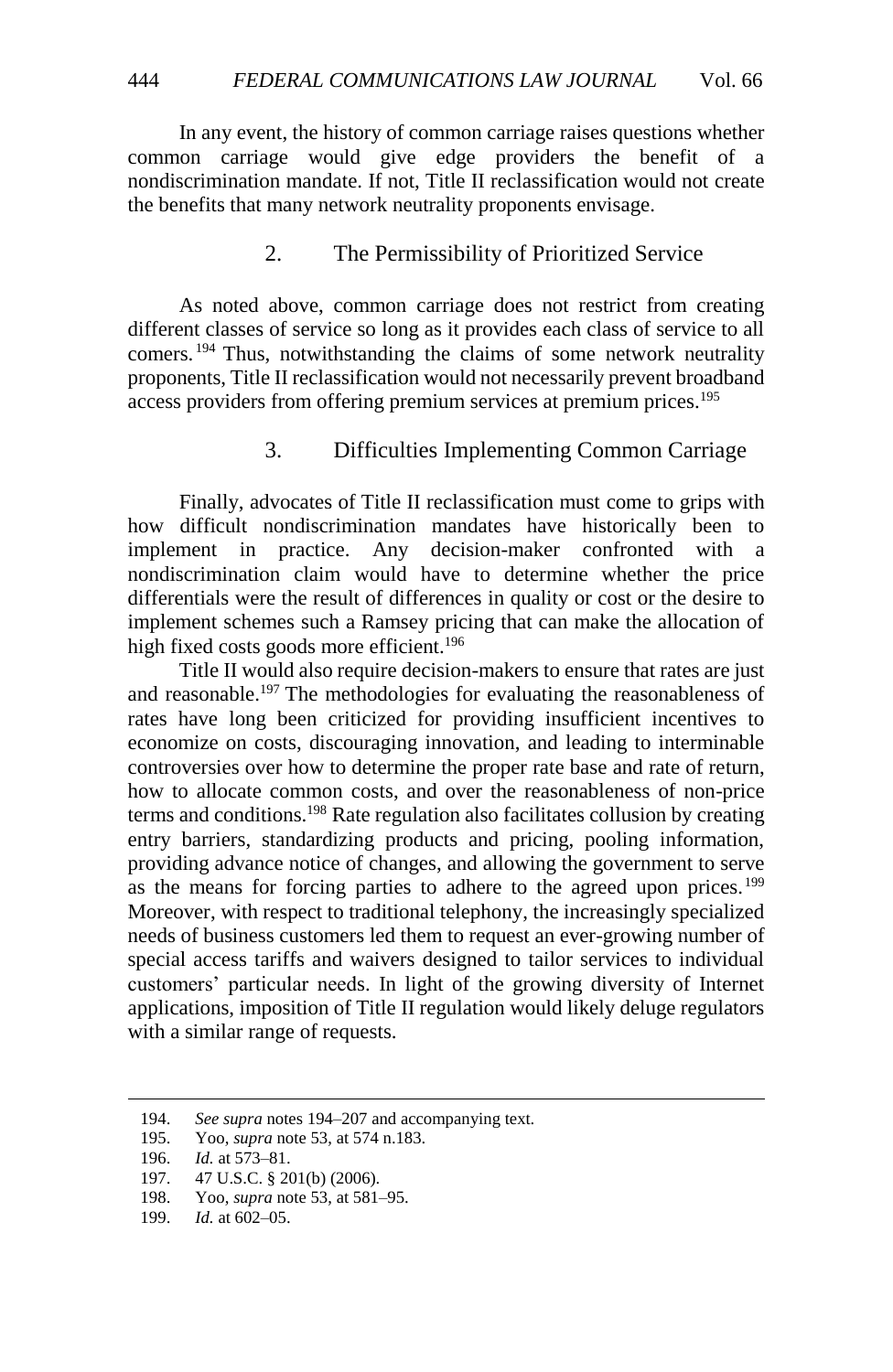In any event, the history of common carriage raises questions whether common carriage would give edge providers the benefit of a nondiscrimination mandate. If not, Title II reclassification would not create the benefits that many network neutrality proponents envisage.

## 2. The Permissibility of Prioritized Service

<span id="page-29-2"></span><span id="page-29-0"></span>As noted above, common carriage does not restrict from creating different classes of service so long as it provides each class of service to all comers. <sup>194</sup> Thus, notwithstanding the claims of some network neutrality proponents, Title II reclassification would not necessarily prevent broadband access providers from offering premium services at premium prices.<sup>195</sup>

## 3. Difficulties Implementing Common Carriage

<span id="page-29-1"></span>Finally, advocates of Title II reclassification must come to grips with how difficult nondiscrimination mandates have historically been to implement in practice. Any decision-maker confronted with a nondiscrimination claim would have to determine whether the price differentials were the result of differences in quality or cost or the desire to implement schemes such a Ramsey pricing that can make the allocation of high fixed costs goods more efficient.<sup>196</sup>

Title II would also require decision-makers to ensure that rates are just and reasonable.<sup>197</sup> The methodologies for evaluating the reasonableness of rates have long been criticized for providing insufficient incentives to economize on costs, discouraging innovation, and leading to interminable controversies over how to determine the proper rate base and rate of return, how to allocate common costs, and over the reasonableness of non-price terms and conditions.<sup>198</sup> Rate regulation also facilitates collusion by creating entry barriers, standardizing products and pricing, pooling information, providing advance notice of changes, and allowing the government to serve as the means for forcing parties to adhere to the agreed upon prices.<sup>199</sup> Moreover, with respect to traditional telephony, the increasingly specialized needs of business customers led them to request an ever-growing number of special access tariffs and waivers designed to tailor services to individual customers' particular needs. In light of the growing diversity of Internet applications, imposition of Title II regulation would likely deluge regulators with a similar range of requests.

<sup>194.</sup> *See supra* notes [194](#page-29-2)[–207](#page-31-1) and accompanying text.

<sup>195.</sup> Yoo, *supra* note [53,](#page-8-0) at 574 n.183.

<sup>196.</sup> *Id.* at 573–81.

<sup>197.</sup> 47 U.S.C. § 201(b) (2006).

<sup>198.</sup> Yoo, *supra* note [53,](#page-8-0) at 581–95.

<sup>199.</sup> *Id.* at 602–05.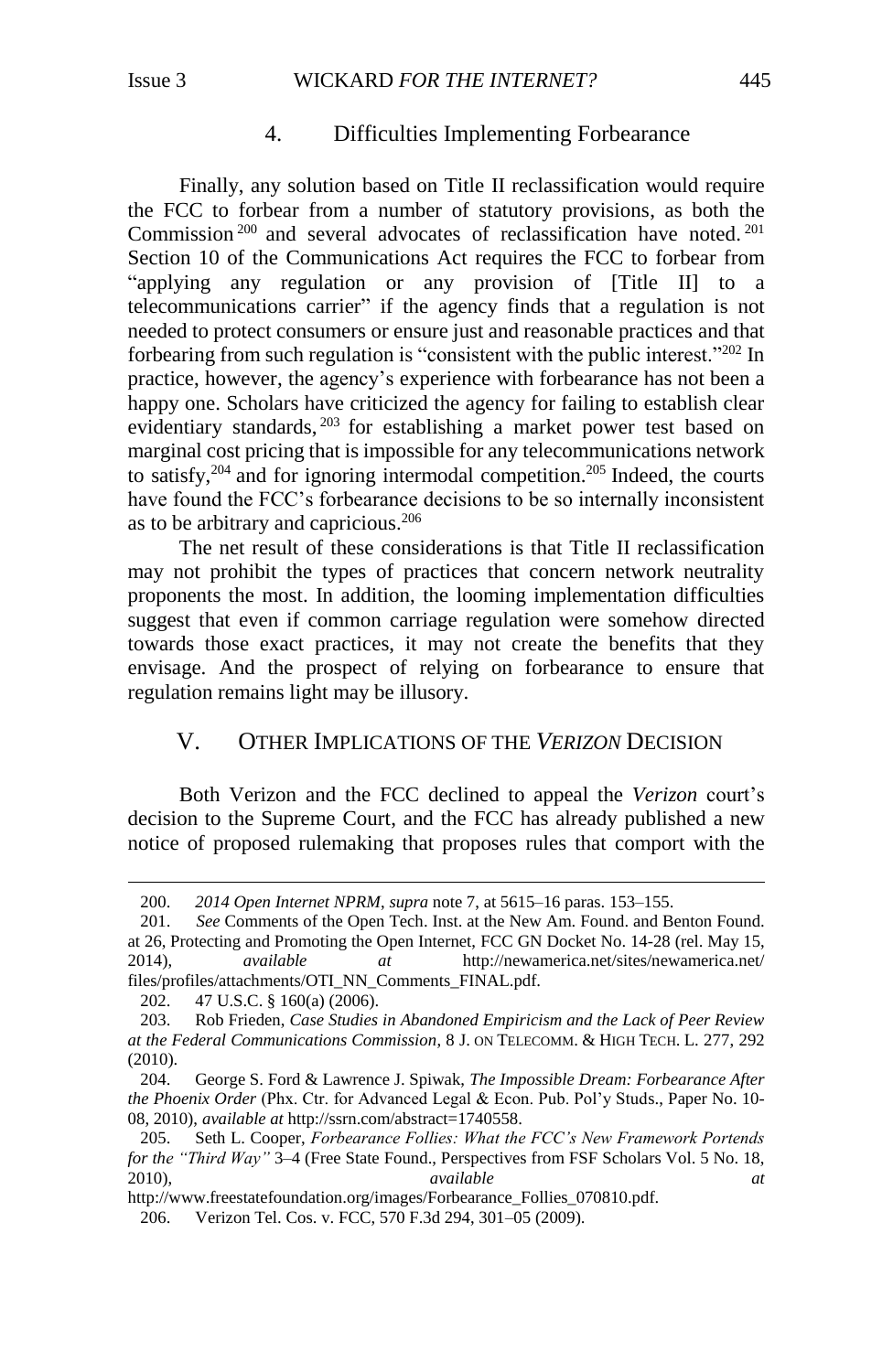## 4. Difficulties Implementing Forbearance

<span id="page-30-0"></span>Finally, any solution based on Title II reclassification would require the FCC to forbear from a number of statutory provisions, as both the Commission<sup>200</sup> and several advocates of reclassification have noted.<sup>201</sup> Section 10 of the Communications Act requires the FCC to forbear from "applying any regulation or any provision of [Title II] to a telecommunications carrier" if the agency finds that a regulation is not needed to protect consumers or ensure just and reasonable practices and that forbearing from such regulation is "consistent with the public interest."<sup>202</sup> In practice, however, the agency's experience with forbearance has not been a happy one. Scholars have criticized the agency for failing to establish clear evidentiary standards, <sup>203</sup> for establishing a market power test based on marginal cost pricing that is impossible for any telecommunications network to satisfy,  $204$  and for ignoring intermodal competition.  $205$  Indeed, the courts have found the FCC's forbearance decisions to be so internally inconsistent as to be arbitrary and capricious.<sup>206</sup>

The net result of these considerations is that Title II reclassification may not prohibit the types of practices that concern network neutrality proponents the most. In addition, the looming implementation difficulties suggest that even if common carriage regulation were somehow directed towards those exact practices, it may not create the benefits that they envisage. And the prospect of relying on forbearance to ensure that regulation remains light may be illusory.

## <span id="page-30-1"></span>V. OTHER IMPLICATIONS OF THE *VERIZON* DECISION

Both Verizon and the FCC declined to appeal the *Verizon* court's decision to the Supreme Court, and the FCC has already published a new notice of proposed rulemaking that proposes rules that comport with the

<sup>200.</sup> *2014 Open Internet NPRM*, *supra* not[e 7,](#page-2-1) at 5615–16 paras. 153–155.

<sup>201.</sup> *See* Comments of the Open Tech. Inst. at the New Am. Found. and Benton Found. at 26, Protecting and Promoting the Open Internet, FCC GN Docket No. 14-28 (rel. May 15, 2014), *available at* http://newamerica.net/sites/newamerica.net/ files/profiles/attachments/OTI\_NN\_Comments\_FINAL.pdf.

<sup>202.</sup> 47 U.S.C. § 160(a) (2006).

<sup>203.</sup> Rob Frieden, *Case Studies in Abandoned Empiricism and the Lack of Peer Review at the Federal Communications Commission*, 8 J. ON TELECOMM. & HIGH TECH. L. 277, 292 (2010).

<sup>204.</sup> George S. Ford & Lawrence J. Spiwak, *The Impossible Dream: Forbearance After the Phoenix Order* (Phx. Ctr. for Advanced Legal & Econ. Pub. Pol'y Studs., Paper No. 10- 08, 2010), *available at* http://ssrn.com/abstract=1740558.

<sup>205.</sup> Seth L. Cooper, *Forbearance Follies: What the FCC's New Framework Portends for the "Third Way"* 3–4 (Free State Found., Perspectives from FSF Scholars Vol. 5 No. 18, 2010), *available at*

http://www.freestatefoundation.org/images/Forbearance\_Follies\_070810.pdf.

<sup>206.</sup> Verizon Tel. Cos. v. FCC, 570 F.3d 294, 301–05 (2009).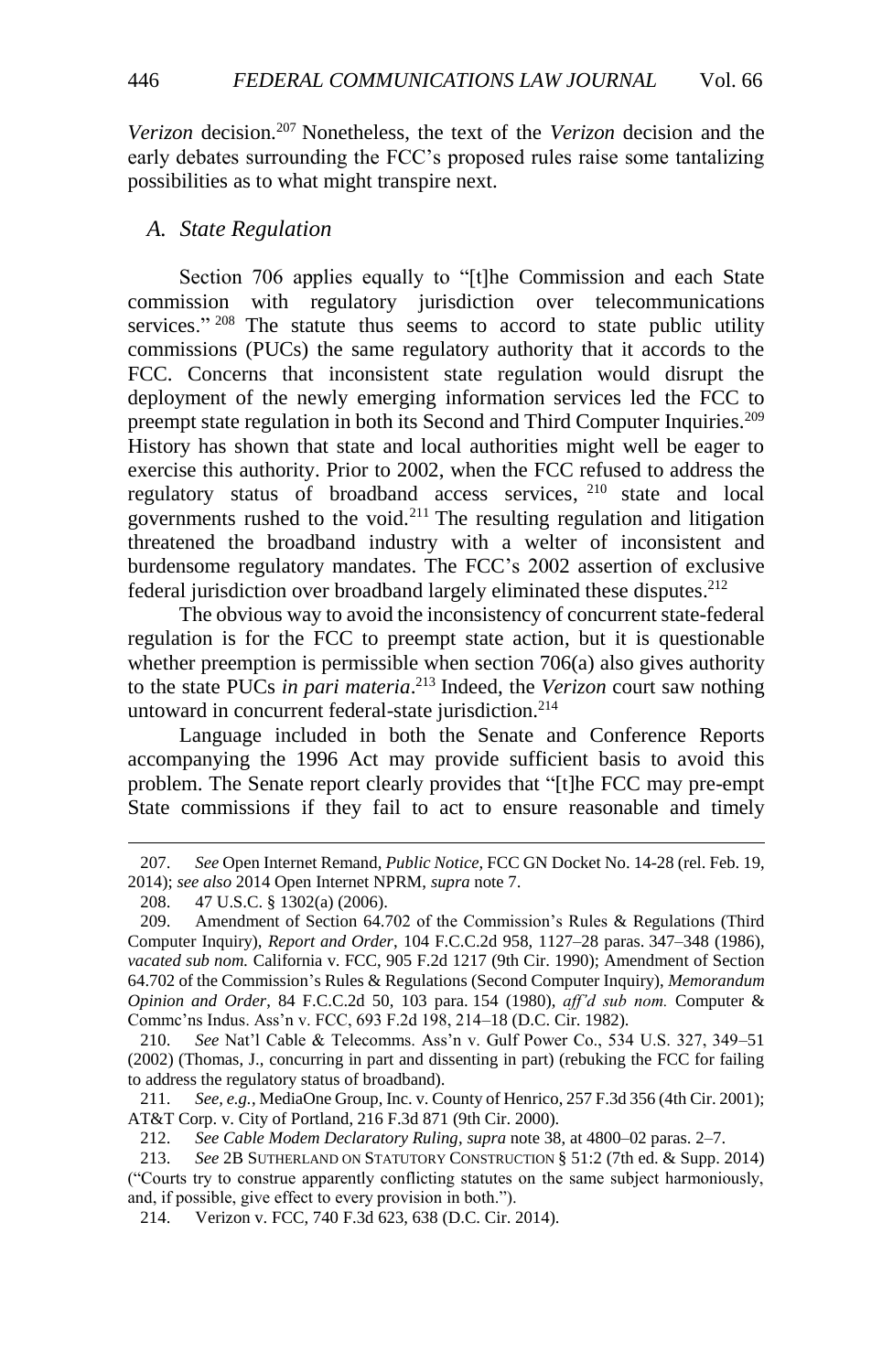<span id="page-31-1"></span>*Verizon* decision.<sup>207</sup> Nonetheless, the text of the *Verizon* decision and the early debates surrounding the FCC's proposed rules raise some tantalizing possibilities as to what might transpire next.

### <span id="page-31-0"></span>*A. State Regulation*

Section 706 applies equally to "[t]he Commission and each State commission with regulatory jurisdiction over telecommunications services." <sup>208</sup> The statute thus seems to accord to state public utility commissions (PUCs) the same regulatory authority that it accords to the FCC. Concerns that inconsistent state regulation would disrupt the deployment of the newly emerging information services led the FCC to preempt state regulation in both its Second and Third Computer Inquiries.<sup>209</sup> History has shown that state and local authorities might well be eager to exercise this authority. Prior to 2002, when the FCC refused to address the regulatory status of broadband access services, <sup>210</sup> state and local governments rushed to the void.<sup>211</sup> The resulting regulation and litigation threatened the broadband industry with a welter of inconsistent and burdensome regulatory mandates. The FCC's 2002 assertion of exclusive federal jurisdiction over broadband largely eliminated these disputes. 212

The obvious way to avoid the inconsistency of concurrent state-federal regulation is for the FCC to preempt state action, but it is questionable whether preemption is permissible when section 706(a) also gives authority to the state PUCs *in pari materia*. <sup>213</sup> Indeed, the *Verizon* court saw nothing untoward in concurrent federal-state jurisdiction.<sup>214</sup>

Language included in both the Senate and Conference Reports accompanying the 1996 Act may provide sufficient basis to avoid this problem. The Senate report clearly provides that "[t]he FCC may pre-empt State commissions if they fail to act to ensure reasonable and timely

l

210. *See* Nat'l Cable & Telecomms. Ass'n v. Gulf Power Co., 534 U.S. 327, 349–51 (2002) (Thomas, J., concurring in part and dissenting in part) (rebuking the FCC for failing to address the regulatory status of broadband).

211. *See, e.g.*, MediaOne Group, Inc. v. County of Henrico, 257 F.3d 356 (4th Cir. 2001); AT&T Corp. v. City of Portland, 216 F.3d 871 (9th Cir. 2000).

212. *See Cable Modem Declaratory Ruling*, *supra* not[e 38,](#page-6-0) at 4800–02 paras. 2–7.

214. Verizon v. FCC, 740 F.3d 623, 638 (D.C. Cir. 2014).

<sup>207.</sup> *See* Open Internet Remand, *Public Notice*, FCC GN Docket No. 14-28 (rel. Feb. 19, 2014); *see also* 2014 Open Internet NPRM, *supra* not[e 7.](#page-2-1)

<sup>208.</sup> 47 U.S.C. § 1302(a) (2006).

<sup>209.</sup> Amendment of Section 64.702 of the Commission's Rules & Regulations (Third Computer Inquiry), *Report and Order*, 104 F.C.C.2d 958, 1127–28 paras. 347–348 (1986), *vacated sub nom.* California v. FCC, 905 F.2d 1217 (9th Cir. 1990); Amendment of Section 64.702 of the Commission's Rules & Regulations (Second Computer Inquiry), *Memorandum Opinion and Order*, 84 F.C.C.2d 50, 103 para. 154 (1980), *aff'd sub nom.* Computer & Commc'ns Indus. Ass'n v. FCC, 693 F.2d 198, 214–18 (D.C. Cir. 1982).

<sup>213.</sup> *See* 2B SUTHERLAND ON STATUTORY CONSTRUCTION § 51:2 (7th ed. & Supp. 2014) ("Courts try to construe apparently conflicting statutes on the same subject harmoniously, and, if possible, give effect to every provision in both.").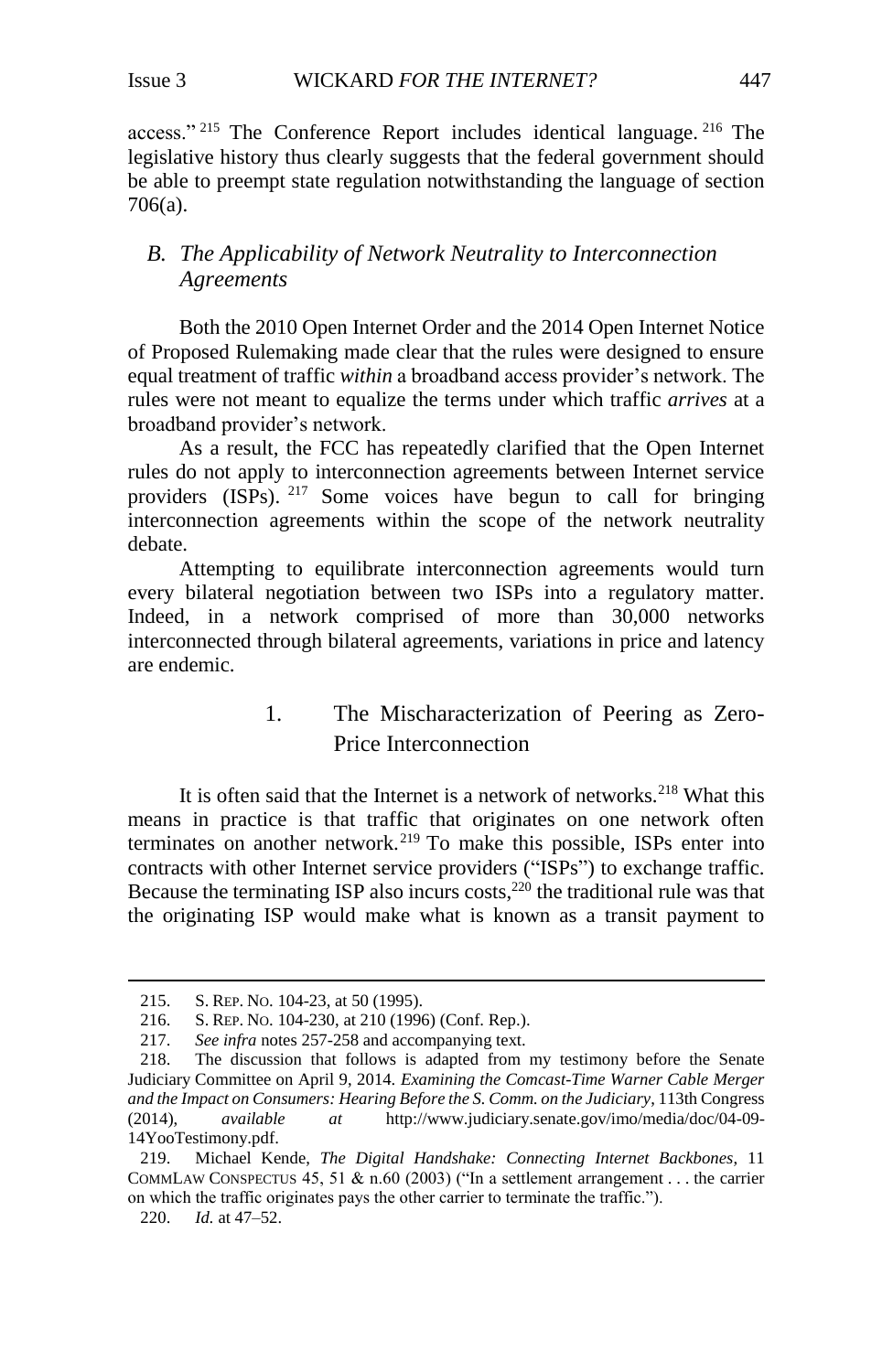access." <sup>215</sup> The Conference Report includes identical language. <sup>216</sup> The legislative history thus clearly suggests that the federal government should be able to preempt state regulation notwithstanding the language of section 706(a).

# <span id="page-32-0"></span>*B. The Applicability of Network Neutrality to Interconnection Agreements*

Both the 2010 Open Internet Order and the 2014 Open Internet Notice of Proposed Rulemaking made clear that the rules were designed to ensure equal treatment of traffic *within* a broadband access provider's network. The rules were not meant to equalize the terms under which traffic *arrives* at a broadband provider's network.

As a result, the FCC has repeatedly clarified that the Open Internet rules do not apply to interconnection agreements between Internet service providers (ISPs). <sup>217</sup> Some voices have begun to call for bringing interconnection agreements within the scope of the network neutrality debate.

Attempting to equilibrate interconnection agreements would turn every bilateral negotiation between two ISPs into a regulatory matter. Indeed, in a network comprised of more than 30,000 networks interconnected through bilateral agreements, variations in price and latency are endemic.

# <span id="page-32-2"></span>1. The Mischaracterization of Peering as Zero-Price Interconnection

<span id="page-32-1"></span>It is often said that the Internet is a network of networks.<sup>218</sup> What this means in practice is that traffic that originates on one network often terminates on another network.<sup>219</sup> To make this possible, ISPs enter into contracts with other Internet service providers ("ISPs") to exchange traffic. Because the terminating ISP also incurs  $\cos$ ,<sup>220</sup> the traditional rule was that the originating ISP would make what is known as a transit payment to

<sup>215.</sup> S. REP. NO. 104-23, at 50 (1995).

<sup>216.</sup> S. REP. NO. 104-230, at 210 (1996) (Conf. Rep.).

<sup>217.</sup> *See infra* notes [257](#page-39-0)[-258](#page-39-1) and accompanying text.

<sup>218.</sup> The discussion that follows is adapted from my testimony before the Senate Judiciary Committee on April 9, 2014. *Examining the Comcast-Time Warner Cable Merger and the Impact on Consumers: Hearing Before the S. Comm. on the Judiciary*, 113th Congress (2014), *available at* [http://www.judiciary.senate.gov/imo/media/doc/04-09-](http://www.judiciary.senate.gov/imo/media/doc/04-09-14YooTestimony.pdf) [14YooTestimony.pdf.](http://www.judiciary.senate.gov/imo/media/doc/04-09-14YooTestimony.pdf)

<sup>219.</sup> Michael Kende, *The Digital Handshake: Connecting Internet Backbones*, 11 COMMLAW CONSPECTUS 45, 51  $\&$  n.60 (2003) ("In a settlement arrangement . . . the carrier on which the traffic originates pays the other carrier to terminate the traffic.").

<sup>220.</sup> *Id.* at 47–52.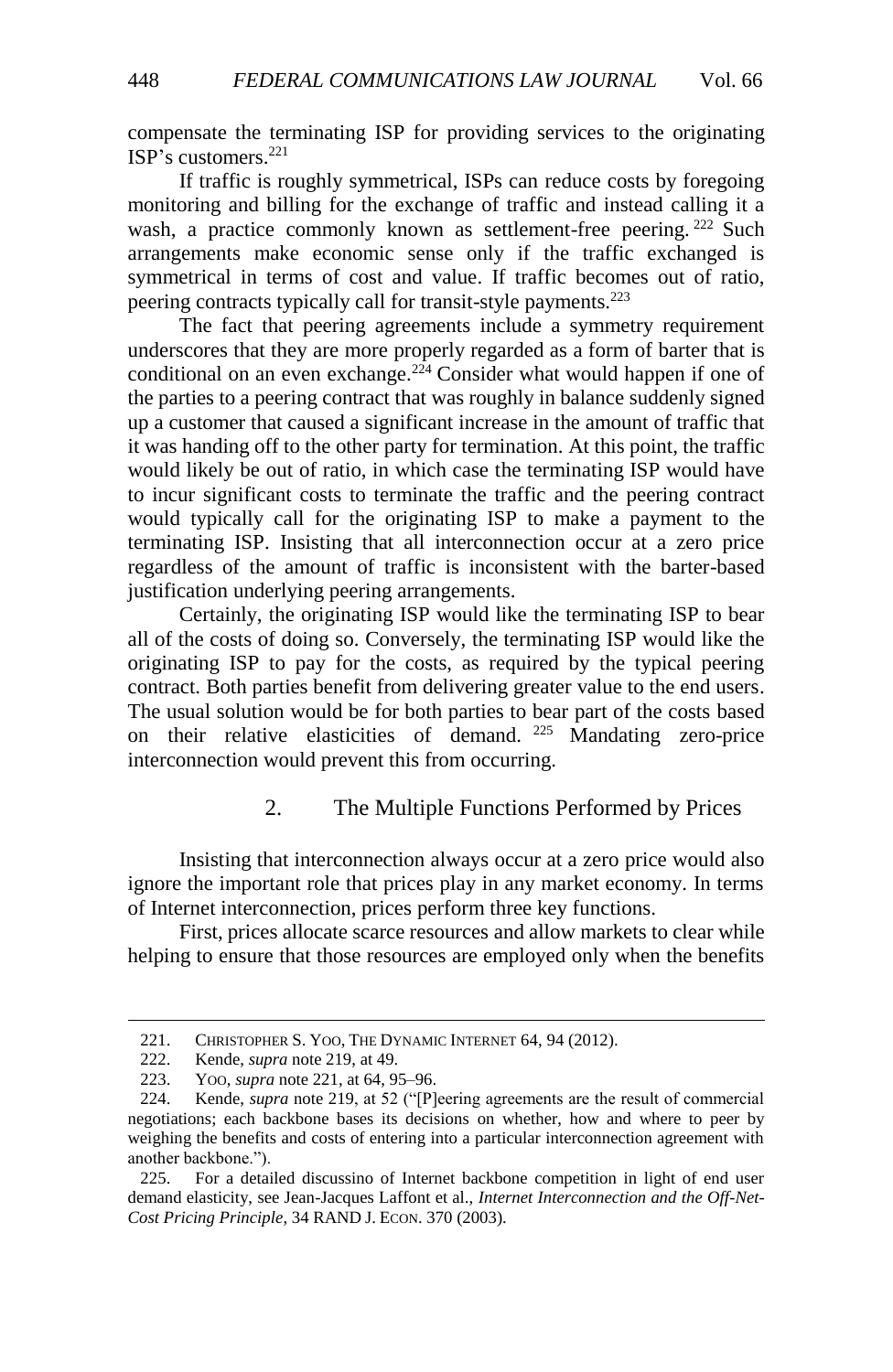compensate the terminating ISP for providing services to the originating ISP's customers.<sup>221</sup>

<span id="page-33-1"></span>If traffic is roughly symmetrical, ISPs can reduce costs by foregoing monitoring and billing for the exchange of traffic and instead calling it a wash, a practice commonly known as settlement-free peering.<sup>222</sup> Such arrangements make economic sense only if the traffic exchanged is symmetrical in terms of cost and value. If traffic becomes out of ratio, peering contracts typically call for transit-style payments.<sup>223</sup>

The fact that peering agreements include a symmetry requirement underscores that they are more properly regarded as a form of barter that is conditional on an even exchange.<sup>224</sup> Consider what would happen if one of the parties to a peering contract that was roughly in balance suddenly signed up a customer that caused a significant increase in the amount of traffic that it was handing off to the other party for termination. At this point, the traffic would likely be out of ratio, in which case the terminating ISP would have to incur significant costs to terminate the traffic and the peering contract would typically call for the originating ISP to make a payment to the terminating ISP. Insisting that all interconnection occur at a zero price regardless of the amount of traffic is inconsistent with the barter-based justification underlying peering arrangements.

Certainly, the originating ISP would like the terminating ISP to bear all of the costs of doing so. Conversely, the terminating ISP would like the originating ISP to pay for the costs, as required by the typical peering contract. Both parties benefit from delivering greater value to the end users. The usual solution would be for both parties to bear part of the costs based on their relative elasticities of demand. <sup>225</sup> Mandating zero-price interconnection would prevent this from occurring.

# 2. The Multiple Functions Performed by Prices

<span id="page-33-0"></span>Insisting that interconnection always occur at a zero price would also ignore the important role that prices play in any market economy. In terms of Internet interconnection, prices perform three key functions.

First, prices allocate scarce resources and allow markets to clear while helping to ensure that those resources are employed only when the benefits

<sup>221.</sup> CHRISTOPHER S. YOO, THE DYNAMIC INTERNET 64, 94 (2012).

<sup>222.</sup> Kende, *supra* note [219,](#page-32-2) at 49.

<sup>223.</sup> YOO, *supra* note [221,](#page-33-1) at 64, 95–96.

<sup>224.</sup> Kende, *supra* note [219,](#page-32-2) at 52 ("[P]eering agreements are the result of commercial negotiations; each backbone bases its decisions on whether, how and where to peer by weighing the benefits and costs of entering into a particular interconnection agreement with another backbone.").

<sup>225.</sup> For a detailed discussino of Internet backbone competition in light of end user demand elasticity, see Jean-Jacques Laffont et al., *Internet Interconnection and the Off-Net-Cost Pricing Principle*, 34 RAND J. ECON. 370 (2003).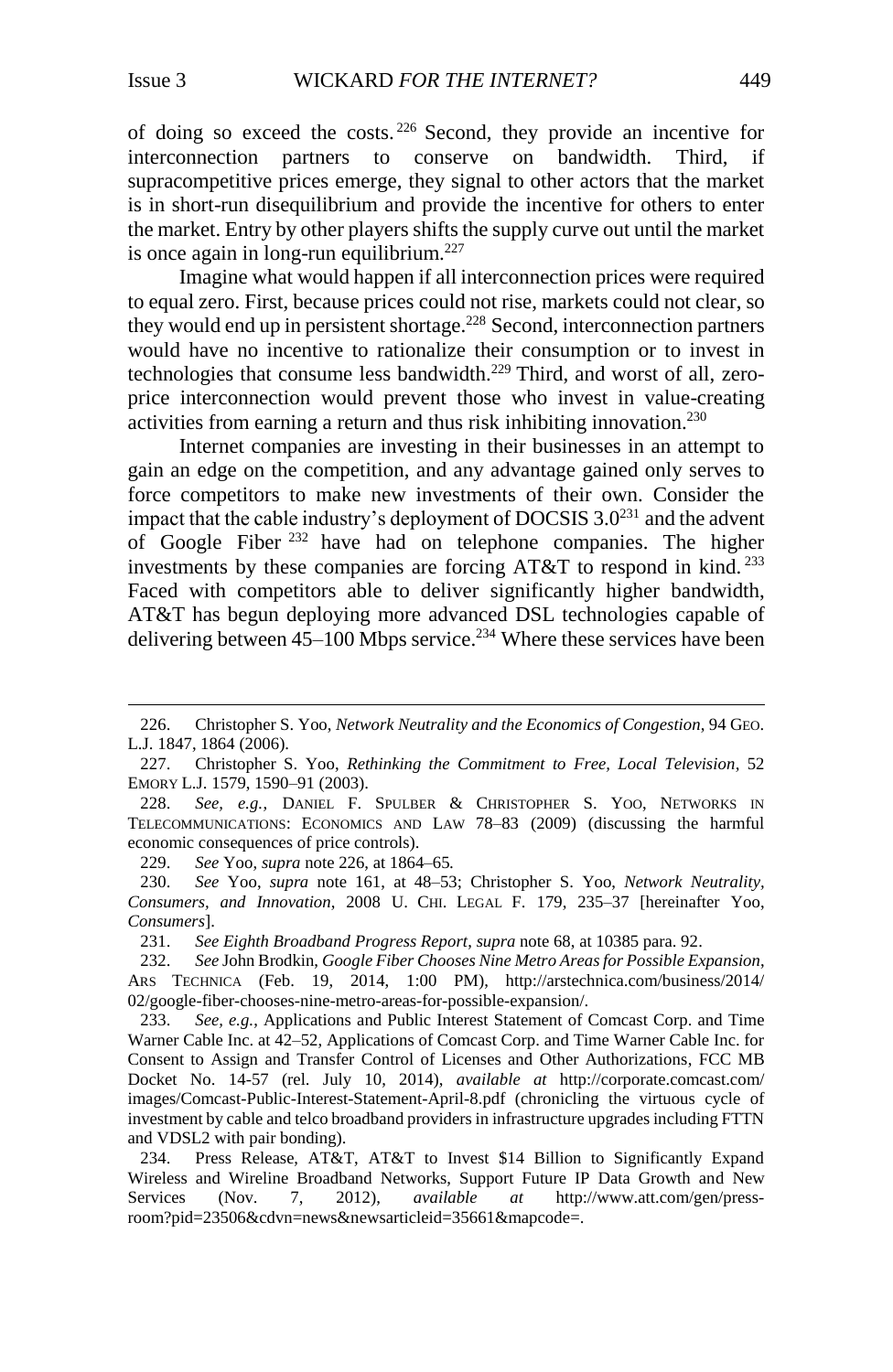l

<span id="page-34-0"></span>of doing so exceed the costs. <sup>226</sup> Second, they provide an incentive for interconnection partners to conserve on bandwidth. Third, if supracompetitive prices emerge, they signal to other actors that the market is in short-run disequilibrium and provide the incentive for others to enter the market. Entry by other players shifts the supply curve out until the market is once again in long-run equilibrium.<sup>227</sup>

Imagine what would happen if all interconnection prices were required to equal zero. First, because prices could not rise, markets could not clear, so they would end up in persistent shortage.<sup>228</sup> Second, interconnection partners would have no incentive to rationalize their consumption or to invest in technologies that consume less bandwidth.<sup>229</sup> Third, and worst of all, zeroprice interconnection would prevent those who invest in value-creating activities from earning a return and thus risk inhibiting innovation.<sup>230</sup>

<span id="page-34-1"></span>Internet companies are investing in their businesses in an attempt to gain an edge on the competition, and any advantage gained only serves to force competitors to make new investments of their own. Consider the impact that the cable industry's deployment of DOCSIS  $3.0^{231}$  and the advent of Google Fiber <sup>232</sup> have had on telephone companies. The higher investments by these companies are forcing  $AT&T$  to respond in kind.<sup>233</sup> Faced with competitors able to deliver significantly higher bandwidth, AT&T has begun deploying more advanced DSL technologies capable of delivering between  $45-100$  Mbps service.<sup>234</sup> Where these services have been

229. *See* Yoo, *supra* not[e 226,](#page-34-0) at 1864–65*.*

231. *See Eighth Broadband Progress Report*, *supra* not[e 68,](#page-10-0) at 10385 para. 92.

<sup>226.</sup> Christopher S. Yoo, *Network Neutrality and the Economics of Congestion*, 94 GEO. L.J. 1847, 1864 (2006).

<sup>227.</sup> Christopher S. Yoo, *Rethinking the Commitment to Free, Local Television*, 52 EMORY L.J. 1579, 1590–91 (2003).

<sup>228.</sup> *See, e.g.*, DANIEL F. SPULBER & CHRISTOPHER S. YOO, NETWORKS IN TELECOMMUNICATIONS: ECONOMICS AND LAW 78–83 (2009) (discussing the harmful economic consequences of price controls).

<sup>230.</sup> *See* Yoo, *supra* note [161,](#page-24-1) at 48–53; Christopher S. Yoo, *Network Neutrality, Consumers, and Innovation*, 2008 U. CHI. LEGAL F. 179, 235–37 [hereinafter Yoo, *Consumers*].

<sup>232.</sup> *See* John Brodkin, *Google Fiber Chooses Nine Metro Areas for Possible Expansion*, ARS TECHNICA (Feb. 19, 2014, 1:00 PM), http://arstechnica.com/business/2014/ 02/google-fiber-chooses-nine-metro-areas-for-possible-expansion/.

<sup>233.</sup> *See, e.g.*, Applications and Public Interest Statement of Comcast Corp. and Time Warner Cable Inc. at 42–52, Applications of Comcast Corp. and Time Warner Cable Inc. for Consent to Assign and Transfer Control of Licenses and Other Authorizations, FCC MB Docket No. 14-57 (rel. July 10, 2014), *available at* [http://corporate.comcast.com/](http://corporate.comcast.com/images/Comcast-Public-Interest-Statement-April-8.pdf) [images/Comcast-Public-Interest-Statement-April-8.pdf](http://corporate.comcast.com/images/Comcast-Public-Interest-Statement-April-8.pdf) (chronicling the virtuous cycle of investment by cable and telco broadband providers in infrastructure upgrades including FTTN and VDSL2 with pair bonding).

<sup>234.</sup> Press Release, AT&T, AT&T to Invest \$14 Billion to Significantly Expand Wireless and Wireline Broadband Networks, Support Future IP Data Growth and New Services (Nov. 7, 2012), *available at* http://www.att.com/gen/pressroom?pid=23506&cdvn=news&newsarticleid=35661&mapcode=.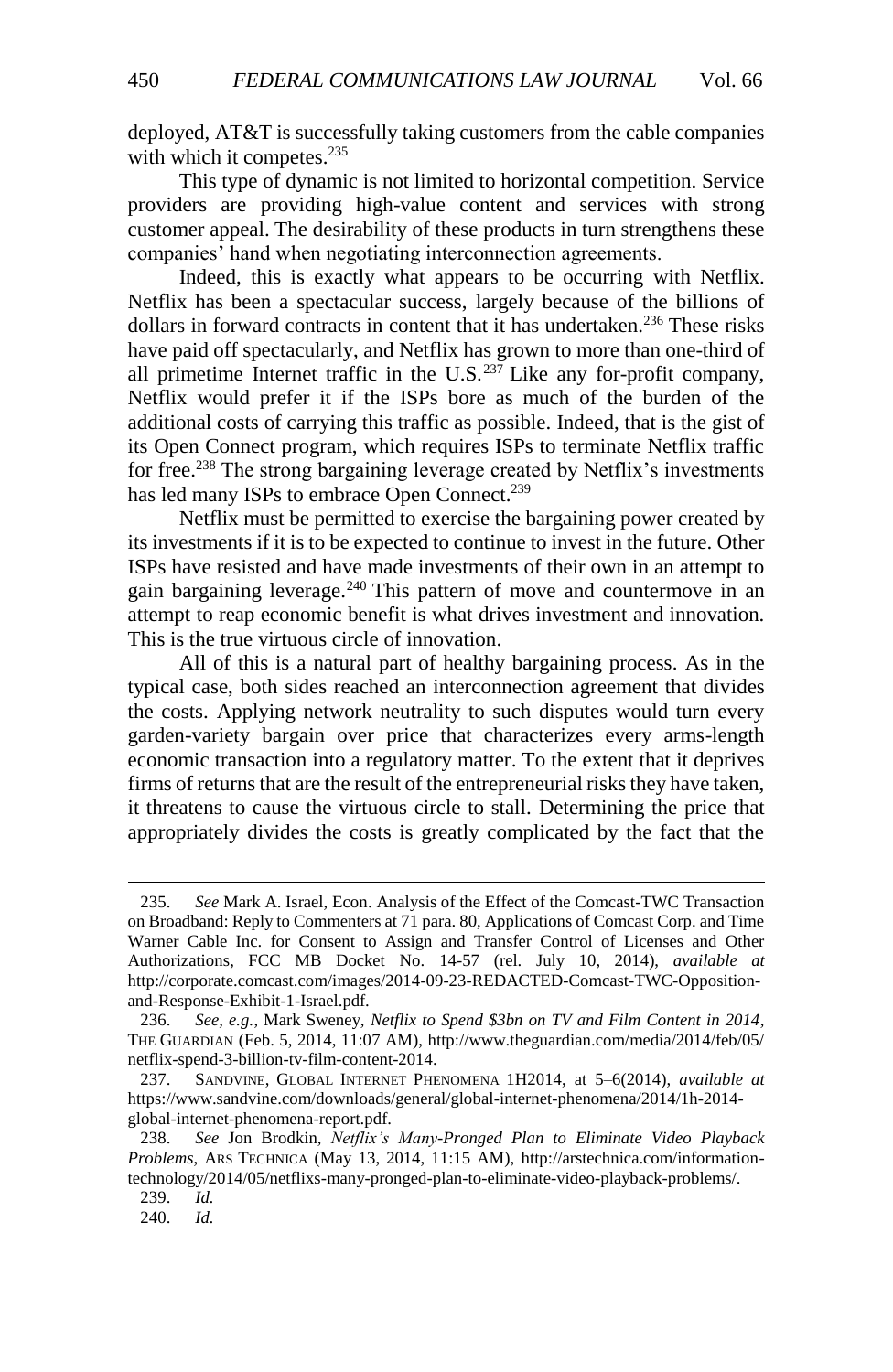deployed, AT&T is successfully taking customers from the cable companies with which it competes.<sup>235</sup>

This type of dynamic is not limited to horizontal competition. Service providers are providing high-value content and services with strong customer appeal. The desirability of these products in turn strengthens these companies' hand when negotiating interconnection agreements.

Indeed, this is exactly what appears to be occurring with Netflix. Netflix has been a spectacular success, largely because of the billions of dollars in forward contracts in content that it has undertaken.<sup>236</sup> These risks have paid off spectacularly, and Netflix has grown to more than one-third of all primetime Internet traffic in the U.S. $^{237}$  Like any for-profit company, Netflix would prefer it if the ISPs bore as much of the burden of the additional costs of carrying this traffic as possible. Indeed, that is the gist of its Open Connect program, which requires ISPs to terminate Netflix traffic for free.<sup>238</sup> The strong bargaining leverage created by Netflix's investments has led many ISPs to embrace Open Connect.<sup>239</sup>

Netflix must be permitted to exercise the bargaining power created by its investments if it is to be expected to continue to invest in the future. Other ISPs have resisted and have made investments of their own in an attempt to gain bargaining leverage.<sup>240</sup> This pattern of move and countermove in an attempt to reap economic benefit is what drives investment and innovation. This is the true virtuous circle of innovation.

All of this is a natural part of healthy bargaining process. As in the typical case, both sides reached an interconnection agreement that divides the costs. Applying network neutrality to such disputes would turn every garden-variety bargain over price that characterizes every arms-length economic transaction into a regulatory matter. To the extent that it deprives firms of returns that are the result of the entrepreneurial risks they have taken, it threatens to cause the virtuous circle to stall. Determining the price that appropriately divides the costs is greatly complicated by the fact that the

<sup>235.</sup> *See* Mark A. Israel, Econ. Analysis of the Effect of the Comcast-TWC Transaction on Broadband: Reply to Commenters at 71 para. 80, Applications of Comcast Corp. and Time Warner Cable Inc. for Consent to Assign and Transfer Control of Licenses and Other Authorizations, FCC MB Docket No. 14-57 (rel. July 10, 2014), *available at*  http://corporate.comcast.com/images/2014-09-23-REDACTED-Comcast-TWC-Oppositionand-Response-Exhibit-1-Israel.pdf.

<sup>236.</sup> *See, e.g.*, Mark Sweney, *Netflix to Spend \$3bn on TV and Film Content in 2014*, THE GUARDIAN (Feb. 5, 2014, 11:07 AM), http://www.theguardian.com/media/2014/feb/05/ netflix-spend-3-billion-tv-film-content-2014.

<sup>237.</sup> SANDVINE, GLOBAL INTERNET PHENOMENA 1H2014, at 5–6(2014), *available at* https://www.sandvine.com/downloads/general/global-internet-phenomena/2014/1h-2014 global-internet-phenomena-report.pdf.

<sup>238.</sup> *See* Jon Brodkin, *Netflix's Many-Pronged Plan to Eliminate Video Playback Problems*, ARS TECHNICA (May 13, 2014, 11:15 AM), http://arstechnica.com/informationtechnology/2014/05/netflixs-many-pronged-plan-to-eliminate-video-playback-problems/.

<sup>239.</sup> *Id.*

<sup>240.</sup> *Id.*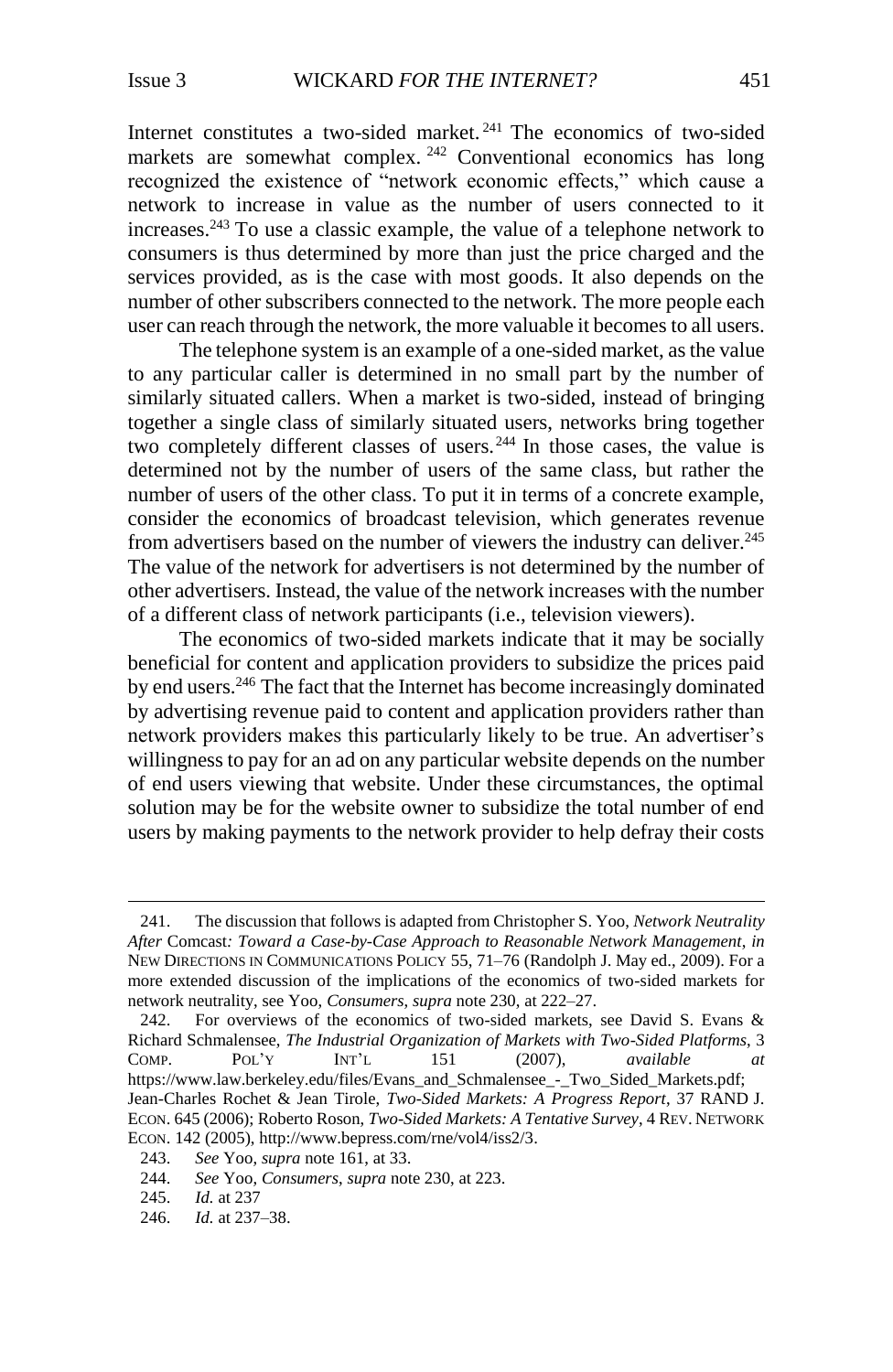<span id="page-36-0"></span>Internet constitutes a two-sided market. <sup>241</sup> The economics of two-sided markets are somewhat complex. <sup>242</sup> Conventional economics has long recognized the existence of "network economic effects," which cause a network to increase in value as the number of users connected to it increases.<sup>243</sup> To use a classic example, the value of a telephone network to consumers is thus determined by more than just the price charged and the services provided, as is the case with most goods. It also depends on the number of other subscribers connected to the network. The more people each user can reach through the network, the more valuable it becomes to all users.

The telephone system is an example of a one-sided market, as the value to any particular caller is determined in no small part by the number of similarly situated callers. When a market is two-sided, instead of bringing together a single class of similarly situated users, networks bring together two completely different classes of users.<sup>244</sup> In those cases, the value is determined not by the number of users of the same class, but rather the number of users of the other class. To put it in terms of a concrete example, consider the economics of broadcast television, which generates revenue from advertisers based on the number of viewers the industry can deliver.<sup>245</sup> The value of the network for advertisers is not determined by the number of other advertisers. Instead, the value of the network increases with the number of a different class of network participants (i.e., television viewers).

The economics of two-sided markets indicate that it may be socially beneficial for content and application providers to subsidize the prices paid by end users.<sup>246</sup> The fact that the Internet has become increasingly dominated by advertising revenue paid to content and application providers rather than network providers makes this particularly likely to be true. An advertiser's willingness to pay for an ad on any particular website depends on the number of end users viewing that website. Under these circumstances, the optimal solution may be for the website owner to subsidize the total number of end users by making payments to the network provider to help defray their costs

<sup>241.</sup> The discussion that follows is adapted from Christopher S. Yoo, *Network Neutrality After* Comcast*: Toward a Case-by-Case Approach to Reasonable Network Management*, *in* NEW DIRECTIONS IN COMMUNICATIONS POLICY 55, 71–76 (Randolph J. May ed., 2009). For a more extended discussion of the implications of the economics of two-sided markets for network neutrality, see Yoo, *Consumers*, *supra* note [230,](#page-34-1) at 222–27.

<sup>242.</sup> For overviews of the economics of two-sided markets, see David S. Evans & Richard Schmalensee, *The Industrial Organization of Markets with Two-Sided Platforms*, 3 COMP. POL'Y INT'L 151 (2007), *available at*  https://www.law.berkeley.edu/files/Evans\_and\_Schmalensee\_-\_Two\_Sided\_Markets.pdf; Jean-Charles Rochet & Jean Tirole, *Two-Sided Markets: A Progress Report*, 37 RAND J. ECON. 645 (2006); Roberto Roson, *Two-Sided Markets: A Tentative Survey*, 4 REV. NETWORK ECON. 142 (2005), http://www.bepress.com/rne/vol4/iss2/3.

<sup>243.</sup> *See* Yoo, *supra* not[e 161,](#page-24-1) at 33.

<sup>244.</sup> *See* Yoo, *Consumers*, *supra* not[e 230,](#page-34-1) at 223.

<sup>245.</sup> *Id.* at 237

<sup>246.</sup> *Id.* at 237–38.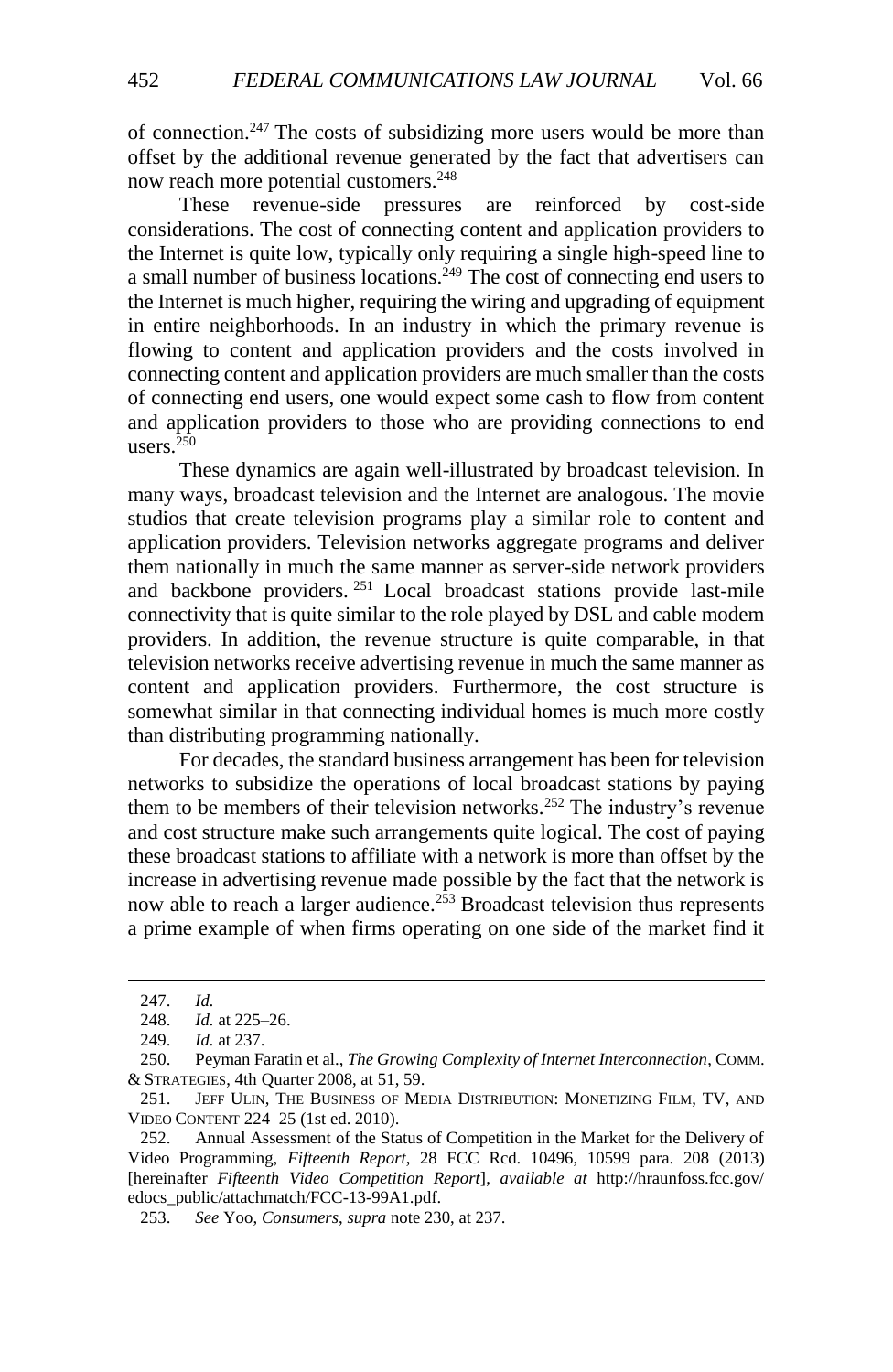of connection.<sup>247</sup> The costs of subsidizing more users would be more than offset by the additional revenue generated by the fact that advertisers can now reach more potential customers.<sup>248</sup>

These revenue-side pressures are reinforced by cost-side considerations. The cost of connecting content and application providers to the Internet is quite low, typically only requiring a single high-speed line to a small number of business locations.<sup>249</sup> The cost of connecting end users to the Internet is much higher, requiring the wiring and upgrading of equipment in entire neighborhoods. In an industry in which the primary revenue is flowing to content and application providers and the costs involved in connecting content and application providers are much smaller than the costs of connecting end users, one would expect some cash to flow from content and application providers to those who are providing connections to end users. $250$ 

These dynamics are again well-illustrated by broadcast television. In many ways, broadcast television and the Internet are analogous. The movie studios that create television programs play a similar role to content and application providers. Television networks aggregate programs and deliver them nationally in much the same manner as server-side network providers and backbone providers. <sup>251</sup> Local broadcast stations provide last-mile connectivity that is quite similar to the role played by DSL and cable modem providers. In addition, the revenue structure is quite comparable, in that television networks receive advertising revenue in much the same manner as content and application providers. Furthermore, the cost structure is somewhat similar in that connecting individual homes is much more costly than distributing programming nationally.

<span id="page-37-0"></span>For decades, the standard business arrangement has been for television networks to subsidize the operations of local broadcast stations by paying them to be members of their television networks.<sup>252</sup> The industry's revenue and cost structure make such arrangements quite logical. The cost of paying these broadcast stations to affiliate with a network is more than offset by the increase in advertising revenue made possible by the fact that the network is now able to reach a larger audience.<sup>253</sup> Broadcast television thus represents a prime example of when firms operating on one side of the market find it

<sup>247.</sup> *Id.* 

<sup>248.</sup> *Id.* at 225–26.

<sup>249.</sup> *Id.* at 237.

<sup>250.</sup> Peyman Faratin et al., *The Growing Complexity of Internet Interconnection*, COMM. & STRATEGIES, 4th Quarter 2008, at 51, 59.

<sup>251.</sup> JEFF ULIN, THE BUSINESS OF MEDIA DISTRIBUTION: MONETIZING FILM, TV, AND VIDEO CONTENT 224–25 (1st ed. 2010).

<sup>252.</sup> Annual Assessment of the Status of Competition in the Market for the Delivery of Video Programming, *Fifteenth Report*, 28 FCC Rcd. 10496, 10599 para. 208 (2013) [hereinafter *Fifteenth Video Competition Report*], *available at* http://hraunfoss.fcc.gov/ edocs\_public/attachmatch/FCC-13-99A1.pdf.

<sup>253.</sup> *See* Yoo, *Consumers*, *supra* not[e 230,](#page-34-1) at 237.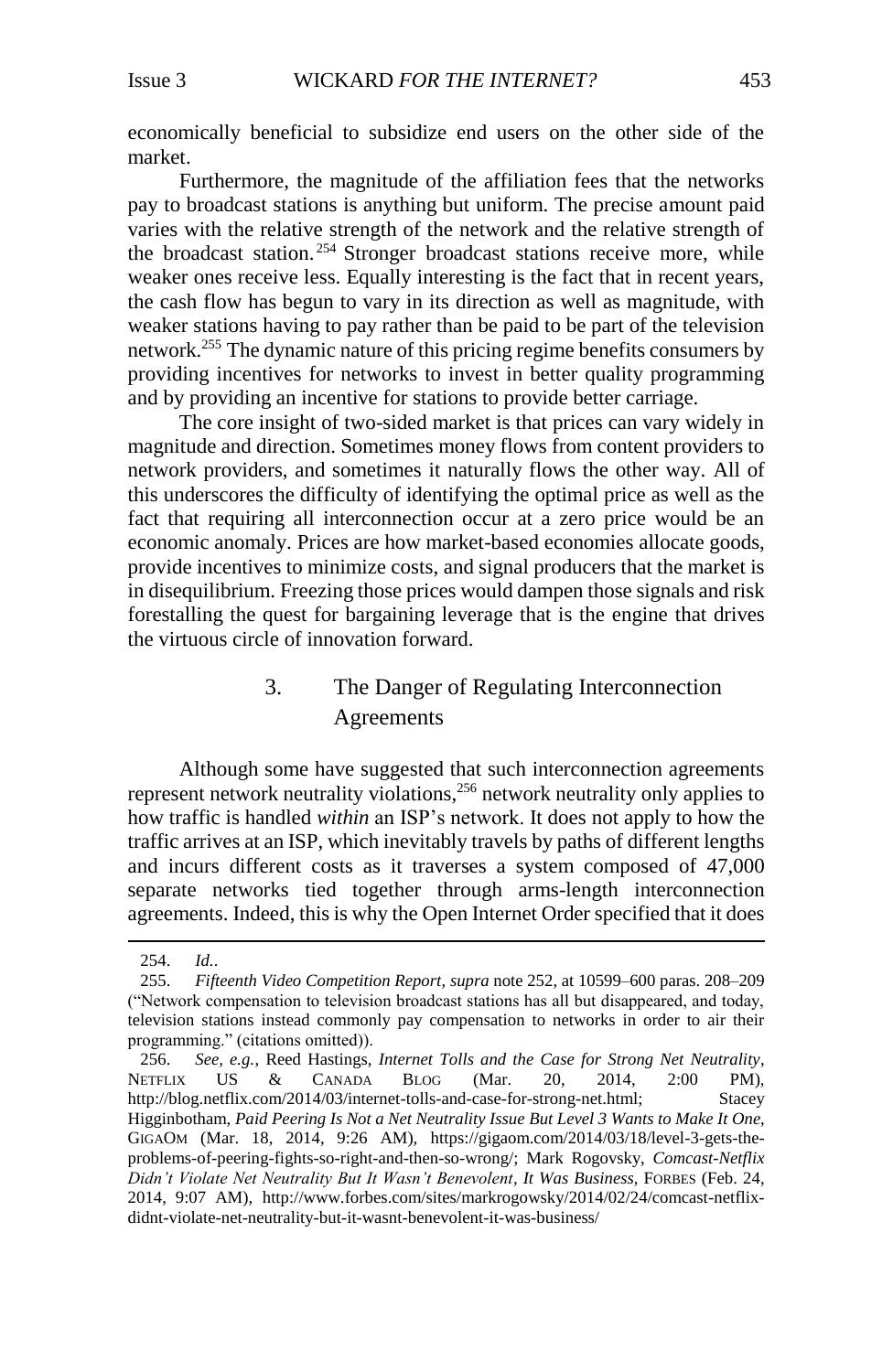economically beneficial to subsidize end users on the other side of the market.

Furthermore, the magnitude of the affiliation fees that the networks pay to broadcast stations is anything but uniform. The precise amount paid varies with the relative strength of the network and the relative strength of the broadcast station.<sup>254</sup> Stronger broadcast stations receive more, while weaker ones receive less. Equally interesting is the fact that in recent years, the cash flow has begun to vary in its direction as well as magnitude, with weaker stations having to pay rather than be paid to be part of the television network.<sup>255</sup> The dynamic nature of this pricing regime benefits consumers by providing incentives for networks to invest in better quality programming and by providing an incentive for stations to provide better carriage.

The core insight of two-sided market is that prices can vary widely in magnitude and direction. Sometimes money flows from content providers to network providers, and sometimes it naturally flows the other way. All of this underscores the difficulty of identifying the optimal price as well as the fact that requiring all interconnection occur at a zero price would be an economic anomaly. Prices are how market-based economies allocate goods, provide incentives to minimize costs, and signal producers that the market is in disequilibrium. Freezing those prices would dampen those signals and risk forestalling the quest for bargaining leverage that is the engine that drives the virtuous circle of innovation forward.

# 3. The Danger of Regulating Interconnection Agreements

<span id="page-38-0"></span>Although some have suggested that such interconnection agreements represent network neutrality violations,<sup>256</sup> network neutrality only applies to how traffic is handled *within* an ISP's network. It does not apply to how the traffic arrives at an ISP, which inevitably travels by paths of different lengths and incurs different costs as it traverses a system composed of 47,000 separate networks tied together through arms-length interconnection agreements. Indeed, this is why the Open Internet Order specified that it does

<sup>254.</sup> *Id.*.

<sup>255.</sup> *Fifteenth Video Competition Report*, *supra* not[e 252,](#page-37-0) at 10599–600 paras. 208–209 ("Network compensation to television broadcast stations has all but disappeared, and today, television stations instead commonly pay compensation to networks in order to air their programming." (citations omitted)).

<sup>256.</sup> *See, e.g.*, Reed Hastings, *Internet Tolls and the Case for Strong Net Neutrality*, NETFLIX US & CANADA BLOG (Mar. 20, 2014, 2:00 PM), http://blog.netflix.com/2014/03/internet-tolls-and-case-for-strong-net.html; Stacey Higginbotham, *Paid Peering Is Not a Net Neutrality Issue But Level 3 Wants to Make It One*, GIGAOM (Mar. 18, 2014, 9:26 AM), https://gigaom.com/2014/03/18/level-3-gets-theproblems-of-peering-fights-so-right-and-then-so-wrong/; Mark Rogovsky, *Comcast-Netflix Didn't Violate Net Neutrality But It Wasn't Benevolent, It Was Business*, FORBES (Feb. 24, 2014, 9:07 AM), http://www.forbes.com/sites/markrogowsky/2014/02/24/comcast-netflixdidnt-violate-net-neutrality-but-it-wasnt-benevolent-it-was-business/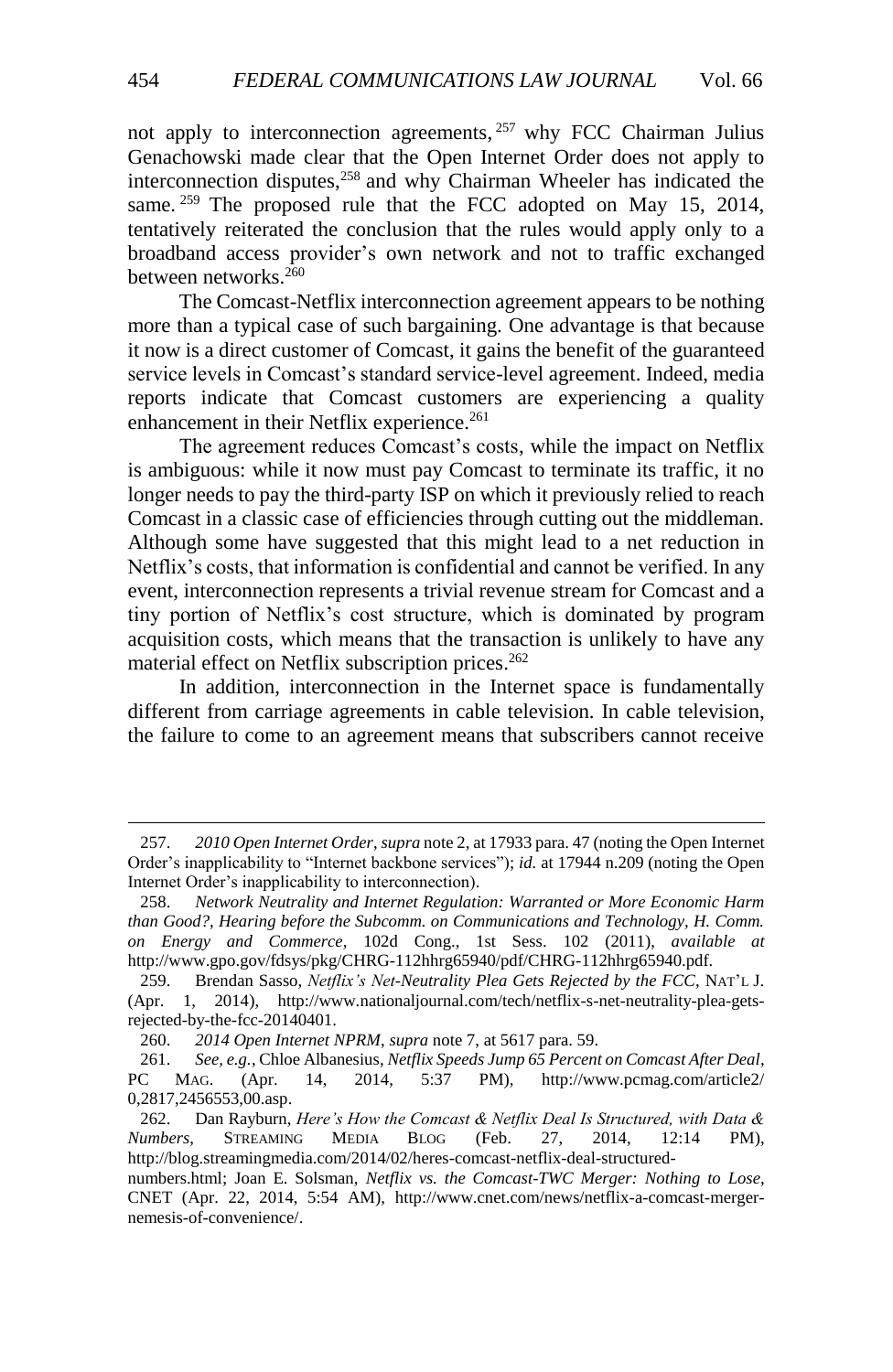<span id="page-39-1"></span><span id="page-39-0"></span>not apply to interconnection agreements,<sup>257</sup> why FCC Chairman Julius Genachowski made clear that the Open Internet Order does not apply to interconnection disputes, <sup>258</sup> and why Chairman Wheeler has indicated the same. <sup>259</sup> The proposed rule that the FCC adopted on May 15, 2014, tentatively reiterated the conclusion that the rules would apply only to a broadband access provider's own network and not to traffic exchanged between networks.<sup>260</sup>

The Comcast-Netflix interconnection agreement appears to be nothing more than a typical case of such bargaining. One advantage is that because it now is a direct customer of Comcast, it gains the benefit of the guaranteed service levels in Comcast's standard service-level agreement. Indeed, media reports indicate that Comcast customers are experiencing a quality enhancement in their Netflix experience.<sup>261</sup>

The agreement reduces Comcast's costs, while the impact on Netflix is ambiguous: while it now must pay Comcast to terminate its traffic, it no longer needs to pay the third-party ISP on which it previously relied to reach Comcast in a classic case of efficiencies through cutting out the middleman. Although some have suggested that this might lead to a net reduction in Netflix's costs, that information is confidential and cannot be verified. In any event, interconnection represents a trivial revenue stream for Comcast and a tiny portion of Netflix's cost structure, which is dominated by program acquisition costs, which means that the transaction is unlikely to have any material effect on Netflix subscription prices. 262

In addition, interconnection in the Internet space is fundamentally different from carriage agreements in cable television. In cable television, the failure to come to an agreement means that subscribers cannot receive

<sup>257.</sup> *2010 Open Internet Order*, *supra* not[e 2,](#page-2-2) at 17933 para. 47 (noting the Open Internet Order's inapplicability to "Internet backbone services"); *id.* at 17944 n.209 (noting the Open Internet Order's inapplicability to interconnection).

<sup>258.</sup> *Network Neutrality and Internet Regulation: Warranted or More Economic Harm than Good?, Hearing before the Subcomm. on Communications and Technology, H. Comm. on Energy and Commerce*, 102d Cong., 1st Sess. 102 (2011), *available at* http://www.gpo.gov/fdsys/pkg/CHRG-112hhrg65940/pdf/CHRG-112hhrg65940.pdf.

<sup>259.</sup> Brendan Sasso, *Netflix's Net-Neutrality Plea Gets Rejected by the FCC*, NAT'L J. (Apr. 1, 2014), http://www.nationaljournal.com/tech/netflix-s-net-neutrality-plea-getsrejected-by-the-fcc-20140401.

<sup>260.</sup> *2014 Open Internet NPRM*, *supra* not[e 7,](#page-2-1) at 5617 para. 59.

<sup>261.</sup> *See, e.g.*, Chloe Albanesius, *Netflix Speeds Jump 65 Percent on Comcast After Deal*, PC MAG. (Apr. 14, 2014, 5:37 PM), [http://www.pcmag.com/article2/](http://www.pcmag.com/article2/0,2817,2456553,00.asp) [0,2817,2456553,00.asp.](http://www.pcmag.com/article2/0,2817,2456553,00.asp)

<sup>262.</sup> Dan Rayburn, *Here's How the Comcast & Netflix Deal Is Structured, with Data & Numbers*, STREAMING MEDIA BLOG (Feb. 27, 2014, 12:14 PM), http://blog.streamingmedia.com/2014/02/heres-comcast-netflix-deal-structured-

numbers.html; Joan E. Solsman, *Netflix vs. the Comcast-TWC Merger: Nothing to Lose*, CNET (Apr. 22, 2014, 5:54 AM), http://www.cnet.com/news/netflix-a-comcast-mergernemesis-of-convenience/.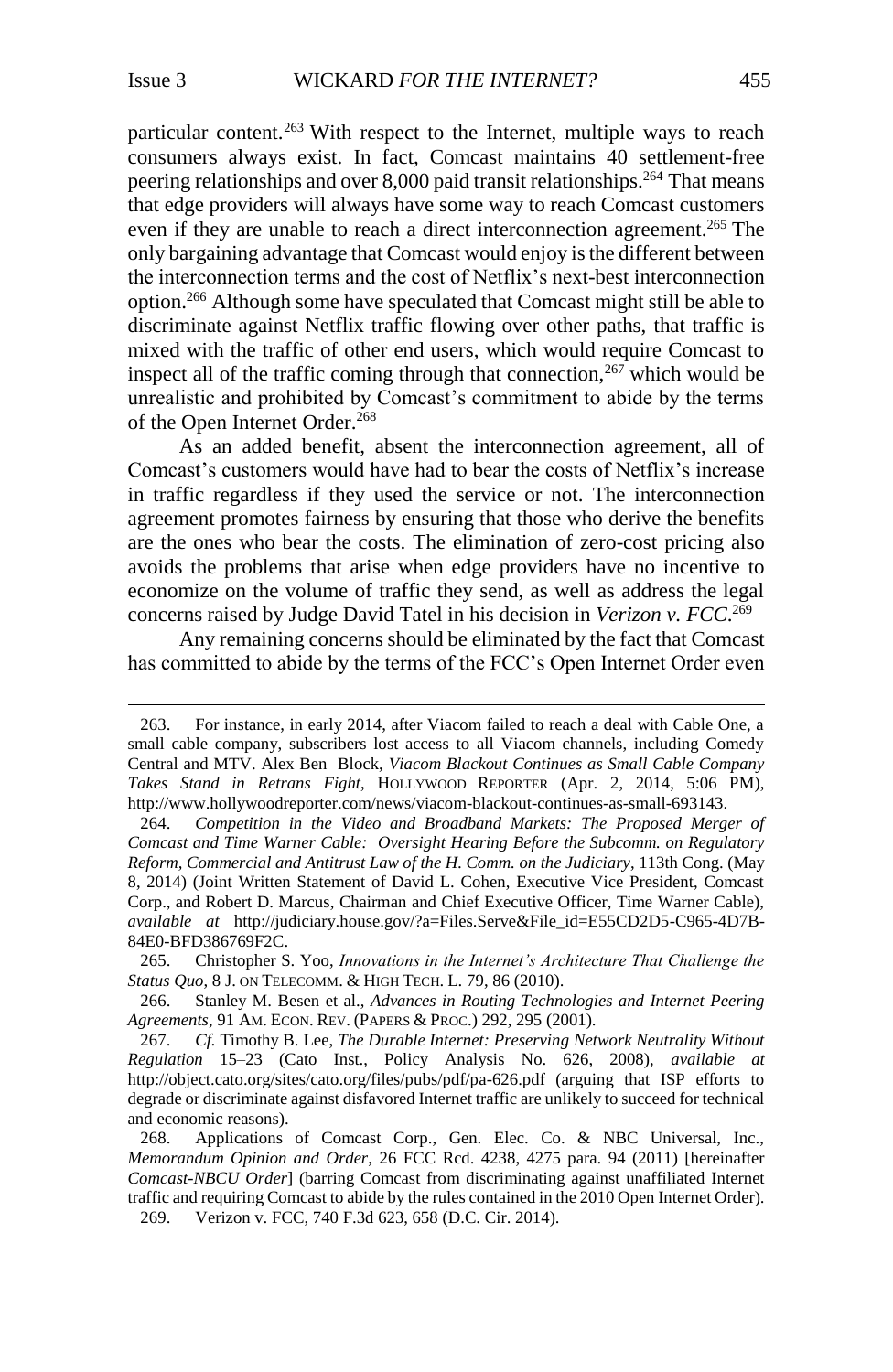l

particular content.<sup>263</sup> With respect to the Internet, multiple ways to reach consumers always exist. In fact, Comcast maintains 40 settlement-free peering relationships and over 8,000 paid transit relationships.<sup>264</sup> That means that edge providers will always have some way to reach Comcast customers even if they are unable to reach a direct interconnection agreement.<sup>265</sup> The only bargaining advantage that Comcast would enjoy is the different between the interconnection terms and the cost of Netflix's next-best interconnection option.<sup>266</sup> Although some have speculated that Comcast might still be able to discriminate against Netflix traffic flowing over other paths, that traffic is mixed with the traffic of other end users, which would require Comcast to inspect all of the traffic coming through that connection,  $267$  which would be unrealistic and prohibited by Comcast's commitment to abide by the terms of the Open Internet Order.<sup>268</sup>

<span id="page-40-0"></span>As an added benefit, absent the interconnection agreement, all of Comcast's customers would have had to bear the costs of Netflix's increase in traffic regardless if they used the service or not. The interconnection agreement promotes fairness by ensuring that those who derive the benefits are the ones who bear the costs. The elimination of zero-cost pricing also avoids the problems that arise when edge providers have no incentive to economize on the volume of traffic they send, as well as address the legal concerns raised by Judge David Tatel in his decision in *Verizon v. FCC*. 269

Any remaining concerns should be eliminated by the fact that Comcast has committed to abide by the terms of the FCC's Open Internet Order even

<sup>263.</sup> For instance, in early 2014, after Viacom failed to reach a deal with Cable One, a small cable company, subscribers lost access to all Viacom channels, including Comedy Central and MTV. Alex Ben Block, *Viacom Blackout Continues as Small Cable Company Takes Stand in Retrans Fight*, HOLLYWOOD REPORTER (Apr. 2, 2014, 5:06 PM), http://www.hollywoodreporter.com/news/viacom-blackout-continues-as-small-693143.

<sup>264.</sup> *Competition in the Video and Broadband Markets: The Proposed Merger of Comcast and Time Warner Cable: Oversight Hearing Before the Subcomm. on Regulatory Reform, Commercial and Antitrust Law of the H. Comm. on the Judiciary*, 113th Cong. (May 8, 2014) (Joint Written Statement of David L. Cohen, Executive Vice President, Comcast Corp., and Robert D. Marcus, Chairman and Chief Executive Officer, Time Warner Cable), *available at* http://judiciary.house.gov/?a=Files.Serve&File\_id=E55CD2D5-C965-4D7B-84E0-BFD386769F2C.

<sup>265.</sup> Christopher S. Yoo, *Innovations in the Internet's Architecture That Challenge the Status Quo*, 8 J. ON TELECOMM. & HIGH TECH. L. 79, 86 (2010).

<sup>266.</sup> Stanley M. Besen et al., *Advances in Routing Technologies and Internet Peering Agreements*, 91 AM. ECON. REV. (PAPERS & PROC.) 292, 295 (2001).

<sup>267.</sup> *Cf.* Timothy B. Lee, *The Durable Internet: Preserving Network Neutrality Without Regulation* 15–23 (Cato Inst., Policy Analysis No. 626, 2008), *available at*  http://object.cato.org/sites/cato.org/files/pubs/pdf/pa-626.pdf (arguing that ISP efforts to degrade or discriminate against disfavored Internet traffic are unlikely to succeed for technical and economic reasons).

<sup>268.</sup> Applications of Comcast Corp., Gen. Elec. Co. & NBC Universal, Inc., *Memorandum Opinion and Order*, 26 FCC Rcd. 4238, 4275 para. 94 (2011) [hereinafter *Comcast-NBCU Order*] (barring Comcast from discriminating against unaffiliated Internet traffic and requiring Comcast to abide by the rules contained in the 2010 Open Internet Order). 269. Verizon v. FCC, 740 F.3d 623, 658 (D.C. Cir. 2014).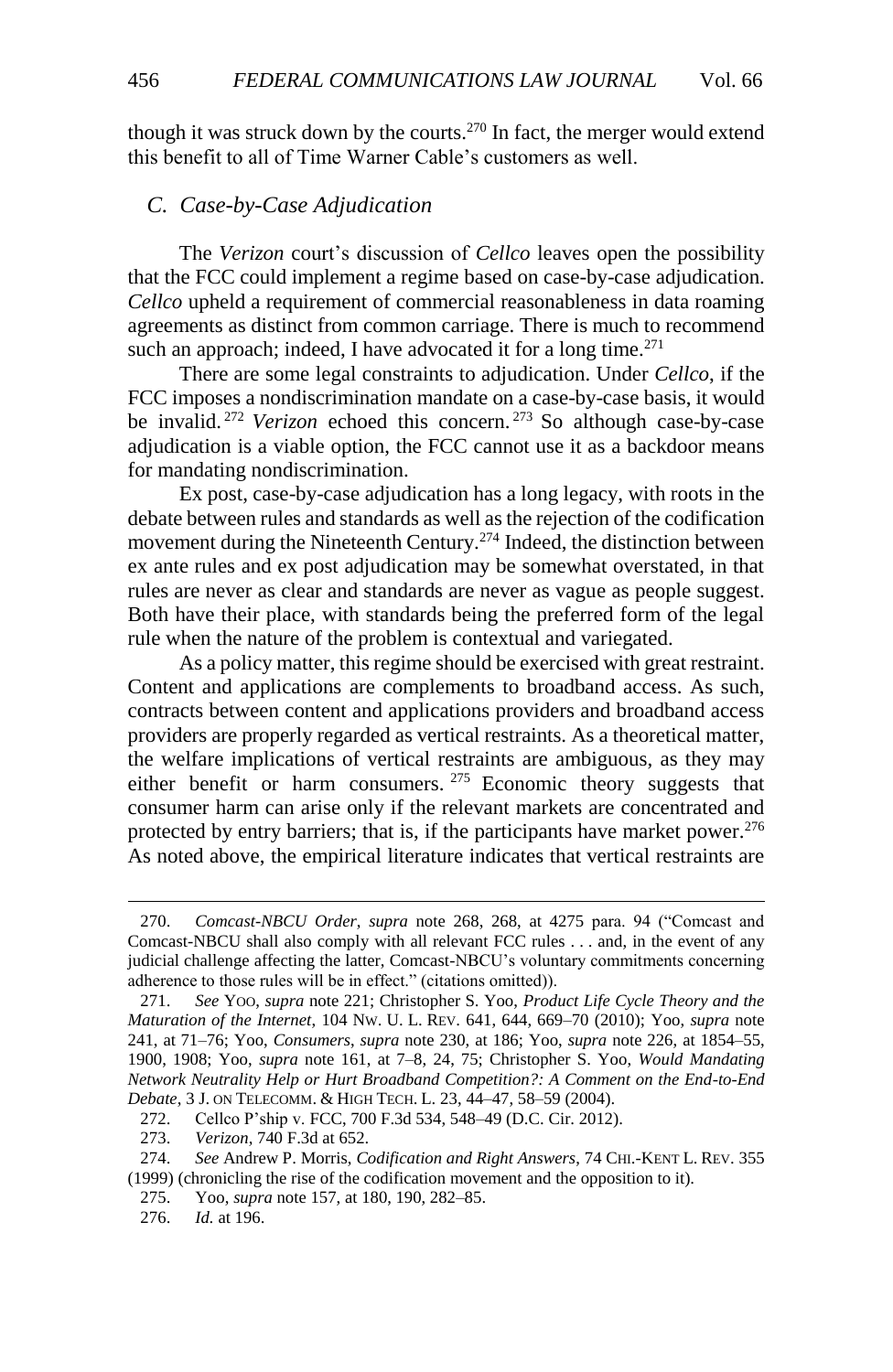though it was struck down by the courts.<sup>270</sup> In fact, the merger would extend this benefit to all of Time Warner Cable's customers as well.

# <span id="page-41-0"></span>*C. Case-by-Case Adjudication*

The *Verizon* court's discussion of *Cellco* leaves open the possibility that the FCC could implement a regime based on case-by-case adjudication. *Cellco* upheld a requirement of commercial reasonableness in data roaming agreements as distinct from common carriage. There is much to recommend such an approach; indeed, I have advocated it for a long time. $271$ 

There are some legal constraints to adjudication. Under *Cellco*, if the FCC imposes a nondiscrimination mandate on a case-by-case basis, it would be invalid. <sup>272</sup> *Verizon* echoed this concern. <sup>273</sup> So although case-by-case adjudication is a viable option, the FCC cannot use it as a backdoor means for mandating nondiscrimination.

Ex post, case-by-case adjudication has a long legacy, with roots in the debate between rules and standards as well as the rejection of the codification movement during the Nineteenth Century.<sup>274</sup> Indeed, the distinction between ex ante rules and ex post adjudication may be somewhat overstated, in that rules are never as clear and standards are never as vague as people suggest. Both have their place, with standards being the preferred form of the legal rule when the nature of the problem is contextual and variegated.

As a policy matter, this regime should be exercised with great restraint. Content and applications are complements to broadband access. As such, contracts between content and applications providers and broadband access providers are properly regarded as vertical restraints. As a theoretical matter, the welfare implications of vertical restraints are ambiguous, as they may either benefit or harm consumers. <sup>275</sup> Economic theory suggests that consumer harm can arise only if the relevant markets are concentrated and protected by entry barriers; that is, if the participants have market power.<sup>276</sup> As noted above, the empirical literature indicates that vertical restraints are

273. *Verizon*, 740 F.3d at 652.

- 275. Yoo, *supra* note [157,](#page-23-1) at 180, 190, 282–85.
- 276. *Id.* at 196.

<sup>270.</sup> *Comcast-NBCU Order*, *supra* note [268, 268,](#page-40-0) at 4275 para. 94 ("Comcast and Comcast-NBCU shall also comply with all relevant FCC rules . . . and, in the event of any judicial challenge affecting the latter, Comcast-NBCU's voluntary commitments concerning adherence to those rules will be in effect." (citations omitted)).

<sup>271.</sup> *See* YOO, *supra* note [221;](#page-33-1) Christopher S. Yoo, *Product Life Cycle Theory and the Maturation of the Internet*, 104 NW. U. L. REV. 641, 644, 669–70 (2010); Yoo, *supra* note [241,](#page-36-0) at 71–76; Yoo, *Consumers*, *supra* note [230,](#page-34-1) at 186; Yoo, *supra* note [226,](#page-34-0) at 1854–55, 1900, 1908; Yoo, *supra* note [161,](#page-24-1) at 7–8, 24, 75; Christopher S. Yoo, *Would Mandating Network Neutrality Help or Hurt Broadband Competition?: A Comment on the End-to-End Debate*, 3 J. ON TELECOMM. & HIGH TECH. L. 23, 44–47, 58–59 (2004).

<sup>272.</sup> Cellco P'ship v. FCC, 700 F.3d 534, 548–49 (D.C. Cir. 2012).

<sup>274.</sup> *See* Andrew P. Morris, *Codification and Right Answers*, 74 CHI.-KENT L. REV. 355 (1999) (chronicling the rise of the codification movement and the opposition to it).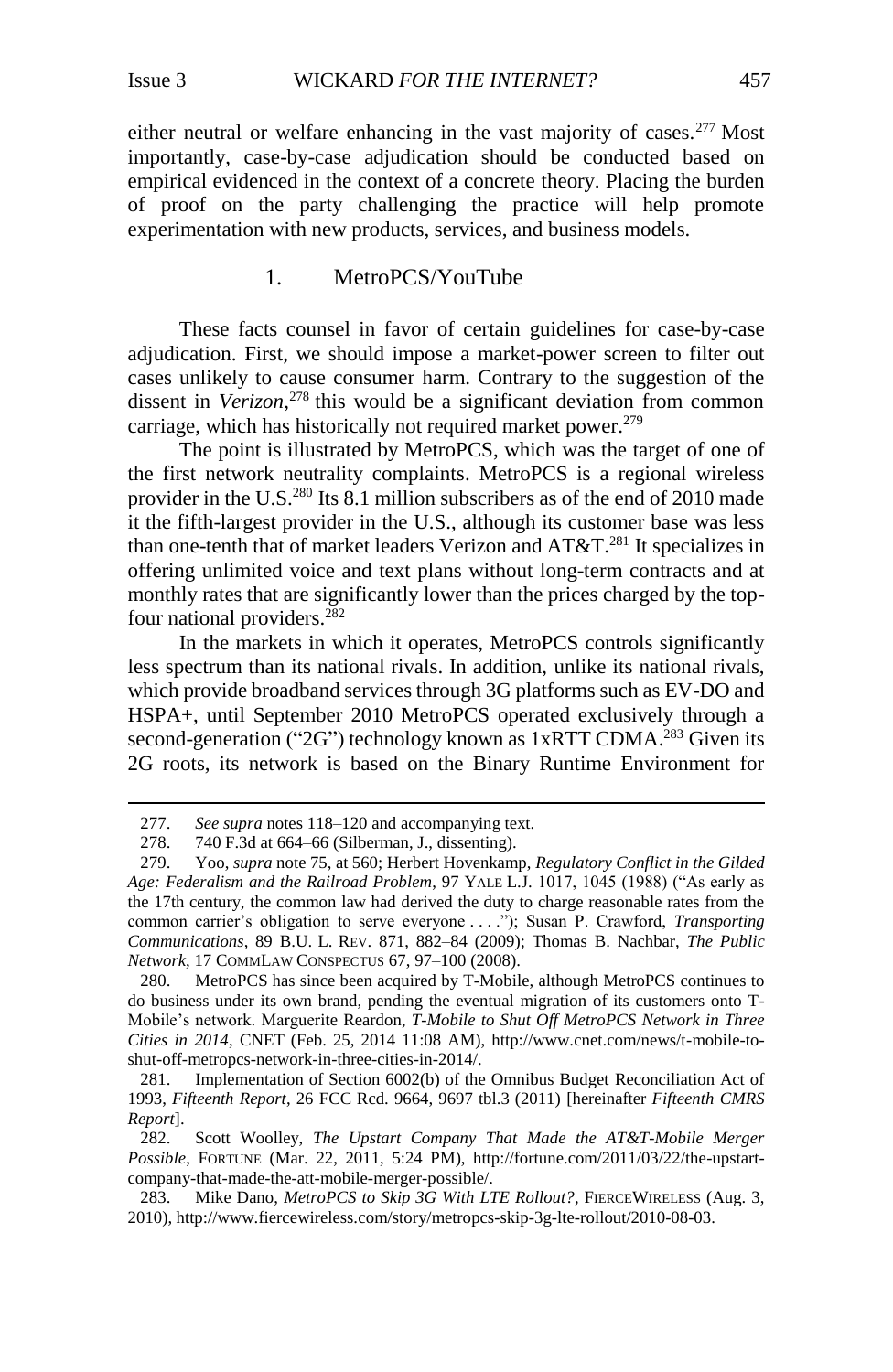l

either neutral or welfare enhancing in the vast majority of cases. $277$  Most importantly, case-by-case adjudication should be conducted based on empirical evidenced in the context of a concrete theory. Placing the burden of proof on the party challenging the practice will help promote experimentation with new products, services, and business models.

## <span id="page-42-1"></span>1. MetroPCS/YouTube

<span id="page-42-0"></span>These facts counsel in favor of certain guidelines for case-by-case adjudication. First, we should impose a market-power screen to filter out cases unlikely to cause consumer harm. Contrary to the suggestion of the dissent in *Verizon*, <sup>278</sup> this would be a significant deviation from common carriage, which has historically not required market power.<sup>279</sup>

The point is illustrated by MetroPCS, which was the target of one of the first network neutrality complaints. MetroPCS is a regional wireless provider in the U.S.<sup>280</sup> Its 8.1 million subscribers as of the end of 2010 made it the fifth-largest provider in the U.S., although its customer base was less than one-tenth that of market leaders Verizon and  $AT&T.^{281}$  It specializes in offering unlimited voice and text plans without long-term contracts and at monthly rates that are significantly lower than the prices charged by the topfour national providers.<sup>282</sup>

In the markets in which it operates, MetroPCS controls significantly less spectrum than its national rivals. In addition, unlike its national rivals, which provide broadband services through 3G platforms such as EV-DO and HSPA+, until September 2010 MetroPCS operated exclusively through a second-generation ("2G") technology known as  $1xRTT$  CDMA.<sup>283</sup> Given its 2G roots, its network is based on the Binary Runtime Environment for

<sup>277.</sup> *See supra* notes [118](#page-17-0)[–120](#page-17-1) and accompanying text.

<sup>278.</sup> 740 F.3d at 664–66 (Silberman, J., dissenting).

<sup>279.</sup> Yoo, *supra* not[e 75,](#page-11-1) at 560; Herbert Hovenkamp, *Regulatory Conflict in the Gilded Age: Federalism and the Railroad Problem*, 97 YALE L.J. 1017, 1045 (1988) ("As early as the 17th century, the common law had derived the duty to charge reasonable rates from the common carrier's obligation to serve everyone . . . ."); Susan P. Crawford, *Transporting Communications*, 89 B.U. L. REV. 871, 882–84 (2009); Thomas B. Nachbar, *The Public Network*, 17 COMMLAW CONSPECTUS 67, 97–100 (2008).

<sup>280.</sup> MetroPCS has since been acquired by T-Mobile, although MetroPCS continues to do business under its own brand, pending the eventual migration of its customers onto T-Mobile's network. Marguerite Reardon, *T-Mobile to Shut Off MetroPCS Network in Three Cities in 2014*, CNET (Feb. 25, 2014 11:08 AM), http://www.cnet.com/news/t-mobile-toshut-off-metropcs-network-in-three-cities-in-2014/.

<sup>281.</sup> Implementation of Section 6002(b) of the Omnibus Budget Reconciliation Act of 1993, *Fifteenth Report*, 26 FCC Rcd. 9664, 9697 tbl.3 (2011) [hereinafter *Fifteenth CMRS Report*].

<sup>282.</sup> Scott Woolley, *The Upstart Company That Made the AT&T-Mobile Merger Possible*, FORTUNE (Mar. 22, 2011, 5:24 PM), http://fortune.com/2011/03/22/the-upstartcompany-that-made-the-att-mobile-merger-possible/.

<sup>283.</sup> Mike Dano, *[MetroPCS to Skip 3G With LTE Rollout?](file://cei-fs-01/Folder%20Redirections/ryan.radia/My%20Documents/Mike%20Dano,%20MetroPCS%20to%20Skip%203G%20With%20LTE%20Rollout%3f,%20FierceWireless%20(Aug.%203,%202010),%20http:/www.fiercewireless.com/story/metropcs-skip-3g-lte-rollout/2010-08-03)*, FIERCEWIRELESS (Aug. 3, [2010\), http://www.fiercewireless.com/story/metropcs-skip-3g-lte-rollout/2010-08-03.](file://cei-fs-01/Folder%20Redirections/ryan.radia/My%20Documents/Mike%20Dano,%20MetroPCS%20to%20Skip%203G%20With%20LTE%20Rollout%3f,%20FierceWireless%20(Aug.%203,%202010),%20http:/www.fiercewireless.com/story/metropcs-skip-3g-lte-rollout/2010-08-03)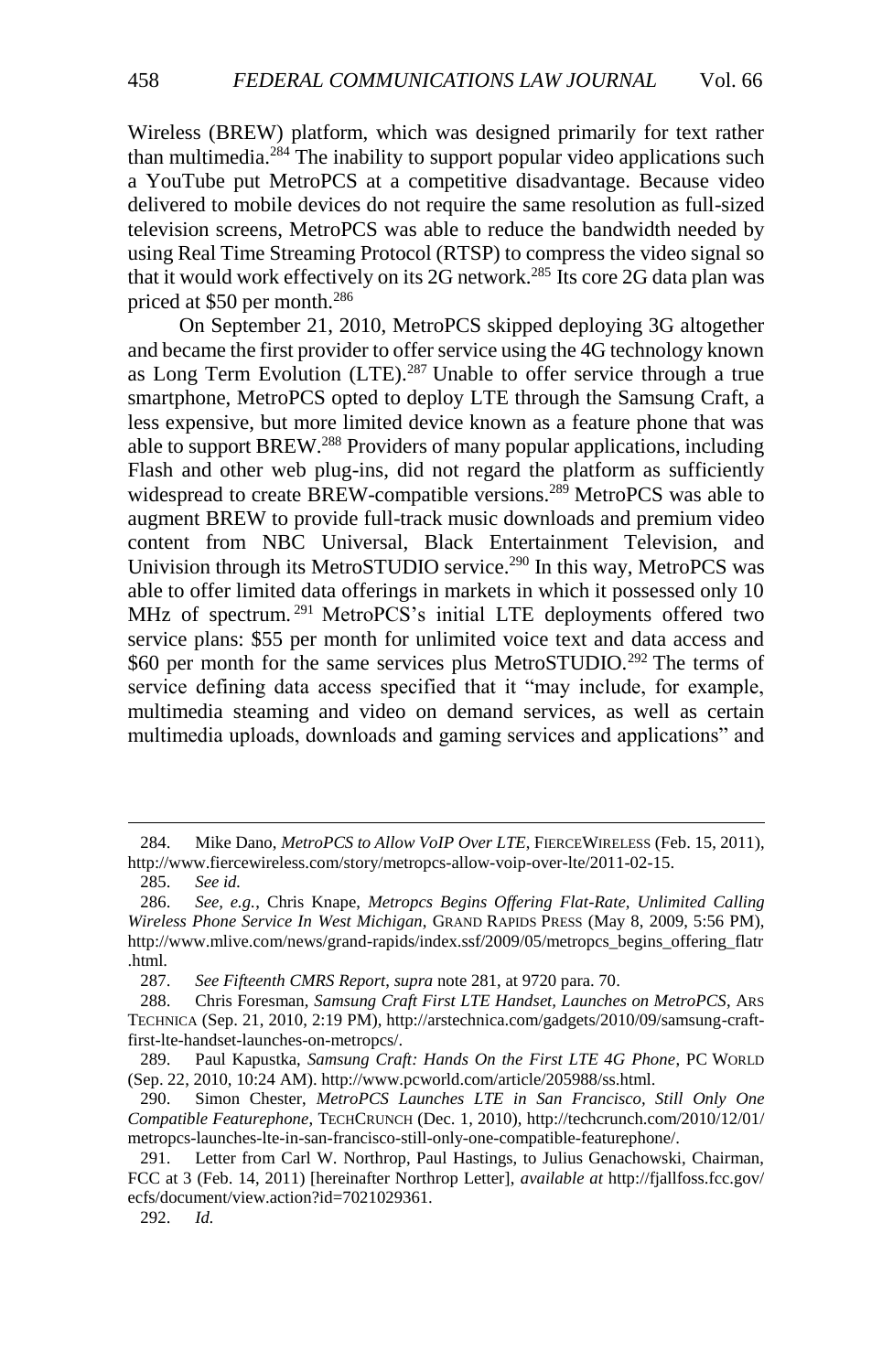Wireless (BREW) platform, which was designed primarily for text rather than multimedia.<sup>284</sup> The inability to support popular video applications such a YouTube put MetroPCS at a competitive disadvantage. Because video delivered to mobile devices do not require the same resolution as full-sized television screens, MetroPCS was able to reduce the bandwidth needed by using Real Time Streaming Protocol (RTSP) to compress the video signal so that it would work effectively on its 2G network.<sup>285</sup> Its core 2G data plan was priced at \$50 per month.<sup>286</sup>

On September 21, 2010, MetroPCS skipped deploying 3G altogether and became the first provider to offer service using the 4G technology known as Long Term Evolution (LTE).<sup>287</sup> Unable to offer service through a true smartphone, MetroPCS opted to deploy LTE through the Samsung Craft, a less expensive, but more limited device known as a feature phone that was able to support BREW.<sup>288</sup> Providers of many popular applications, including Flash and other web plug-ins, did not regard the platform as sufficiently widespread to create BREW-compatible versions.<sup>289</sup> MetroPCS was able to augment BREW to provide full-track music downloads and premium video content from NBC Universal, Black Entertainment Television, and Univision through its MetroSTUDIO service.<sup>290</sup> In this way, MetroPCS was able to offer limited data offerings in markets in which it possessed only 10 MHz of spectrum.<sup>291</sup> MetroPCS's initial LTE deployments offered two service plans: \$55 per month for unlimited voice text and data access and \$60 per month for the same services plus MetroSTUDIO.<sup>292</sup> The terms of service defining data access specified that it "may include, for example, multimedia steaming and video on demand services, as well as certain multimedia uploads, downloads and gaming services and applications" and

<span id="page-43-0"></span><sup>284.</sup> Mike Dano, MetroPCS to Allow VoIP Over LTE, FIERCEWIRELESS (Feb. 15, 2011), [http://www.fiercewireless.com/story/metropcs-allow-voip-over-lte/2011-02-15.](http://www.fiercewireless.com/story/metropcs-allow-voip-over-lte/2011-02-15) 

<sup>285.</sup> *See id.*

<sup>286.</sup> *See, e.g.*, Chris Knape, *Metropcs Begins Offering Flat-Rate, Unlimited Calling Wireless Phone Service In West Michigan*, GRAND RAPIDS PRESS (May 8, 2009, 5:56 PM), http://www.mlive.com/news/grand-rapids/index.ssf/2009/05/metropcs\_begins\_offering\_flatr .html.

<sup>287.</sup> *See Fifteenth CMRS Report*, *supra* note [281,](#page-42-1) at 9720 para. 70.

<sup>288.</sup> Chris Foresman, *Samsung Craft First LTE Handset, Launches on MetroPCS*, ARS TECHNICA (Sep. 21, 2010, 2:19 PM), http://arstechnica.com/gadgets/2010/09/samsung-craftfirst-lte-handset-launches-on-metropcs/.

<sup>289.</sup> Paul Kapustka, *Samsung Craft: Hands On the First LTE 4G Phone*, PC WORLD (Sep. 22, 2010, 10:24 AM). http://www.pcworld.com/article/205988/ss.html.

<sup>290.</sup> Simon Chester, *MetroPCS Launches LTE in San Francisco, Still Only One Compatible Featurephone*, TECHCRUNCH (Dec. 1, 2010), [http://techcrunch.com/2010/12/01/](http://techcrunch.com/2010/12/01/metropcs-launches-lte-in-san-francisco-still-only-one-compatible-featurephone/) [metropcs-launches-lte-in-san-francisco-still-only-one-compatible-featurephone/.](http://techcrunch.com/2010/12/01/metropcs-launches-lte-in-san-francisco-still-only-one-compatible-featurephone/) 

<sup>291.</sup> Letter from Carl W. Northrop, Paul Hastings, to Julius Genachowski, Chairman, FCC at 3 (Feb. 14, 2011) [hereinafter Northrop Letter], *available at* http://fjallfoss.fcc.gov/ ecfs/document/view.action?id=7021029361.

<sup>292.</sup> *Id.*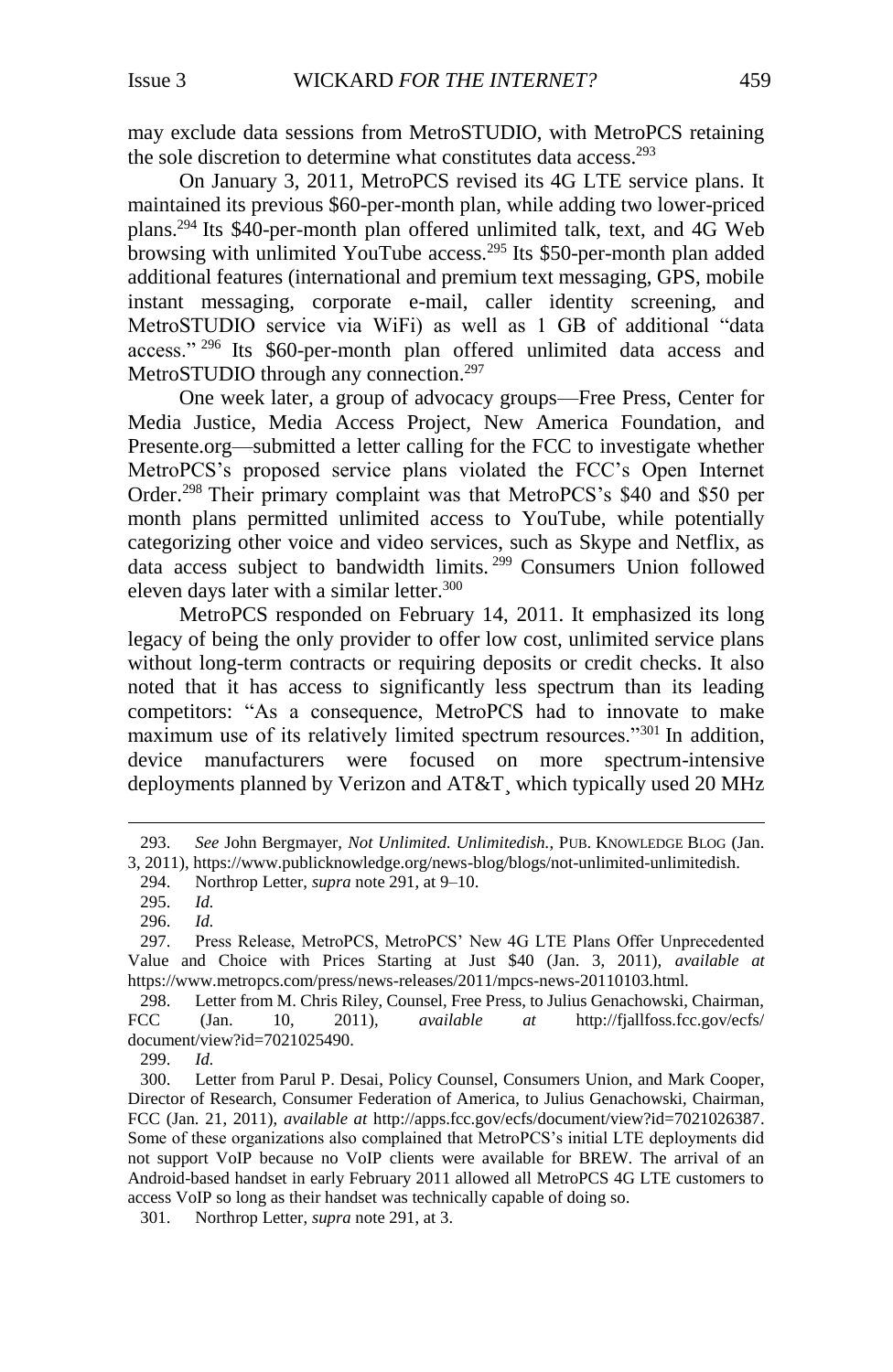may exclude data sessions from MetroSTUDIO, with MetroPCS retaining the sole discretion to determine what constitutes data access.<sup>293</sup>

On January 3, 2011, MetroPCS revised its 4G LTE service plans. It maintained its previous \$60-per-month plan, while adding two lower-priced plans. <sup>294</sup> Its \$40-per-month plan offered unlimited talk, text, and 4G Web browsing with unlimited YouTube access.<sup>295</sup> Its \$50-per-month plan added additional features (international and premium text messaging, GPS, mobile instant messaging, corporate e-mail, caller identity screening, and MetroSTUDIO service via WiFi) as well as 1 GB of additional "data access." <sup>296</sup> Its \$60-per-month plan offered unlimited data access and MetroSTUDIO through any connection.<sup>297</sup>

One week later, a group of advocacy groups—Free Press, Center for Media Justice, Media Access Project, New America Foundation, and Presente.org—submitted a letter calling for the FCC to investigate whether MetroPCS's proposed service plans violated the FCC's Open Internet Order.<sup>298</sup> Their primary complaint was that MetroPCS's \$40 and \$50 per month plans permitted unlimited access to YouTube, while potentially categorizing other voice and video services, such as Skype and Netflix, as data access subject to bandwidth limits. <sup>299</sup> Consumers Union followed eleven days later with a similar letter.<sup>300</sup>

MetroPCS responded on February 14, 2011. It emphasized its long legacy of being the only provider to offer low cost, unlimited service plans without long-term contracts or requiring deposits or credit checks. It also noted that it has access to significantly less spectrum than its leading competitors: "As a consequence, MetroPCS had to innovate to make maximum use of its relatively limited spectrum resources."<sup>301</sup> In addition, device manufacturers were focused on more spectrum-intensive deployments planned by Verizon and AT&T¸ which typically used 20 MHz

 $\overline{a}$ 

299. *Id.*

<sup>293.</sup> *See* John Bergmayer, *Not Unlimited. Unlimitedish.*, PUB. KNOWLEDGE BLOG (Jan. 3, 2011), https://www.publicknowledge.org/news-blog/blogs/not-unlimited-unlimitedish.

<sup>294.</sup> Northrop Letter, *supra* not[e 291,](#page-43-0) at 9–10.

<sup>295.</sup> *Id.*

<sup>296.</sup> *Id.*

<sup>297.</sup> Press Release, MetroPCS, MetroPCS' New 4G LTE Plans Offer Unprecedented Value and Choice with Prices Starting at Just \$40 (Jan. 3, 2011), *available at* https://www.metropcs.com/press/news-releases/2011/mpcs-news-20110103.html.

<sup>298.</sup> Letter from M. Chris Riley, Counsel, Free Press, to Julius Genachowski, Chairman, FCC (Jan. 10, 2011), *available at* http://fjallfoss.fcc.gov/ecfs/ document/view?id=7021025490.

<sup>300.</sup> Letter from Parul P. Desai, Policy Counsel, Consumers Union, and Mark Cooper, Director of Research, Consumer Federation of America, to Julius Genachowski, Chairman, FCC (Jan. 21, 2011), *available at* http://apps.fcc.gov/ecfs/document/view?id=7021026387. Some of these organizations also complained that MetroPCS's initial LTE deployments did not support VoIP because no VoIP clients were available for BREW. The arrival of an Android-based handset in early February 2011 allowed all MetroPCS 4G LTE customers to access VoIP so long as their handset was technically capable of doing so.

<sup>301.</sup> Northrop Letter, *supra* not[e 291,](#page-43-0) at 3.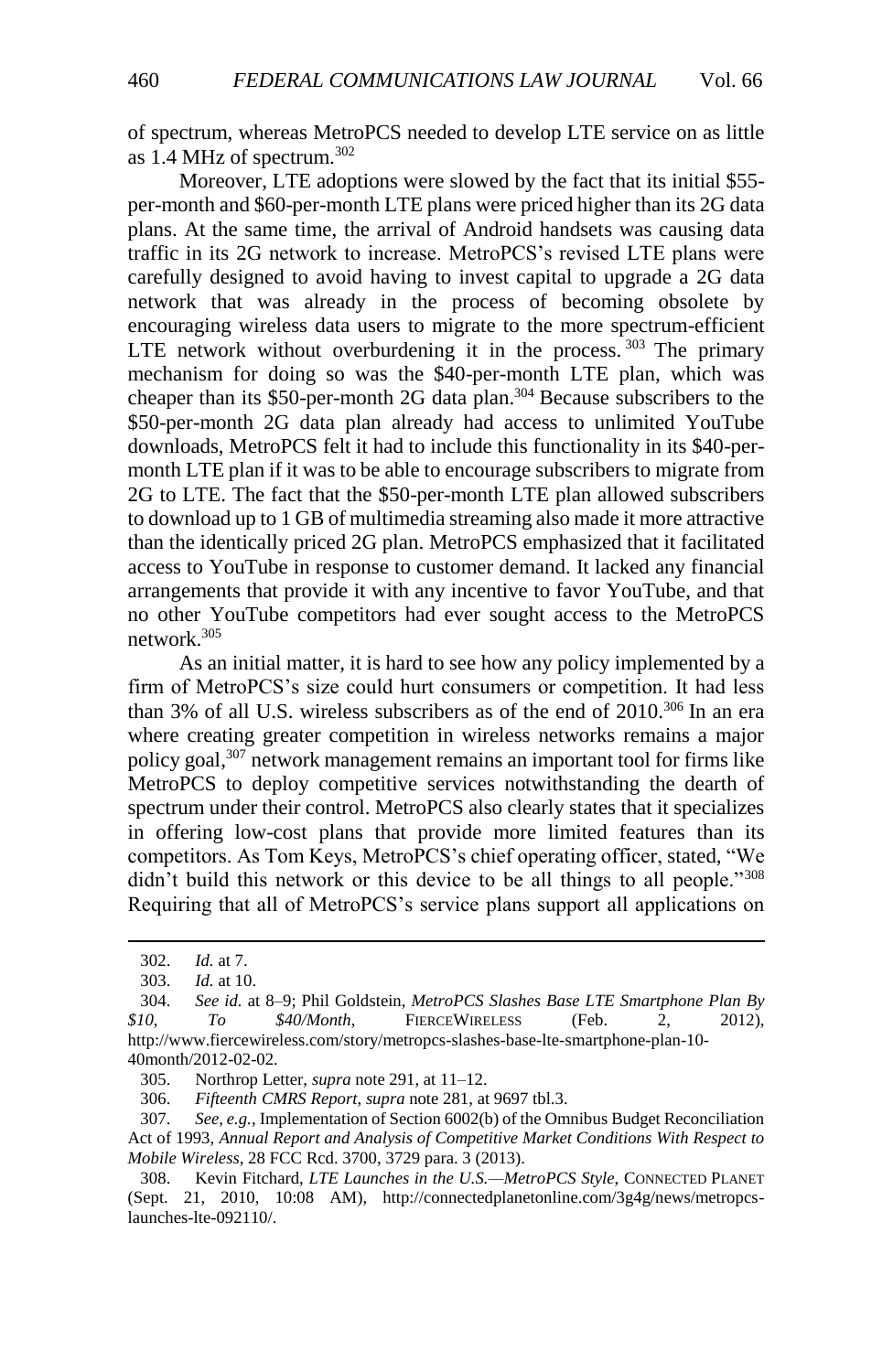of spectrum, whereas MetroPCS needed to develop LTE service on as little as 1.4 MHz of spectrum.<sup>302</sup>

Moreover, LTE adoptions were slowed by the fact that its initial \$55 per-month and \$60-per-month LTE plans were priced higher than its 2G data plans. At the same time, the arrival of Android handsets was causing data traffic in its 2G network to increase. MetroPCS's revised LTE plans were carefully designed to avoid having to invest capital to upgrade a 2G data network that was already in the process of becoming obsolete by encouraging wireless data users to migrate to the more spectrum-efficient LTE network without overburdening it in the process.  $303$  The primary mechanism for doing so was the \$40-per-month LTE plan, which was cheaper than its \$50-per-month 2G data plan.<sup>304</sup> Because subscribers to the \$50-per-month 2G data plan already had access to unlimited YouTube downloads, MetroPCS felt it had to include this functionality in its \$40-permonth LTE plan if it was to be able to encourage subscribers to migrate from 2G to LTE. The fact that the \$50-per-month LTE plan allowed subscribers to download up to 1 GB of multimedia streaming also made it more attractive than the identically priced 2G plan. MetroPCS emphasized that it facilitated access to YouTube in response to customer demand. It lacked any financial arrangements that provide it with any incentive to favor YouTube, and that no other YouTube competitors had ever sought access to the MetroPCS network.<sup>305</sup>

As an initial matter, it is hard to see how any policy implemented by a firm of MetroPCS's size could hurt consumers or competition. It had less than 3% of all U.S. wireless subscribers as of the end of 2010.<sup>306</sup> In an era where creating greater competition in wireless networks remains a major policy goal,<sup>307</sup> network management remains an important tool for firms like MetroPCS to deploy competitive services notwithstanding the dearth of spectrum under their control. MetroPCS also clearly states that it specializes in offering low-cost plans that provide more limited features than its competitors. As Tom Keys, MetroPCS's chief operating officer, stated, "We didn't build this network or this device to be all things to all people."<sup>308</sup> Requiring that all of MetroPCS's service plans support all applications on

l

306. *Fifteenth CMRS Report*, *supra* not[e 281,](#page-42-1) at 9697 tbl.3.

307. *See, e.g.*, Implementation of Section 6002(b) of the Omnibus Budget Reconciliation Act of 1993, *Annual Report and Analysis of Competitive Market Conditions With Respect to Mobile Wireless*, 28 FCC Rcd. 3700, 3729 para. 3 (2013).

308. Kevin Fitchard, *LTE Launches in the U.S.—MetroPCS Style*, CONNECTED PLANET (Sept. 21, 2010, 10:08 AM), http://connectedplanetonline.com/3g4g/news/metropcslaunches-lte-092110/.

<sup>302.</sup> *Id.* at 7.

<sup>303.</sup> *Id.* at 10.

<sup>304.</sup> *See id.* at 8–9; Phil Goldstein, *MetroPCS Slashes Base LTE Smartphone Plan By \$10, To \$40/Month*, FIERCEWIRELESS (Feb. 2, 2012), [http://www.fiercewireless.com/story/metropcs-slashes-base-lte-smartphone-plan-10-](http://www.fiercewireless.com/story/metropcs-slashes-base-lte-smartphone-plan-10-40month/2012-02-02) [40month/2012-02-02.](http://www.fiercewireless.com/story/metropcs-slashes-base-lte-smartphone-plan-10-40month/2012-02-02) 

<sup>305.</sup> Northrop Letter, *supra* not[e 291,](#page-43-0) at 11–12.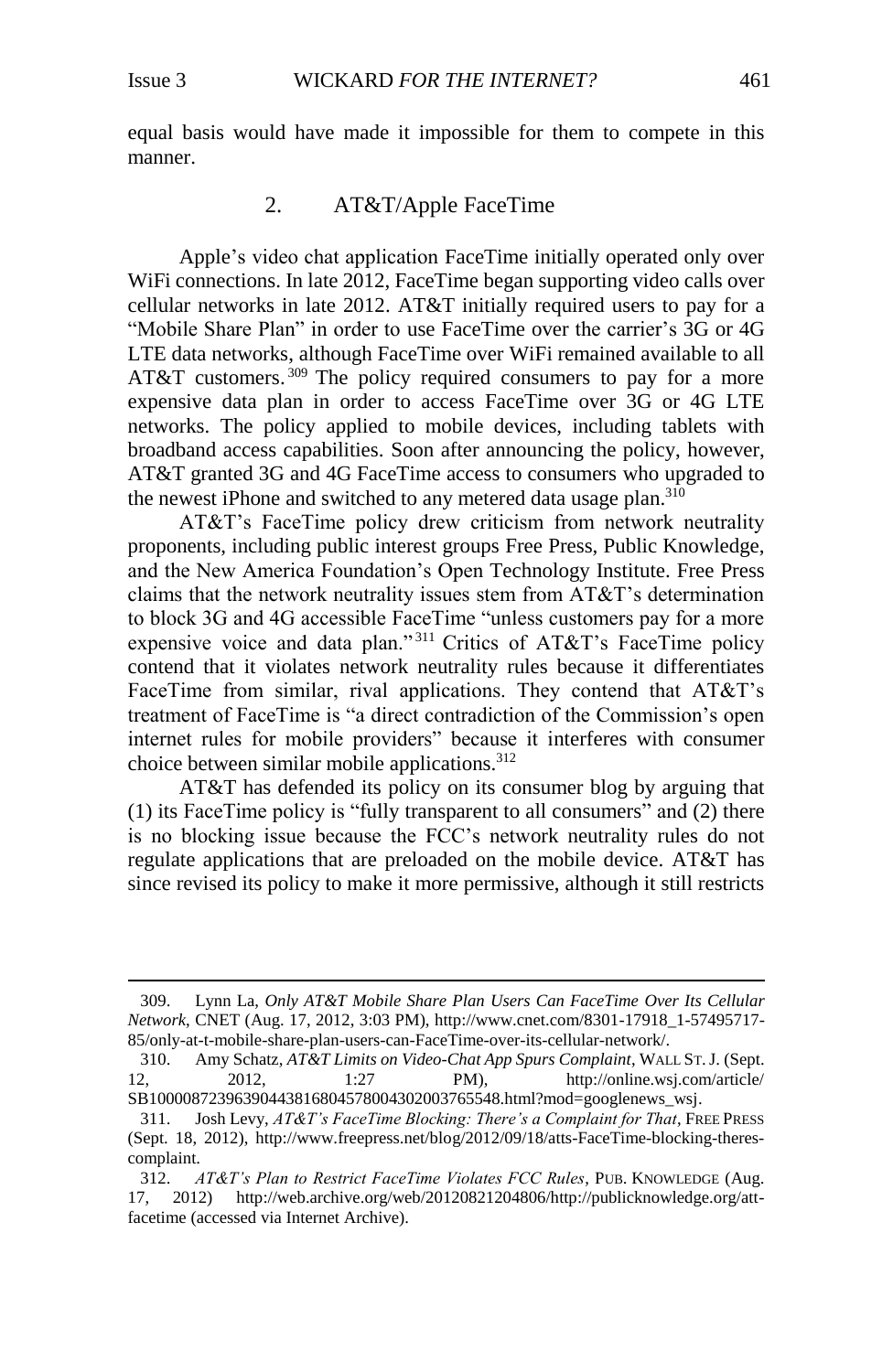l

equal basis would have made it impossible for them to compete in this manner.

# 2. AT&T/Apple FaceTime

<span id="page-46-0"></span>Apple's video chat application FaceTime initially operated only over WiFi connections. In late 2012, FaceTime began supporting video calls over cellular networks in late 2012. AT&T initially required users to pay for a "Mobile Share Plan" in order to use FaceTime over the carrier's 3G or 4G LTE data networks, although FaceTime over WiFi remained available to all AT&T customers.<sup>309</sup> The policy required consumers to pay for a more expensive data plan in order to access FaceTime over 3G or 4G LTE networks. The policy applied to mobile devices, including tablets with broadband access capabilities. Soon after announcing the policy, however, AT&T granted 3G and 4G FaceTime access to consumers who upgraded to the newest iPhone and switched to any metered data usage plan.<sup>310</sup>

AT&T's FaceTime policy drew criticism from network neutrality proponents, including public interest groups Free Press, Public Knowledge, and the New America Foundation's Open Technology Institute. Free Press claims that the network neutrality issues stem from AT&T's determination to block 3G and 4G accessible FaceTime "unless customers pay for a more expensive voice and data plan."<sup>311</sup> Critics of AT&T's FaceTime policy contend that it violates network neutrality rules because it differentiates FaceTime from similar, rival applications. They contend that AT&T's treatment of FaceTime is "a direct contradiction of the Commission's open internet rules for mobile providers" because it interferes with consumer choice between similar mobile applications.<sup>312</sup>

AT&T has defended its policy on its consumer blog by arguing that (1) its FaceTime policy is "fully transparent to all consumers" and (2) there is no blocking issue because the FCC's network neutrality rules do not regulate applications that are preloaded on the mobile device. AT&T has since revised its policy to make it more permissive, although it still restricts

<sup>309.</sup> Lynn La, *Only AT&T Mobile Share Plan Users Can FaceTime Over Its Cellular Network*, CNET (Aug. 17, 2012, 3:03 PM), http://www.cnet.com/8301-17918\_1-57495717- 85/only-at-t-mobile-share-plan-users-can-FaceTime-over-its-cellular-network/.

<sup>310.</sup> Amy Schatz, *AT&T Limits on Video-Chat App Spurs Complaint*, WALL ST.J. (Sept. 12, 2012, 1:27 PM), http://online.wsj.com/article/ SB10000872396390443816804578004302003765548.html?mod=googlenews\_wsj.

<sup>311.</sup> Josh Levy, *AT&T's FaceTime Blocking: There's a Complaint for That*, FREE PRESS (Sept. 18, 2012), http://www.freepress.net/blog/2012/09/18/atts-FaceTime-blocking-therescomplaint.

<sup>312.</sup> *AT&T's Plan to Restrict FaceTime Violates FCC Rules*, PUB. KNOWLEDGE (Aug. 17, 2012) http://web.archive.org/web/20120821204806/http://publicknowledge.org/attfacetime (accessed via Internet Archive).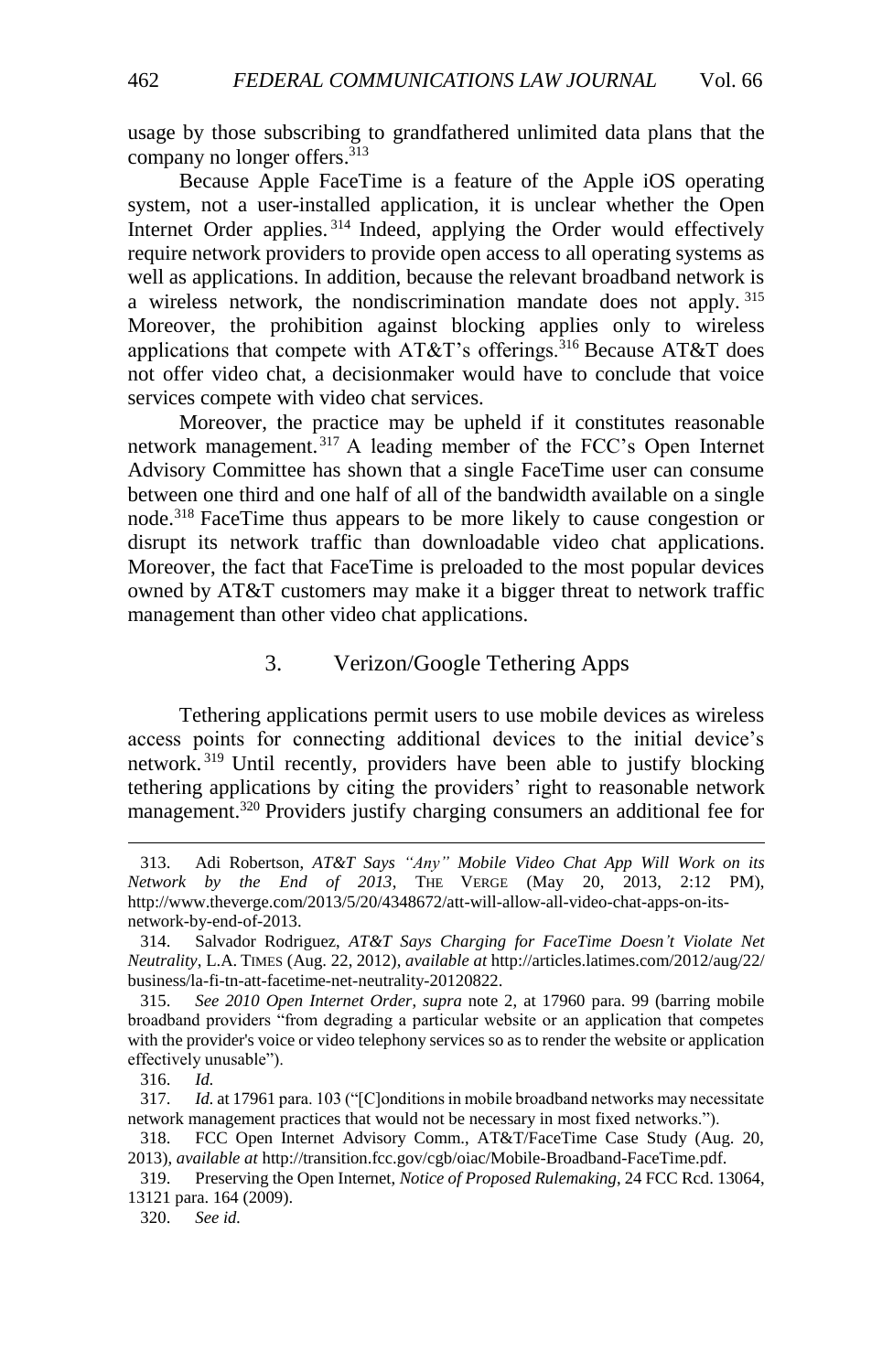usage by those subscribing to grandfathered unlimited data plans that the company no longer offers. 313

Because Apple FaceTime is a feature of the Apple iOS operating system, not a user-installed application, it is unclear whether the Open Internet Order applies.<sup>314</sup> Indeed, applying the Order would effectively require network providers to provide open access to all operating systems as well as applications. In addition, because the relevant broadband network is a wireless network, the nondiscrimination mandate does not apply. <sup>315</sup> Moreover, the prohibition against blocking applies only to wireless applications that compete with  $AT&T$ 's offerings.<sup>316</sup> Because  $AT&T$  does not offer video chat, a decisionmaker would have to conclude that voice services compete with video chat services.

Moreover, the practice may be upheld if it constitutes reasonable network management. <sup>317</sup> A leading member of the FCC's Open Internet Advisory Committee has shown that a single FaceTime user can consume between one third and one half of all of the bandwidth available on a single node.<sup>318</sup> FaceTime thus appears to be more likely to cause congestion or disrupt its network traffic than downloadable video chat applications. Moreover, the fact that FaceTime is preloaded to the most popular devices owned by AT&T customers may make it a bigger threat to network traffic management than other video chat applications.

# 3. Verizon/Google Tethering Apps

<span id="page-47-0"></span>Tethering applications permit users to use mobile devices as wireless access points for connecting additional devices to the initial device's network. <sup>319</sup> Until recently, providers have been able to justify blocking tethering applications by citing the providers' right to reasonable network management.<sup>320</sup> Providers justify charging consumers an additional fee for

<sup>313.</sup> Adi Robertson, *AT&T Says "Any" Mobile Video Chat App Will Work on its Network by the End of 2013*, THE VERGE (May 20, 2013, 2:12 PM), [http://www.theverge.com/2013/5/20/4348672/att-will-allow-all-video-chat-apps-on-its](http://www.theverge.com/2013/5/20/4348672/att-will-allow-all-video-chat-apps-on-its-network-by-end-of-2013)[network-by-end-of-2013.](http://www.theverge.com/2013/5/20/4348672/att-will-allow-all-video-chat-apps-on-its-network-by-end-of-2013)

<sup>314.</sup> Salvador Rodriguez, *AT&T Says Charging for FaceTime Doesn't Violate Net Neutrality*, L.A. TIMES (Aug. 22, 2012), *available at* http://articles.latimes.com/2012/aug/22/ business/la-fi-tn-att-facetime-net-neutrality-20120822.

<sup>315.</sup> *See 2010 Open Internet Order*, *supra* note [2,](#page-2-2) at 17960 para. 99 (barring mobile broadband providers "from degrading a particular website or an application that competes with the provider's voice or video telephony services so as to render the website or application effectively unusable").

<sup>316.</sup> *Id.*

<sup>317.</sup> *Id.* at 17961 para. 103 ("[C]onditions in mobile broadband networks may necessitate network management practices that would not be necessary in most fixed networks.").

<sup>318.</sup> FCC Open Internet Advisory Comm., AT&T/FaceTime Case Study (Aug. 20, 2013), *available at* http://transition.fcc.gov/cgb/oiac/Mobile-Broadband-FaceTime.pdf.

<sup>319.</sup> Preserving the Open Internet, *Notice of Proposed Rulemaking*, 24 FCC Rcd. 13064, 13121 para. 164 (2009).

<sup>320.</sup> *See id.*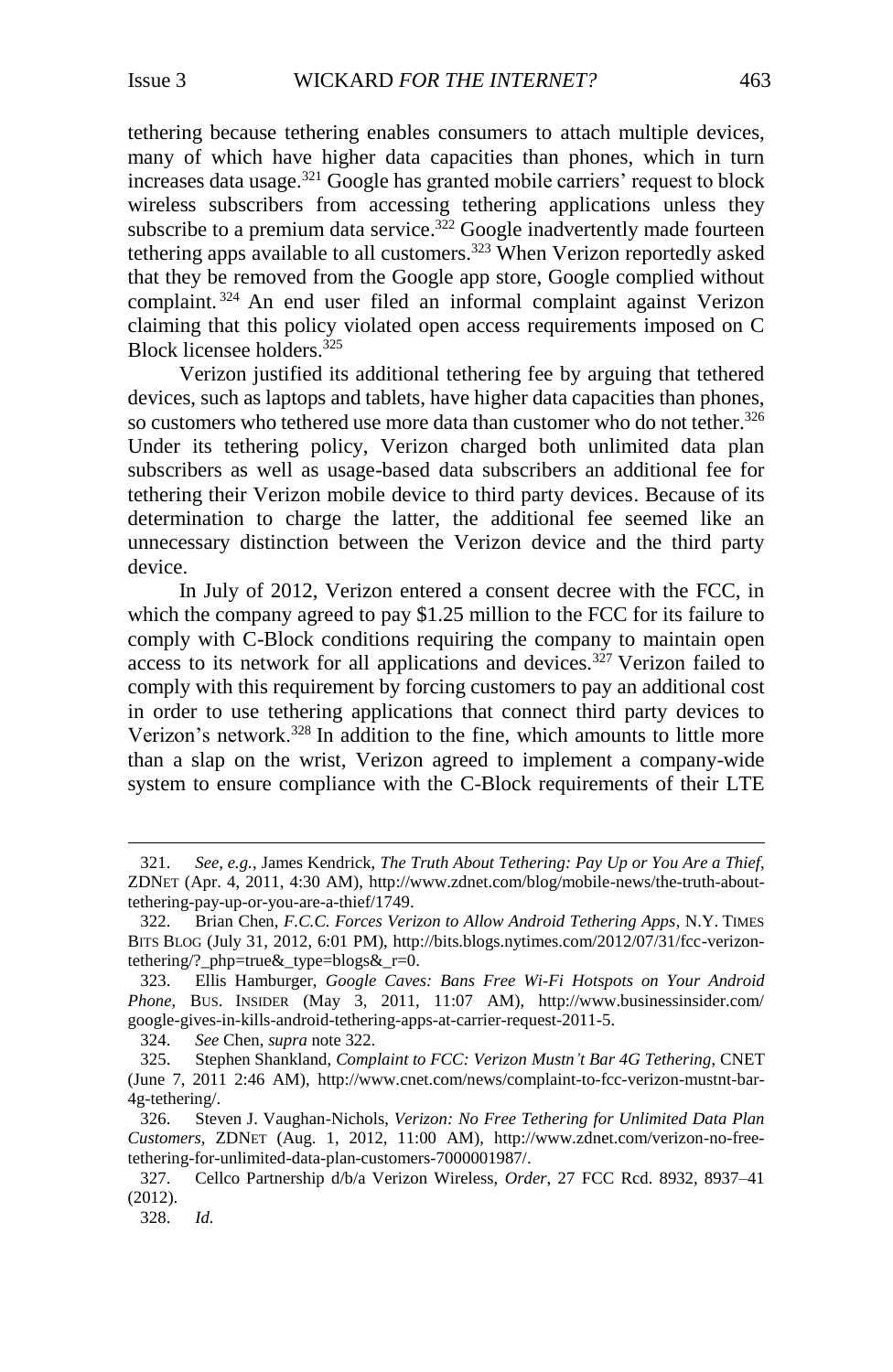<span id="page-48-0"></span>tethering because tethering enables consumers to attach multiple devices, many of which have higher data capacities than phones, which in turn increases data usage.<sup>321</sup> Google has granted mobile carriers' request to block wireless subscribers from accessing tethering applications unless they subscribe to a premium data service.<sup>322</sup> Google inadvertently made fourteen tethering apps available to all customers.<sup>323</sup> When Verizon reportedly asked that they be removed from the Google app store, Google complied without complaint. <sup>324</sup> An end user filed an informal complaint against Verizon claiming that this policy violated open access requirements imposed on C Block licensee holders.<sup>325</sup>

Verizon justified its additional tethering fee by arguing that tethered devices, such as laptops and tablets, have higher data capacities than phones, so customers who tethered use more data than customer who do not tether.<sup>326</sup> Under its tethering policy, Verizon charged both unlimited data plan subscribers as well as usage-based data subscribers an additional fee for tethering their Verizon mobile device to third party devices. Because of its determination to charge the latter, the additional fee seemed like an unnecessary distinction between the Verizon device and the third party device.

In July of 2012, Verizon entered a consent decree with the FCC, in which the company agreed to pay \$1.25 million to the FCC for its failure to comply with C-Block conditions requiring the company to maintain open access to its network for all applications and devices.<sup>327</sup> Verizon failed to comply with this requirement by forcing customers to pay an additional cost in order to use tethering applications that connect third party devices to Verizon's network.<sup>328</sup> In addition to the fine, which amounts to little more than a slap on the wrist, Verizon agreed to implement a company-wide system to ensure compliance with the C-Block requirements of their LTE

<sup>321.</sup> *See, e.g.*, James Kendrick, *The Truth About Tethering: Pay Up or You Are a Thief*, ZDNET (Apr. 4, 2011, 4:30 AM), http://www.zdnet.com/blog/mobile-news/the-truth-abouttethering-pay-up-or-you-are-a-thief/1749.

<sup>322.</sup> Brian Chen, *F.C.C. Forces Verizon to Allow Android Tethering Apps*, N.Y. TIMES BITS BLOG (July 31, 2012, 6:01 PM), http://bits.blogs.nytimes.com/2012/07/31/fcc-verizontethering/?\_php=true&\_type=blogs&\_r=0.

<sup>323.</sup> Ellis Hamburger, *Google Caves: Bans Free Wi-Fi Hotspots on Your Android Phone*, BUS. INSIDER (May 3, 2011, 11:07 AM), http://www.businessinsider.com/ google-gives-in-kills-android-tethering-apps-at-carrier-request-2011-5.

<sup>324.</sup> *See* Chen, *supra* note [322.](#page-48-0)

<sup>325.</sup> Stephen Shankland, *Complaint to FCC: Verizon Mustn't Bar 4G Tethering*, CNET (June 7, 2011 2:46 AM), [http://www.cnet.com/news/complaint-to-fcc-verizon-mustnt-bar-](http://www.cnet.com/news/complaint-to-fcc-verizon-mustnt-bar-4g-tethering/)[4g-tethering/.](http://www.cnet.com/news/complaint-to-fcc-verizon-mustnt-bar-4g-tethering/) 

<sup>326.</sup> Steven J. Vaughan-Nichols, *Verizon: No Free Tethering for Unlimited Data Plan Customers*, ZDNET (Aug. 1, 2012, 11:00 AM), [http://www.zdnet.com/verizon-no-free](http://www.zdnet.com/verizon-no-free-tethering-for-unlimited-data-plan-customers-7000001987/)[tethering-for-unlimited-data-plan-customers-7000001987/.](http://www.zdnet.com/verizon-no-free-tethering-for-unlimited-data-plan-customers-7000001987/) 

<sup>327.</sup> Cellco Partnership d/b/a Verizon Wireless, *Order*, 27 FCC Rcd. 8932, 8937–41 (2012).

<sup>328.</sup> *Id.*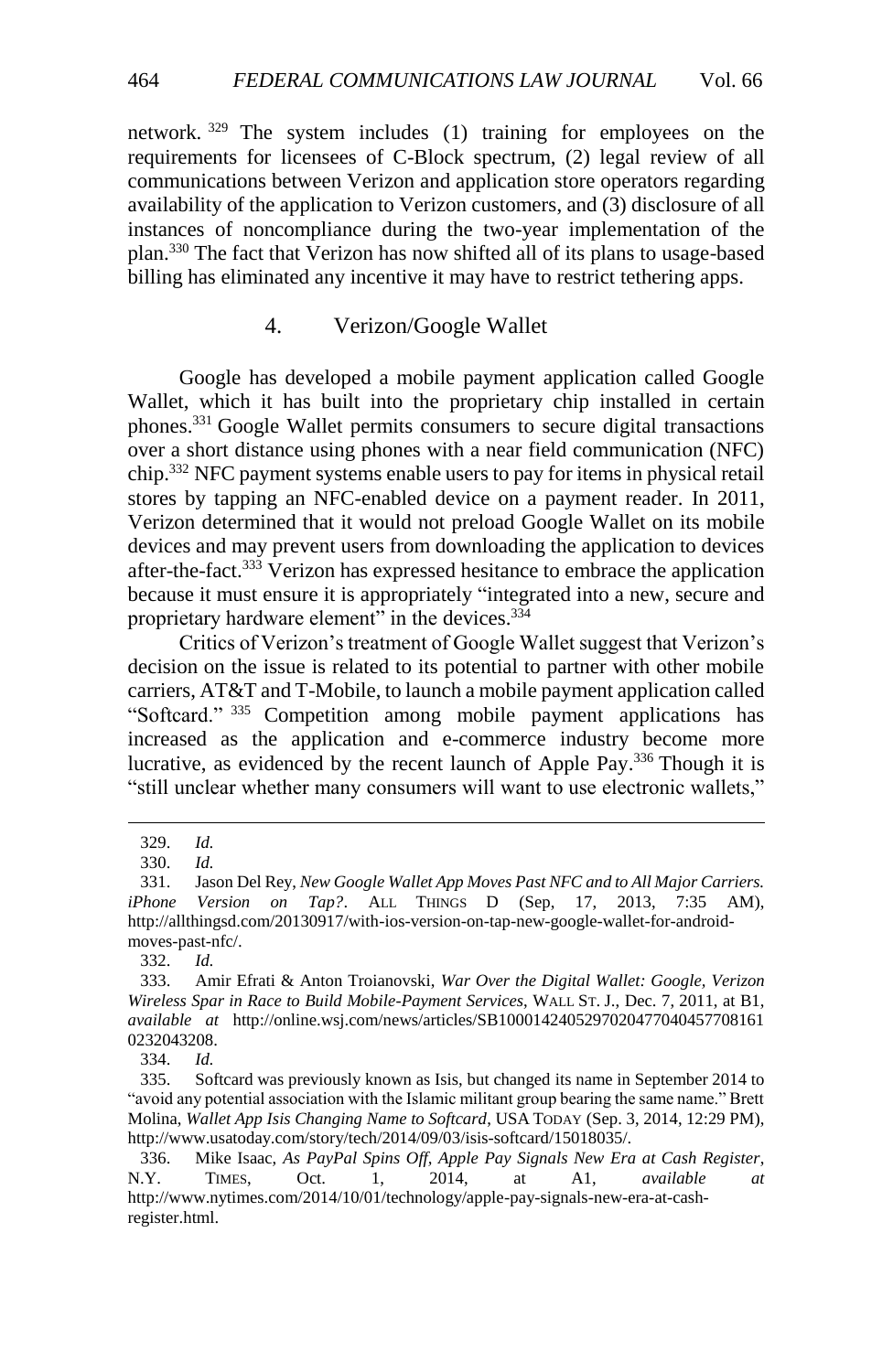network. <sup>329</sup> The system includes (1) training for employees on the requirements for licensees of C-Block spectrum, (2) legal review of all communications between Verizon and application store operators regarding availability of the application to Verizon customers, and (3) disclosure of all instances of noncompliance during the two-year implementation of the plan.<sup>330</sup> The fact that Verizon has now shifted all of its plans to usage-based billing has eliminated any incentive it may have to restrict tethering apps.

## 4. Verizon/Google Wallet

<span id="page-49-0"></span>Google has developed a mobile payment application called Google Wallet, which it has built into the proprietary chip installed in certain phones.<sup>331</sup> Google Wallet permits consumers to secure digital transactions over a short distance using phones with a near field communication (NFC) chip.<sup>332</sup> NFC payment systems enable users to pay for items in physical retail stores by tapping an NFC-enabled device on a payment reader. In 2011, Verizon determined that it would not preload Google Wallet on its mobile devices and may prevent users from downloading the application to devices after-the-fact.<sup>333</sup> Verizon has expressed hesitance to embrace the application because it must ensure it is appropriately "integrated into a new, secure and proprietary hardware element" in the devices.<sup>334</sup>

<span id="page-49-1"></span>Critics of Verizon's treatment of Google Wallet suggest that Verizon's decision on the issue is related to its potential to partner with other mobile carriers, AT&T and T-Mobile, to launch a mobile payment application called "Softcard." 335 Competition among mobile payment applications has increased as the application and e-commerce industry become more lucrative, as evidenced by the recent launch of Apple Pay.<sup>336</sup> Though it is "still unclear whether many consumers will want to use electronic wallets,"

 $\overline{a}$ 

334. *Id.*

<sup>329.</sup> *Id.*

<sup>330.</sup> *Id.*

<sup>331.</sup> Jason Del Rey, *New Google Wallet App Moves Past NFC and to All Major Carriers. iPhone Version on Tap?*. ALL THINGS D (Sep, 17, 2013, 7:35 AM), [http://allthingsd.com/20130917/with-ios-version-on-tap-new-google-wallet-for-android](http://allthingsd.com/20130917/with-ios-version-on-tap-new-google-wallet-for-android-moves-past-nfc/)[moves-past-nfc/.](http://allthingsd.com/20130917/with-ios-version-on-tap-new-google-wallet-for-android-moves-past-nfc/)

<sup>332.</sup> *Id.*

<sup>333.</sup> Amir Efrati & Anton Troianovski, *War Over the Digital Wallet: Google, Verizon Wireless Spar in Race to Build Mobile-Payment Services*, WALL ST. J., Dec. 7, 2011, at B1, *available at* http://online.wsj.com/news/articles/SB1000142405297020477040457708161 0232043208.

<sup>335.</sup> Softcard was previously known as Isis, but changed its name in September 2014 to "avoid any potential association with the Islamic militant group bearing the same name." Brett Molina, *Wallet App Isis Changing Name to Softcard*, USA TODAY (Sep. 3, 2014, 12:29 PM), http://www.usatoday.com/story/tech/2014/09/03/isis-softcard/15018035/.

<sup>336.</sup> Mike Isaac, *As PayPal Spins Off, Apple Pay Signals New Era at Cash Register*, N.Y. TIMES, Oct. 1, 2014, at A1, *available at* [http://www.nytimes.com/2014/10/01/technology/apple-pay-signals-new-era-at-cash](http://www.nytimes.com/2014/10/01/technology/apple-pay-signals-new-era-at-cash-register.html)[register.html.](http://www.nytimes.com/2014/10/01/technology/apple-pay-signals-new-era-at-cash-register.html)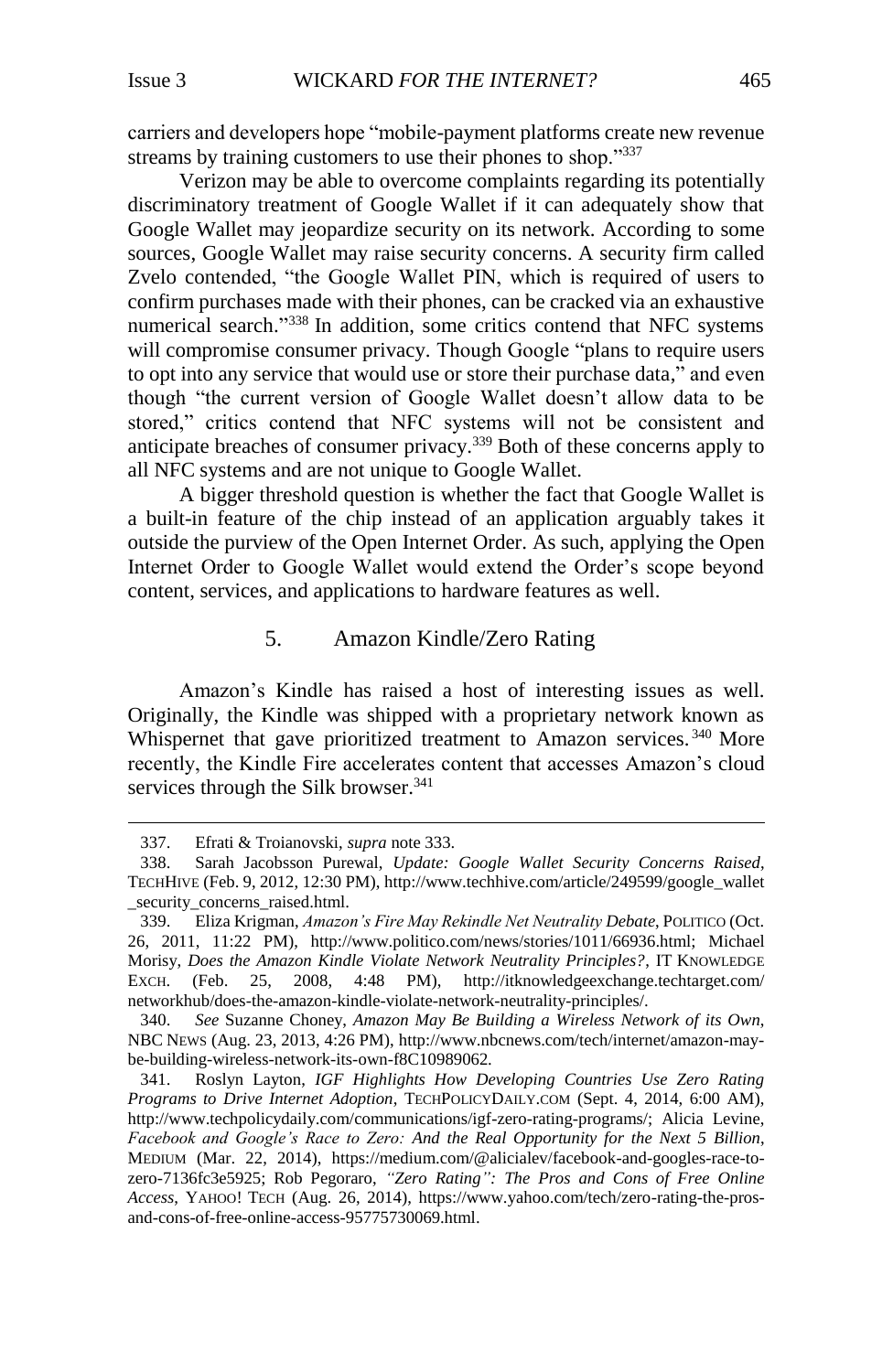carriers and developers hope "mobile-payment platforms create new revenue streams by training customers to use their phones to shop."<sup>337</sup>

Verizon may be able to overcome complaints regarding its potentially discriminatory treatment of Google Wallet if it can adequately show that Google Wallet may jeopardize security on its network. According to some sources, Google Wallet may raise security concerns. A security firm called Zvelo contended, "the Google Wallet PIN, which is required of users to confirm purchases made with their phones, can be cracked via an exhaustive numerical search."<sup>338</sup> In addition, some critics contend that NFC systems will compromise consumer privacy. Though Google "plans to require users" to opt into any service that would use or store their purchase data," and even though "the current version of Google Wallet doesn't allow data to be stored," critics contend that NFC systems will not be consistent and anticipate breaches of consumer privacy.<sup>339</sup> Both of these concerns apply to all NFC systems and are not unique to Google Wallet.

A bigger threshold question is whether the fact that Google Wallet is a built-in feature of the chip instead of an application arguably takes it outside the purview of the Open Internet Order. As such, applying the Open Internet Order to Google Wallet would extend the Order's scope beyond content, services, and applications to hardware features as well.

# 5. Amazon Kindle/Zero Rating

<span id="page-50-0"></span>Amazon's Kindle has raised a host of interesting issues as well. Originally, the Kindle was shipped with a proprietary network known as Whispernet that gave prioritized treatment to Amazon services.<sup>340</sup> More recently, the Kindle Fire accelerates content that accesses Amazon's cloud services through the Silk browser.<sup>341</sup>

<sup>337.</sup> Efrati & Troianovski, *supra* note [333.](#page-49-1)

<sup>338.</sup> Sarah Jacobsson Purewal, *Update: Google Wallet Security Concerns Raised*, TECHHIVE (Feb. 9, 2012, 12:30 PM), http://www.techhive.com/article/249599/google\_wallet \_security\_concerns\_raised.html.

<sup>339.</sup> Eliza Krigman, *Amazon's Fire May Rekindle Net Neutrality Debate*, POLITICO (Oct. 26, 2011, 11:22 PM), http://www.politico.com/news/stories/1011/66936.html; Michael Morisy, *Does the Amazon Kindle Violate Network Neutrality Principles?*, IT KNOWLEDGE EXCH. (Feb. 25, 2008, 4:48 PM), http://itknowledgeexchange.techtarget.com/ networkhub/does-the-amazon-kindle-violate-network-neutrality-principles/.

<sup>340.</sup> *See* Suzanne Choney, *Amazon May Be Building a Wireless Network of its Own*, NBC NEWS (Aug. 23, 2013, 4:26 PM), http://www.nbcnews.com/tech/internet/amazon-maybe-building-wireless-network-its-own-f8C10989062.

<sup>341.</sup> Roslyn Layton, *IGF Highlights How Developing Countries Use Zero Rating Programs to Drive Internet Adoption*, TECHPOLICYDAILY.COM (Sept. 4, 2014, 6:00 AM), http://www.techpolicydaily.com/communications/igf-zero-rating-programs/; Alicia Levine, *Facebook and Google's Race to Zero: And the Real Opportunity for the Next 5 Billion*, MEDIUM (Mar. 22, 2014), https://medium.com/@alicialev/facebook-and-googles-race-tozero-7136fc3e5925; Rob Pegoraro, *"Zero Rating": The Pros and Cons of Free Online Access*, YAHOO! TECH (Aug. 26, 2014), https://www.yahoo.com/tech/zero-rating-the-prosand-cons-of-free-online-access-95775730069.html.